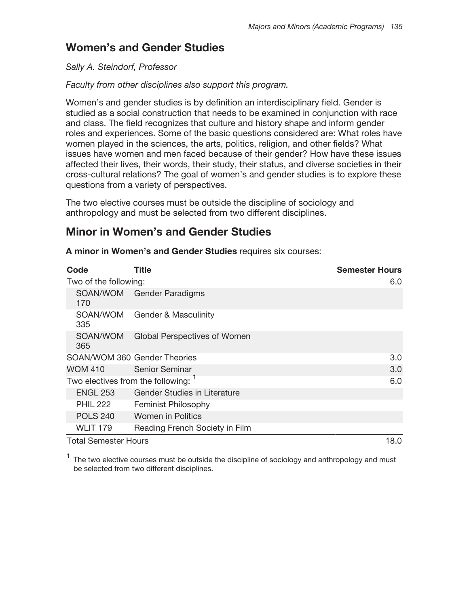# **Women's and Gender Studies**

## Sally A. Steindorf, Professor

## Faculty from other disciplines also support this program.

Women's and gender studies is by definition an interdisciplinary field. Gender is studied as a social construction that needs to be examined in conjunction with race and class. The field recognizes that culture and history shape and inform gender roles and experiences. Some of the basic questions considered are: What roles have women played in the sciences, the arts, politics, religion, and other fields? What issues have women and men faced because of their gender? How have these issues affected their lives, their words, their study, their status, and diverse societies in their cross-cultural relations? The goal of women's and gender studies is to explore these questions from a variety of perspectives.

The two elective courses must be outside the discipline of sociology and anthropology and must be selected from two different disciplines.

# **Minor in Women's and Gender Studies**

A minor in Women's and Gender Studies requires six courses:

| Code                              | Title                               | <b>Semester Hours</b> |
|-----------------------------------|-------------------------------------|-----------------------|
| Two of the following:             |                                     | 6.0                   |
| 170                               | SOAN/WOM Gender Paradigms           |                       |
| SOAN/WOM<br>335                   | <b>Gender &amp; Masculinity</b>     |                       |
| SOAN/WOM<br>365                   | Global Perspectives of Women        |                       |
| SOAN/WOM 360 Gender Theories      |                                     | 3.0                   |
| <b>WOM 410</b>                    | <b>Senior Seminar</b>               | 3.0                   |
| Two electives from the following: |                                     | 6.0                   |
| <b>ENGL 253</b>                   | <b>Gender Studies in Literature</b> |                       |
| <b>PHIL 222</b>                   | <b>Feminist Philosophy</b>          |                       |
| <b>POLS 240</b>                   | <b>Women in Politics</b>            |                       |
| <b>WLIT 179</b>                   | Reading French Society in Film      |                       |
| <b>Total Semester Hours</b>       |                                     | 18.0                  |

<sup>1</sup> The two elective courses must be outside the discipline of sociology and anthropology and must be selected from two different disciplines.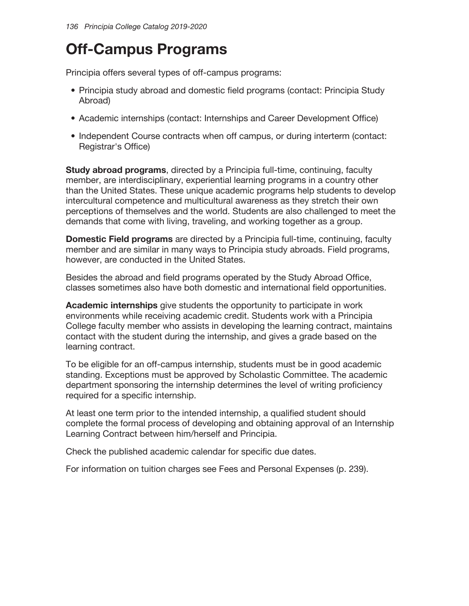# **Off-Campus Programs**

Principia offers several types of off-campus programs:

- Principia study abroad and domestic field programs (contact: Principia Study Abroad)
- Academic internships (contact: Internships and Career Development Office)
- Independent Course contracts when off campus, or during interterm (contact: Registrar's Office)

**Study abroad programs, directed by a Principia full-time, continuing, faculty** member, are interdisciplinary, experiential learning programs in a country other than the United States. These unique academic programs help students to develop intercultural competence and multicultural awareness as they stretch their own perceptions of themselves and the world. Students are also challenged to meet the demands that come with living, traveling, and working together as a group.

**Domestic Field programs** are directed by a Principia full-time, continuing, faculty member and are similar in many ways to Principia study abroads. Field programs, however, are conducted in the United States.

Besides the abroad and field programs operated by the Study Abroad Office, classes sometimes also have both domestic and international field opportunities.

**Academic internships** give students the opportunity to participate in work environments while receiving academic credit. Students work with a Principia College faculty member who assists in developing the learning contract, maintains contact with the student during the internship, and gives a grade based on the learning contract.

To be eligible for an off-campus internship, students must be in good academic standing. Exceptions must be approved by Scholastic Committee. The academic department sponsoring the internship determines the level of writing proficiency required for a specific internship.

At least one term prior to the intended internship, a qualified student should complete the formal process of developing and obtaining approval of an Internship Learning Contract between him/herself and Principia.

Check the published academic calendar for specific due dates.

For information on tuition charges see Fees and Personal Expenses (p. 239).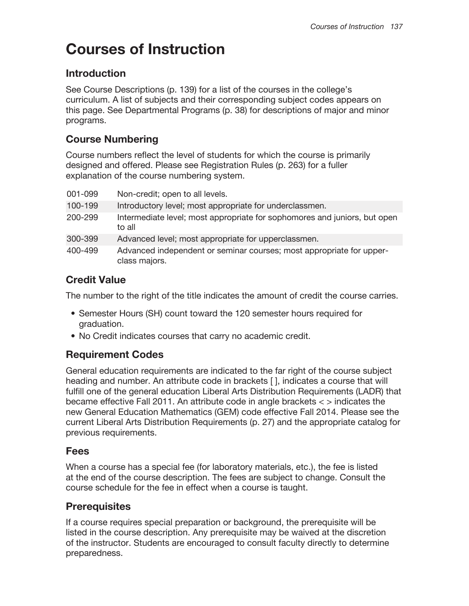# **Courses of Instruction**

## Introduction

See Course Descriptions (p. 139) for a list of the courses in the college's curriculum. A list of subjects and their corresponding subject codes appears on this page. See Departmental Programs (p. 38) for descriptions of major and minor programs.

## **Course Numbering**

Course numbers reflect the level of students for which the course is primarily designed and offered. Please see Registration Rules (p. 263) for a fuller explanation of the course numbering system.

| 001-099 | Non-credit; open to all levels.                                                       |
|---------|---------------------------------------------------------------------------------------|
| 100-199 | Introductory level; most appropriate for underclassmen.                               |
| 200-299 | Intermediate level; most appropriate for sophomores and juniors, but open<br>to all   |
| 300-399 | Advanced level; most appropriate for upperclassmen.                                   |
| 400-499 | Advanced independent or seminar courses; most appropriate for upper-<br>class majors. |

## **Credit Value**

The number to the right of the title indicates the amount of credit the course carries.

- Semester Hours (SH) count toward the 120 semester hours required for graduation.
- . No Credit indicates courses that carry no academic credit.

## **Requirement Codes**

General education requirements are indicated to the far right of the course subject heading and number. An attribute code in brackets [], indicates a course that will fulfill one of the general education Liberal Arts Distribution Requirements (LADR) that became effective Fall 2011. An attribute code in angle brackets  $\langle \rangle$  indicates the new General Education Mathematics (GEM) code effective Fall 2014. Please see the current Liberal Arts Distribution Requirements (p. 27) and the appropriate catalog for previous requirements.

## **Fees**

When a course has a special fee (for laboratory materials, etc.), the fee is listed at the end of the course description. The fees are subject to change. Consult the course schedule for the fee in effect when a course is taught.

## **Prerequisites**

If a course requires special preparation or background, the prerequisite will be listed in the course description. Any prerequisite may be waived at the discretion of the instructor. Students are encouraged to consult faculty directly to determine preparedness.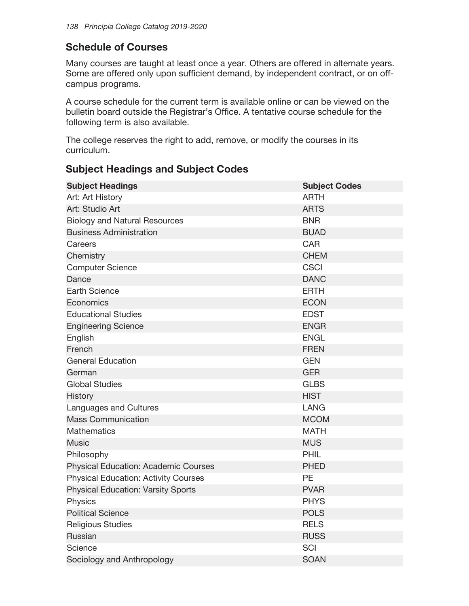## **Schedule of Courses**

Many courses are taught at least once a year. Others are offered in alternate years. Some are offered only upon sufficient demand, by independent contract, or on offcampus programs.

A course schedule for the current term is available online or can be viewed on the bulletin board outside the Registrar's Office. A tentative course schedule for the following term is also available.

The college reserves the right to add, remove, or modify the courses in its curriculum.

## **Subject Headings and Subject Codes**

| <b>Subject Headings</b>                     | <b>Subject Codes</b> |
|---------------------------------------------|----------------------|
| Art: Art History                            | <b>ARTH</b>          |
| Art: Studio Art                             | <b>ARTS</b>          |
| <b>Biology and Natural Resources</b>        | <b>BNR</b>           |
| <b>Business Administration</b>              | <b>BUAD</b>          |
| Careers                                     | <b>CAR</b>           |
| Chemistry                                   | <b>CHEM</b>          |
| <b>Computer Science</b>                     | <b>CSCI</b>          |
| Dance                                       | <b>DANC</b>          |
| <b>Earth Science</b>                        | <b>ERTH</b>          |
| Economics                                   | <b>ECON</b>          |
| <b>Educational Studies</b>                  | <b>EDST</b>          |
| <b>Engineering Science</b>                  | <b>ENGR</b>          |
| English                                     | <b>ENGL</b>          |
| French                                      | <b>FREN</b>          |
| <b>General Education</b>                    | <b>GEN</b>           |
| German                                      | <b>GER</b>           |
| <b>Global Studies</b>                       | <b>GLBS</b>          |
| History                                     | <b>HIST</b>          |
| Languages and Cultures                      | <b>LANG</b>          |
| <b>Mass Communication</b>                   | <b>MCOM</b>          |
| <b>Mathematics</b>                          | <b>MATH</b>          |
| <b>Music</b>                                | <b>MUS</b>           |
| Philosophy                                  | PHIL                 |
| <b>Physical Education: Academic Courses</b> | <b>PHED</b>          |
| <b>Physical Education: Activity Courses</b> | PE                   |
| <b>Physical Education: Varsity Sports</b>   | <b>PVAR</b>          |
| Physics                                     | <b>PHYS</b>          |
| <b>Political Science</b>                    | <b>POLS</b>          |
| <b>Religious Studies</b>                    | <b>RELS</b>          |
| Russian                                     | <b>RUSS</b>          |
| Science                                     | SCI                  |
| Sociology and Anthropology                  | <b>SOAN</b>          |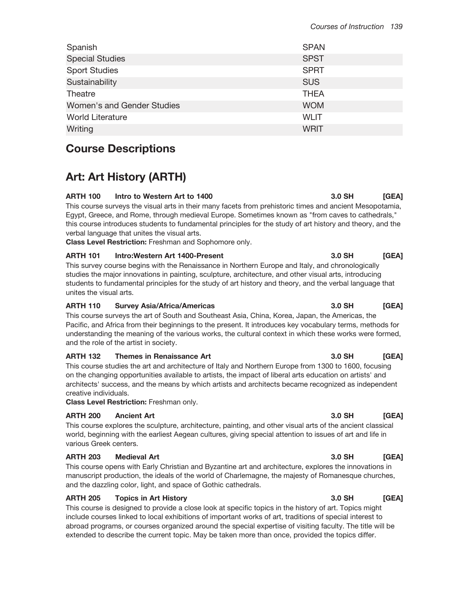| Spanish                    | <b>SPAN</b> |
|----------------------------|-------------|
| <b>Special Studies</b>     | <b>SPST</b> |
| <b>Sport Studies</b>       | <b>SPRT</b> |
| Sustainability             | <b>SUS</b>  |
| Theatre                    | <b>THEA</b> |
| Women's and Gender Studies | <b>WOM</b>  |
| <b>World Literature</b>    | <b>WLIT</b> |
| Writing                    | WRIT        |

# **Course Descriptions**

# **Art: Art History (ARTH)**

### **ARTH 100** Intro to Western Art to 1400 3.0 SH  $[GEA]$ This course surveys the visual arts in their many facets from prehistoric times and ancient Mesopotamia, Egypt, Greece, and Rome, through medieval Europe. Sometimes known as "from caves to cathedrals," this course introduces students to fundamental principles for the study of art history and theory, and the verbal language that unites the visual arts.

**Class Level Restriction:** Freshman and Sophomore only.

#### **ARTH 101** Intro: Western Art 1400-Present

This survey course begins with the Renaissance in Northern Europe and Italy, and chronologically studies the major innovations in painting, sculpture, architecture, and other visual arts, introducing students to fundamental principles for the study of art history and theory, and the verbal language that unites the visual arts.

#### **ARTH 110 Survey Asia/Africa/Americas**

This course surveys the art of South and Southeast Asia, China, Korea, Japan, the Americas, the Pacific, and Africa from their beginnings to the present. It introduces key vocabulary terms, methods for understanding the meaning of the various works, the cultural context in which these works were formed, and the role of the artist in society.

#### **ARTH 132** Themes in Renaissance Art

This course studies the art and architecture of Italy and Northern Europe from 1300 to 1600, focusing on the changing opportunities available to artists, the impact of liberal arts education on artists' and architects' success, and the means by which artists and architects became recognized as independent creative individuals.

Class Level Restriction: Freshman only.

#### **ARTH 200 Ancient Art**

This course explores the sculpture, architecture, painting, and other visual arts of the ancient classical world, beginning with the earliest Aegean cultures, giving special attention to issues of art and life in various Greek centers.

#### **ARTH 203 Medieval Art**

This course opens with Early Christian and Byzantine art and architecture, explores the innovations in manuscript production, the ideals of the world of Charlemagne, the majesty of Romanesque churches, and the dazzling color, light, and space of Gothic cathedrals.

#### **ARTH 205 Topics in Art History**

This course is designed to provide a close look at specific topics in the history of art. Topics might include courses linked to local exhibitions of important works of art, traditions of special interest to abroad programs, or courses organized around the special expertise of visiting faculty. The title will be extended to describe the current topic. May be taken more than once, provided the topics differ.

#### 3.0 SH [GEA]

#### 3.0 SH [GEA]

## $3.0$  SH

## **IGEA1**

#### 3.0 SH [GEA]

## [GEA]

## 3.0 SH  $[GEA]$

## 3.0 SH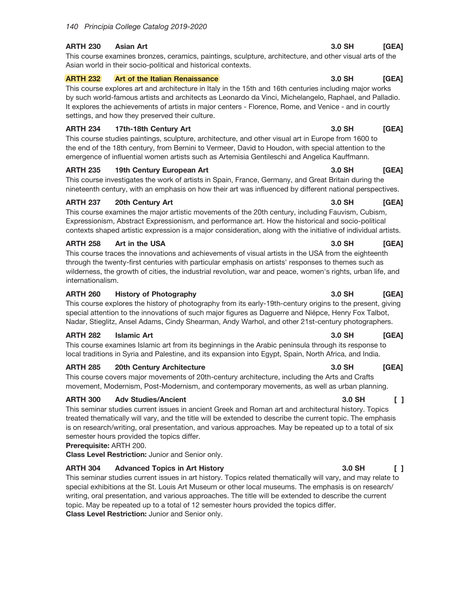#### **ARTH 230 Asian Art**

This course examines bronzes, ceramics, paintings, sculpture, architecture, and other visual arts of the Asian world in their socio-political and historical contexts.

#### **ARTH 232** Art of the Italian Renaissance

This course explores art and architecture in Italy in the 15th and 16th centuries including major works by such world-famous artists and architects as Leonardo da Vinci, Michelangelo, Raphael, and Palladio. It explores the achievements of artists in major centers - Florence, Rome, and Venice - and in courtly settings, and how they preserved their culture.

#### **ARTH 234** 17th-18th Century Art

This course studies paintings, sculpture, architecture, and other visual art in Europe from 1600 to the end of the 18th century, from Bernini to Vermeer, David to Houdon, with special attention to the emergence of influential women artists such as Artemisia Gentileschi and Angelica Kauffmann.

### **ARTH 235** 19th Century European Art

This course investigates the work of artists in Spain, France, Germany, and Great Britain during the nineteenth century, with an emphasis on how their art was influenced by different national perspectives.

### **ARTH 237** 20th Century Art

This course examines the major artistic movements of the 20th century, including Fauvism, Cubism, Expressionism, Abstract Expressionism, and performance art. How the historical and socio-political contexts shaped artistic expression is a major consideration, along with the initiative of individual artists.

### **ARTH 258** Art in the USA

This course traces the innovations and achievements of visual artists in the USA from the eighteenth through the twenty-first centuries with particular emphasis on artists' responses to themes such as wilderness, the growth of cities, the industrial revolution, war and peace, women's rights, urban life, and internationalism.

### **ARTH 260 History of Photography**

This course explores the history of photography from its early-19th-century origins to the present, giving special attention to the innovations of such major figures as Daguerre and Niépce, Henry Fox Talbot, Nadar, Stieglitz, Ansel Adams, Cindy Shearman, Andy Warhol, and other 21st-century photographers.

#### **ARTH 282 Islamic Art**

This course examines Islamic art from its beginnings in the Arabic peninsula through its response to local traditions in Syria and Palestine, and its expansion into Egypt, Spain, North Africa, and India.

## **ARTH 285** 20th Century Architecture

This course covers major movements of 20th-century architecture, including the Arts and Crafts movement, Modernism, Post-Modernism, and contemporary movements, as well as urban planning.

## **ARTH 300 Adv Studies/Ancient**

This seminar studies current issues in ancient Greek and Roman art and architectural history. Topics treated thematically will vary, and the title will be extended to describe the current topic. The emphasis is on research/writing, oral presentation, and various approaches. May be repeated up to a total of six semester hours provided the topics differ.

## Prerequisite: ARTH 200.

Class Level Restriction: Junior and Senior only.

## **ARTH 304 Advanced Topics in Art History**

This seminar studies current issues in art history. Topics related thematically will vary, and may relate to special exhibitions at the St. Louis Art Museum or other local museums. The emphasis is on research/ writing, oral presentation, and various approaches. The title will be extended to describe the current topic. May be repeated up to a total of 12 semester hours provided the topics differ. Class Level Restriction: Junior and Senior only.

#### 3.0 SH [GEA]

[GEA]

3.0 SH

### 3.0 SH [GEA]

## 3.0 SH [GEA]

#### 3.0 SH **IGEA1**

#### **IGEA1** 3.0 SH

#### 3.0 SH  $\Box$

## $\Box$ 3.0 SH

## 3.0 SH  $[GEA]$

## 3.0 SH  $[GEA]$

## 3.0 SH  $[GEA]$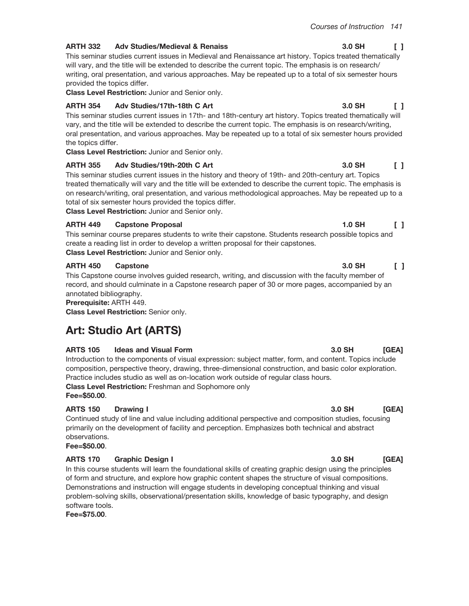#### **ARTH 332 Adv Studies/Medieval & Renaiss**

This seminar studies current issues in Medieval and Renaissance art history. Topics treated thematically will vary, and the title will be extended to describe the current topic. The emphasis is on research/ writing, oral presentation, and various approaches. May be repeated up to a total of six semester hours provided the topics differ.

Class Level Restriction: Junior and Senior only.

#### **ARTH 354** Adv Studies/17th-18th C Art

This seminar studies current issues in 17th- and 18th-century art history. Topics treated thematically will vary, and the title will be extended to describe the current topic. The emphasis is on research/writing, oral presentation, and various approaches. May be repeated up to a total of six semester hours provided the topics differ.

Class Level Restriction: Junior and Senior only.

## **ARTH 355** Adv Studies/19th-20th C Art

This seminar studies current issues in the history and theory of 19th- and 20th-century art. Topics treated thematically will vary and the title will be extended to describe the current topic. The emphasis is on research/writing, oral presentation, and various methodological approaches. May be repeated up to a total of six semester hours provided the topics differ.

Class Level Restriction: Junior and Senior only.

### **ARTH 449 Capstone Proposal**

This seminar course prepares students to write their capstone. Students research possible topics and create a reading list in order to develop a written proposal for their capstones. Class Level Restriction: Junior and Senior only.

### **ARTH 450** Capstone

This Capstone course involves guided research, writing, and discussion with the faculty member of record, and should culminate in a Capstone research paper of 30 or more pages, accompanied by an annotated bibliography.

Prerequisite: ARTH 449.

Class Level Restriction: Senior only.

# **Art: Studio Art (ARTS)**

## **ARTS 105 Ideas and Visual Form**

Introduction to the components of visual expression: subject matter, form, and content. Topics include composition, perspective theory, drawing, three-dimensional construction, and basic color exploration. Practice includes studio as well as on-location work outside of regular class hours. Class Level Restriction: Freshman and Sophomore only

Fee=\$50.00.

## **ARTS 150 Drawing I**

Continued study of line and value including additional perspective and composition studies, focusing primarily on the development of facility and perception. Emphasizes both technical and abstract observations.

Fee=\$50.00.

## **ARTS 170 Graphic Design I**

In this course students will learn the foundational skills of creating graphic design using the principles of form and structure, and explore how graphic content shapes the structure of visual compositions. Demonstrations and instruction will engage students in developing conceptual thinking and visual problem-solving skills, observational/presentation skills, knowledge of basic typography, and design software tools.

Fee=\$75.00.

## 3.0 SH  $\Box$

#### 3.0 SH  $\Box$

## 3.0 SH  $\begin{smallmatrix}1\end{smallmatrix}$

## $1.0$  SH  $\begin{smallmatrix}1\end{smallmatrix}$

### $\Box$ 3.0 SH

#### 3.0 SH [GEA]

## 3.0 SH [GEA]

# [GEA]

# 3.0 SH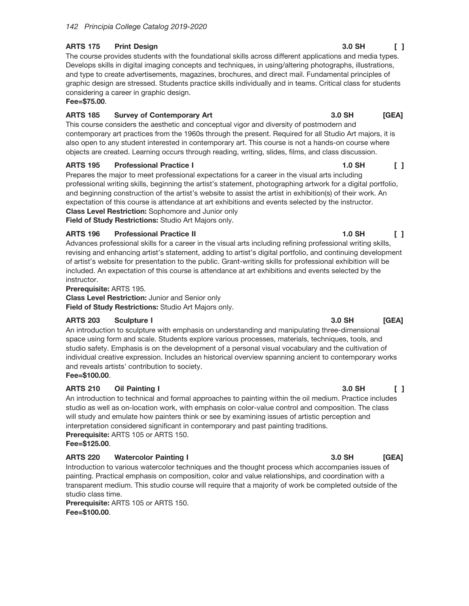#### **ARTS 175 Print Design**

The course provides students with the foundational skills across different applications and media types. Develops skills in digital imaging concepts and techniques, in using/altering photographs, illustrations, and type to create advertisements, magazines, brochures, and direct mail. Fundamental principles of graphic design are stressed. Students practice skills individually and in teams. Critical class for students considering a career in graphic design.

## Fee=\$75.00.

#### **ARTS 185 Survey of Contemporary Art**

This course considers the aesthetic and conceptual vigor and diversity of postmodern and contemporary art practices from the 1960s through the present. Required for all Studio Art majors, it is also open to any student interested in contemporary art. This course is not a hands-on course where objects are created. Learning occurs through reading, writing, slides, films, and class discussion.

#### **ARTS 195 Professional Practice I**

Prepares the major to meet professional expectations for a career in the visual arts including professional writing skills, beginning the artist's statement, photographing artwork for a digital portfolio, and beginning construction of the artist's website to assist the artist in exhibition(s) of their work. An expectation of this course is attendance at art exhibitions and events selected by the instructor. **Class Level Restriction: Sophomore and Junior only** 

Field of Study Restrictions: Studio Art Majors only.

#### **ARTS 196 Professional Practice II**

Advances professional skills for a career in the visual arts including refining professional writing skills, revising and enhancing artist's statement, adding to artist's digital portfolio, and continuing development of artist's website for presentation to the public. Grant-writing skills for professional exhibition will be included. An expectation of this course is attendance at art exhibitions and events selected by the instructor.

Prerequisite: ARTS 195.

**Class Level Restriction: Junior and Senior only** Field of Study Restrictions: Studio Art Majors only.

#### **ARTS 203** Sculpture I

An introduction to sculpture with emphasis on understanding and manipulating three-dimensional space using form and scale. Students explore various processes, materials, techniques, tools, and studio safety. Emphasis is on the development of a personal visual vocabulary and the cultivation of individual creative expression. Includes an historical overview spanning ancient to contemporary works and reveals artists' contribution to society.

## Fee=\$100.00.

#### **ARTS 210** Oil Painting I

An introduction to technical and formal approaches to painting within the oil medium. Practice includes studio as well as on-location work, with emphasis on color-value control and composition. The class will study and emulate how painters think or see by examining issues of artistic perception and interpretation considered significant in contemporary and past painting traditions.

Prerequisite: ARTS 105 or ARTS 150.

Fee=\$125.00.

#### **ARTS 220 Watercolor Painting I**

Introduction to various watercolor techniques and the thought process which accompanies issues of painting. Practical emphasis on composition, color and value relationships, and coordination with a transparent medium. This studio course will require that a majority of work be completed outside of the studio class time.

Prerequisite: ARTS 105 or ARTS 150. Fee=\$100.00.

#### 3.0 SH  $\Box$

#### **1.0 SH**  $\begin{smallmatrix}1\end{smallmatrix}$

#### **1.0 SH**  $\Box$

#### $3.0$  SH [GEA]

## 3.0 SH  $[GEA]$

3.0 SH

 $\Box$ 

[GEA]

3.0 SH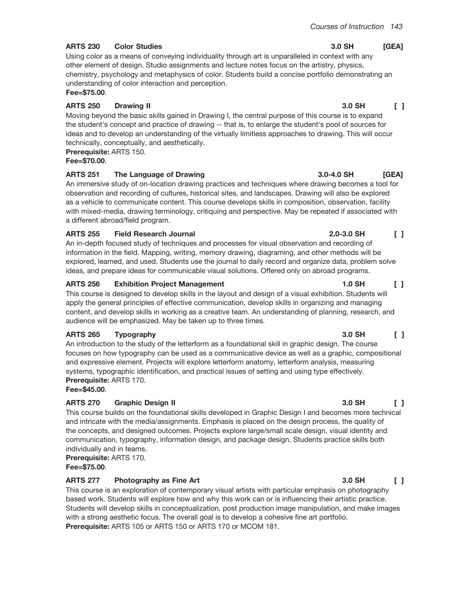#### **ARTS 230 Color Studies**

Using color as a means of conveying individuality through art is unparalleled in context with any other element of design. Studio assignments and lecture notes focus on the artistry, physics, chemistry, psychology and metaphysics of color. Students build a concise portfolio demonstrating an understanding of color interaction and perception.

Fee=\$75.00.

#### **ARTS 250 Drawing II**

Moving beyond the basic skills gained in Drawing I, the central purpose of this course is to expand the student's concept and practice of drawing -- that is, to enlarge the student's pool of sources for ideas and to develop an understanding of the virtually limitless approaches to drawing. This will occur technically, conceptually, and aesthetically.

Prerequisite: ARTS 150.

## Fee=\$70.00.

#### **ARTS 251** The Language of Drawing

An immersive study of on-location drawing practices and techniques where drawing becomes a tool for observation and recording of cultures, historical sites, and landscapes. Drawing will also be explored as a vehicle to communicate content. This course develops skills in composition, observation, facility with mixed-media, drawing terminology, critiquing and perspective. May be repeated if associated with a different abroad/field program.

#### **ARTS 255 Field Research Journal**

An in-depth focused study of techniques and processes for visual observation and recording of information in the field. Mapping, writing, memory drawing, diagraming, and other methods will be explored, learned, and used. Students use the journal to daily record and organize data, problem solve ideas, and prepare ideas for communicable visual solutions. Offered only on abroad programs.

#### **ARTS 256 Exhibition Project Management**

This course is designed to develop skills in the layout and design of a visual exhibition. Students will apply the general principles of effective communication, develop skills in organizing and managing content, and develop skills in working as a creative team. An understanding of planning, research, and audience will be emphasized. May be taken up to three times.

#### **ARTS 265** Typography

An introduction to the study of the letterform as a foundational skill in graphic design. The course focuses on how typography can be used as a communicative device as well as a graphic, compositional and expressive element. Projects will explore letterform anatomy, letterform analysis, measuring systems, typographic identification, and practical issues of setting and using type effectively. Prerequisite: ARTS 170.

Fee=\$45.00.

## **ARTS 270 Graphic Design II**

This course builds on the foundational skills developed in Graphic Design I and becomes more technical and intricate with the media/assignments. Emphasis is placed on the design process, the quality of the concepts, and designed outcomes. Projects explore large/small scale design, visual identity and communication, typography, information design, and package design. Students practice skills both individually and in teams.

Prerequisite: ARTS 170. Fee=\$75.00.

## **ARTS 277** Photography as Fine Art

This course is an exploration of contemporary visual artists with particular emphasis on photography based work. Students will explore how and why this work can or is influencing their artistic practice. Students will develop skills in conceptualization, post production image manipulation, and make images with a strong aesthetic focus. The overall goal is to develop a cohesive fine art portfolio. Prerequisite: ARTS 105 or ARTS 150 or ARTS 170 or MCOM 181.

#### 3.0 SH  $[GEA]$

#### 3.0 SH  $\Box$

## $3.0 - 4.0$  SH **IGEA1**

## $\begin{smallmatrix}1\end{smallmatrix}$  $2.0 - 3.0$  SH

### 1.0 SH  $\Box$

#### $\Box$ 3.0 SH

## 3.0 SH  $\begin{smallmatrix}1\end{smallmatrix}$

## 3.0 SH  $\begin{smallmatrix}1\end{smallmatrix}$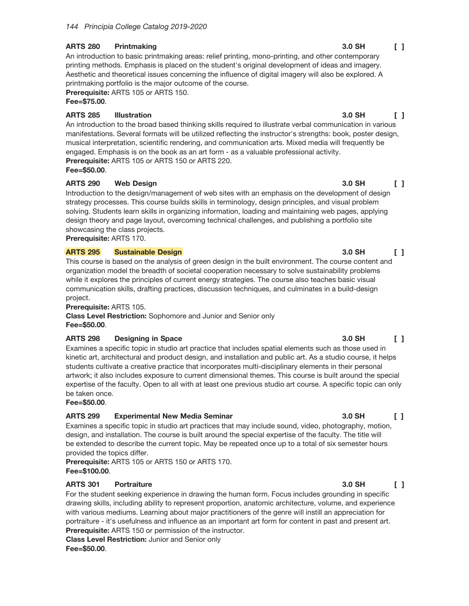#### **ARTS 280** Printmaking

An introduction to basic printmaking areas: relief printing, mono-printing, and other contemporary printing methods. Emphasis is placed on the student's original development of ideas and imagery. Aesthetic and theoretical issues concerning the influence of digital imagery will also be explored. A printmaking portfolio is the major outcome of the course.

Prerequisite: ARTS 105 or ARTS 150. Fee=\$75.00.

#### **ARTS 285 Illustration**

An introduction to the broad based thinking skills required to illustrate verbal communication in various manifestations. Several formats will be utilized reflecting the instructor's strengths: book, poster design, musical interpretation, scientific rendering, and communication arts. Mixed media will frequently be engaged. Emphasis is on the book as an art form - as a valuable professional activity. Prerequisite: ARTS 105 or ARTS 150 or ARTS 220.

Fee=\$50.00.

#### **ARTS 290 Web Design**

Introduction to the design/management of web sites with an emphasis on the development of design strategy processes. This course builds skills in terminology, design principles, and visual problem solving. Students learn skills in organizing information, loading and maintaining web pages, applying design theory and page layout, overcoming technical challenges, and publishing a portfolio site showcasing the class projects.

Prerequisite: ARTS 170.

#### **ARTS 295 Sustainable Design**

This course is based on the analysis of green design in the built environment. The course content and organization model the breadth of societal cooperation necessary to solve sustainability problems while it explores the principles of current energy strategies. The course also teaches basic visual communication skills, drafting practices, discussion techniques, and culminates in a build-design project.

Prerequisite: ARTS 105.

Class Level Restriction: Sophomore and Junior and Senior only Fee=\$50.00.

#### **ARTS 298 Designing in Space**

Examines a specific topic in studio art practice that includes spatial elements such as those used in kinetic art, architectural and product design, and installation and public art. As a studio course, it helps students cultivate a creative practice that incorporates multi-disciplinary elements in their personal artwork; it also includes exposure to current dimensional themes. This course is built around the special expertise of the faculty. Open to all with at least one previous studio art course. A specific topic can only be taken once.

 $Fee = $50.00$ .

#### **ARTS 299 Experimental New Media Seminar**

Examines a specific topic in studio art practices that may include sound, video, photography, motion, design, and installation. The course is built around the special expertise of the faculty. The title will be extended to describe the current topic. May be repeated once up to a total of six semester hours provided the topics differ.

Prerequisite: ARTS 105 or ARTS 150 or ARTS 170. Fee=\$100.00.

#### **ARTS 301 Portraiture**

For the student seeking experience in drawing the human form. Focus includes grounding in specific drawing skills, including ability to represent proportion, anatomic architecture, volume, and experience with various mediums. Learning about major practitioners of the genre will instill an appreciation for portraiture - it's usefulness and influence as an important art form for content in past and present art. Prerequisite: ARTS 150 or permission of the instructor. **Class Level Restriction: Junior and Senior only** 

Fee=\$50.00.

#### 3.0 SH  $\Box$

3.0 SH  $\Box$ 

#### 3.0 SH  $\sqrt{1}$

#### 3.0 SH  $\Box$

#### 3.0 SH  $\mathsf{L}$

#### 3.0 SH  $\Box$

#### 3.0 SH  $\Box$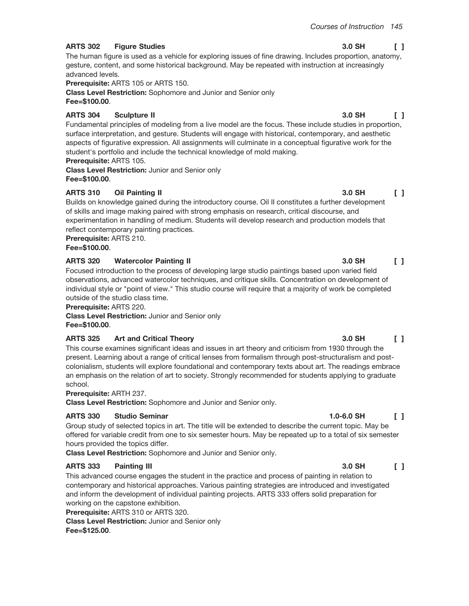#### **ARTS 302 Figure Studies**

The human figure is used as a vehicle for exploring issues of fine drawing. Includes proportion, anatomy, gesture, content, and some historical background. May be repeated with instruction at increasingly advanced levels.

Prerequisite: ARTS 105 or ARTS 150.

**Class Level Restriction:** Sophomore and Junior and Senior only Fee=\$100.00.

### **ARTS 304 Sculpture II**

Fundamental principles of modeling from a live model are the focus. These include studies in proportion, surface interpretation, and gesture. Students will engage with historical, contemporary, and aesthetic aspects of figurative expression. All assignments will culminate in a conceptual figurative work for the student's portfolio and include the technical knowledge of mold making.

## **Prerequisite: ARTS 105.**

**Class Level Restriction: Junior and Senior only** Fee=\$100.00.

#### **ARTS 310 Oil Painting II**

Builds on knowledge gained during the introductory course. Oil II constitutes a further development of skills and image making paired with strong emphasis on research, critical discourse, and experimentation in handling of medium. Students will develop research and production models that reflect contemporary painting practices.

Prerequisite: ARTS 210.

Fee=\$100.00.

#### **ARTS 320 Watercolor Painting II**

Focused introduction to the process of developing large studio paintings based upon varied field observations, advanced watercolor techniques, and critique skills. Concentration on development of individual style or "point of view." This studio course will require that a majority of work be completed outside of the studio class time.

Prerequisite: ARTS 220.

**Class Level Restriction: Junior and Senior only** Fee=\$100.00.

#### **ARTS 325 Art and Critical Theory**

This course examines significant ideas and issues in art theory and criticism from 1930 through the present. Learning about a range of critical lenses from formalism through post-structuralism and postcolonialism, students will explore foundational and contemporary texts about art. The readings embrace an emphasis on the relation of art to society. Strongly recommended for students applying to graduate school.

## Prerequisite: ARTH 237.

Class Level Restriction: Sophomore and Junior and Senior only.

#### **ARTS 330 Studio Seminar**

Group study of selected topics in art. The title will be extended to describe the current topic. May be offered for variable credit from one to six semester hours. May be repeated up to a total of six semester hours provided the topics differ.

Class Level Restriction: Sophomore and Junior and Senior only.

#### **ARTS 333 Painting III**

This advanced course engages the student in the practice and process of painting in relation to contemporary and historical approaches. Various painting strategies are introduced and investigated and inform the development of individual painting projects. ARTS 333 offers solid preparation for working on the capstone exhibition.

Prerequisite: ARTS 310 or ARTS 320.

**Class Level Restriction: Junior and Senior only** Fee=\$125.00.

#### 3.0 SH  $\Box$

#### 3.0 SH  $\mathsf{L}$

## 3.0 SH  $\Box$

## 3.0 SH

 $\Box$ 

 $1.0 - 6.0$  SH

## 3.0 SH  $\Box$

## $\mathsf{L}$

## 3.0 SH  $\begin{bmatrix} 1 \end{bmatrix}$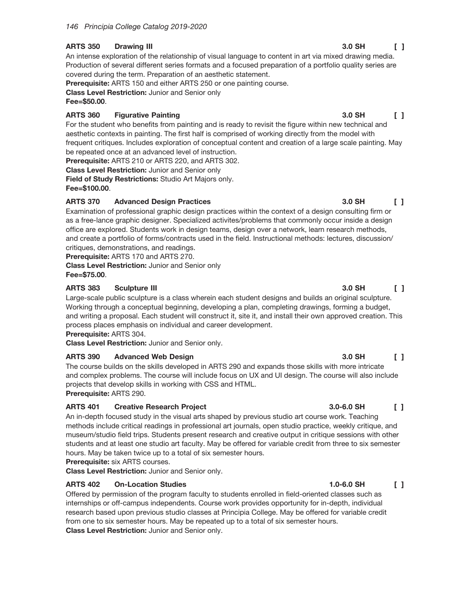#### **ARTS 350 Drawing III**

An intense exploration of the relationship of visual language to content in art via mixed drawing media. Production of several different series formats and a focused preparation of a portfolio quality series are covered during the term. Preparation of an aesthetic statement.

Prerequisite: ARTS 150 and either ARTS 250 or one painting course.

**Class Level Restriction: Junior and Senior only** Fee=\$50.00.

#### **ARTS 360 Figurative Painting**

For the student who benefits from painting and is ready to revisit the figure within new technical and aesthetic contexts in painting. The first half is comprised of working directly from the model with frequent critiques. Includes exploration of conceptual content and creation of a large scale painting. May be repeated once at an advanced level of instruction.

Prerequisite: ARTS 210 or ARTS 220, and ARTS 302.

**Class Level Restriction: Junior and Senior only** 

Field of Study Restrictions: Studio Art Majors only. Fee=\$100.00.

### **ARTS 370 Advanced Design Practices**

Examination of professional graphic design practices within the context of a design consulting firm or as a free-lance graphic designer. Specialized activites/problems that commonly occur inside a design office are explored. Students work in design teams, design over a network, learn research methods, and create a portfolio of forms/contracts used in the field. Instructional methods: lectures, discussion/ critiques, demonstrations, and readings.

Prerequisite: ARTS 170 and ARTS 270.

**Class Level Restriction: Junior and Senior only** Fee=\$75.00.

### **ARTS 383 Sculpture III**

Large-scale public sculpture is a class wherein each student designs and builds an original sculpture. Working through a conceptual beginning, developing a plan, completing drawings, forming a budget, and writing a proposal. Each student will construct it, site it, and install their own approved creation. This process places emphasis on individual and career development.

Prerequisite: ARTS 304.

Class Level Restriction: Junior and Senior only.

#### **ARTS 390 Advanced Web Design**

The course builds on the skills developed in ARTS 290 and expands those skills with more intricate and complex problems. The course will include focus on UX and UI design. The course will also include projects that develop skills in working with CSS and HTML. Prerequisite: ARTS 290.

#### **ARTS 401 Creative Research Project**

An in-depth focused study in the visual arts shaped by previous studio art course work. Teaching methods include critical readings in professional art journals, open studio practice, weekly critique, and museum/studio field trips. Students present research and creative output in critique sessions with other students and at least one studio art faculty. May be offered for variable credit from three to six semester hours. May be taken twice up to a total of six semester hours.

Prerequisite: six ARTS courses.

Class Level Restriction: Junior and Senior only.

## **ARTS 402 On-Location Studies**

Offered by permission of the program faculty to students enrolled in field-oriented classes such as internships or off-campus independents. Course work provides opportunity for in-depth, individual research based upon previous studio classes at Principia College. May be offered for variable credit from one to six semester hours. May be repeated up to a total of six semester hours. Class Level Restriction: Junior and Senior only.

#### 3.0 SH  $\Box$

### 3.0 SH  $\Box$

 $\Box$ 

### 3.0 SH  $\Box$

3.0 SH

 $\begin{smallmatrix}1\end{smallmatrix}$ 

3.0 SH

#### 3.0-6.0 SH  $\Box$

#### $1.0 - 6.0$  SH  $\Box$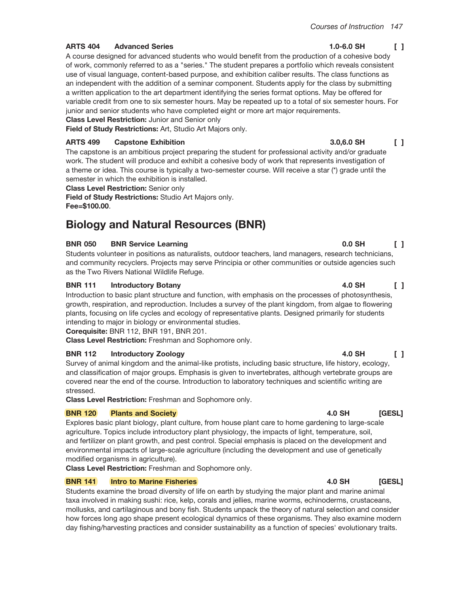## Courses of Instruction 147

 $\begin{smallmatrix}1\end{smallmatrix}$ 

 $1.0 - 6.0$  SH

#### **ARTS 404 Advanced Series**

A course designed for advanced students who would benefit from the production of a cohesive body of work, commonly referred to as a "series." The student prepares a portfolio which reveals consistent use of visual language, content-based purpose, and exhibition caliber results. The class functions as an independent with the addition of a seminar component. Students apply for the class by submitting a written application to the art department identifying the series format options. May be offered for variable credit from one to six semester hours. May be repeated up to a total of six semester hours. For junior and senior students who have completed eight or more art major requirements.

**Class Level Restriction: Junior and Senior only** 

Field of Study Restrictions: Art, Studio Art Majors only.

#### **ARTS 499 Capstone Exhibition**

The capstone is an ambitious project preparing the student for professional activity and/or graduate work. The student will produce and exhibit a cohesive body of work that represents investigation of a theme or idea. This course is typically a two-semester course. Will receive a star (\*) grade until the semester in which the exhibition is installed.

**Class Level Restriction: Senior only** 

Field of Study Restrictions: Studio Art Majors only. Fee=\$100.00.

# **Biology and Natural Resources (BNR)**

#### **BNR 050 BNR Service Learning**

Students volunteer in positions as naturalists, outdoor teachers, land managers, research technicians, and community recyclers. Projects may serve Principia or other communities or outside agencies such as the Two Rivers National Wildlife Refuge.

#### **BNR 111 Introductory Botany**

Introduction to basic plant structure and function, with emphasis on the processes of photosynthesis, growth, respiration, and reproduction. Includes a survey of the plant kingdom, from algae to flowering plants, focusing on life cycles and ecology of representative plants. Designed primarily for students intending to major in biology or environmental studies.

Corequisite: BNR 112, BNR 191, BNR 201.

Class Level Restriction: Freshman and Sophomore only.

#### **BNR 112 Introductory Zoology**

Survey of animal kingdom and the animal-like protists, including basic structure, life history, ecology, and classification of major groups. Emphasis is given to invertebrates, although vertebrate groups are covered near the end of the course. Introduction to laboratory techniques and scientific writing are stressed.

Class Level Restriction: Freshman and Sophomore only.

#### **BNR 120 Plants and Society**

Explores basic plant biology, plant culture, from house plant care to home gardening to large-scale agriculture. Topics include introductory plant physiology, the impacts of light, temperature, soil, and fertilizer on plant growth, and pest control. Special emphasis is placed on the development and environmental impacts of large-scale agriculture (including the development and use of genetically modified organisms in agriculture).

Class Level Restriction: Freshman and Sophomore only.

#### **BNR 141 Intro to Marine Fisheries**

Students examine the broad diversity of life on earth by studying the major plant and marine animal taxa involved in making sushi: rice, kelp, corals and jellies, marine worms, echinoderms, crustaceans, mollusks, and cartilaginous and bony fish. Students unpack the theory of natural selection and consider how forces long ago shape present ecological dynamics of these organisms. They also examine modern day fishing/harvesting practices and consider sustainability as a function of species' evolutionary traits.

#### 3.0.6.0 SH  $\Box$

#### 4.0 SH  $\Box$

 $\Box$ 

 $0.0$  SH

## 4.0 SH  $\begin{smallmatrix}1\end{smallmatrix}$

## 4.0 SH [GESL]

#### 4.0 SH **IGESL1**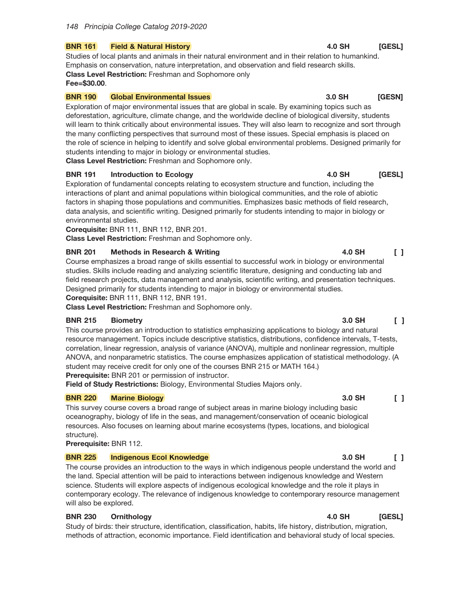#### **BNR 161 Field & Natural History**

Studies of local plants and animals in their natural environment and in their relation to humankind. Emphasis on conservation, nature interpretation, and observation and field research skills. **Class Level Restriction: Freshman and Sophomore only** Fee=\$30.00.

#### **BNR 190 Global Environmental Issues**

Exploration of major environmental issues that are global in scale. By examining topics such as deforestation, agriculture, climate change, and the worldwide decline of biological diversity, students will learn to think critically about environmental issues. They will also learn to recognize and sort through the many conflicting perspectives that surround most of these issues. Special emphasis is placed on the role of science in helping to identify and solve global environmental problems. Designed primarily for students intending to major in biology or environmental studies. **Class Level Restriction:** Freshman and Sophomore only.

#### **BNR 191 Introduction to Ecology**

Exploration of fundamental concepts relating to ecosystem structure and function, including the interactions of plant and animal populations within biological communities, and the role of abiotic factors in shaping those populations and communities. Emphasizes basic methods of field research, data analysis, and scientific writing. Designed primarily for students intending to major in biology or environmental studies.

Corequisite: BNR 111, BNR 112, BNR 201.

Class Level Restriction: Freshman and Sophomore only.

#### **BNR 201 Methods in Research & Writing**

Course emphasizes a broad range of skills essential to successful work in biology or environmental studies. Skills include reading and analyzing scientific literature, designing and conducting lab and field research projects, data management and analysis, scientific writing, and presentation techniques. Designed primarily for students intending to major in biology or environmental studies. Corequisite: BNR 111, BNR 112, BNR 191.

Class Level Restriction: Freshman and Sophomore only.

#### **BNR 215 Biometry**

This course provides an introduction to statistics emphasizing applications to biology and natural resource management. Topics include descriptive statistics, distributions, confidence intervals, T-tests, correlation, linear regression, analysis of variance (ANOVA), multiple and nonlinear regression, multiple ANOVA, and nonparametric statistics. The course emphasizes application of statistical methodology. (A student may receive credit for only one of the courses BNR 215 or MATH 164.) **Prerequisite:** BNR 201 or permission of instructor.

Field of Study Restrictions: Biology, Environmental Studies Majors only.

#### **BNR 220 Marine Biology**

This survey course covers a broad range of subject areas in marine biology including basic oceanography, biology of life in the seas, and management/conservation of oceanic biological resources. Also focuses on learning about marine ecosystems (types, locations, and biological structure).

Prerequisite: BNR 112.

#### **BNR 225 Indigenous Ecol Knowledge**

The course provides an introduction to the ways in which indigenous people understand the world and the land. Special attention will be paid to interactions between indigenous knowledge and Western science. Students will explore aspects of indigenous ecological knowledge and the role it plays in contemporary ecology. The relevance of indigenous knowledge to contemporary resource management will also be explored.

#### **BNR 230 Ornithology**

Study of birds: their structure, identification, classification, habits, life history, distribution, migration, methods of attraction, economic importance. Field identification and behavioral study of local species.

#### 4.0 SH [GESL]

**4.0 SH** 

3.0 SH [GESN]

## 3.0 SH  $\Box$

 $\mathsf{L}$ 

3.0 SH

#### 3.0 SH  $\Box$

#### 4.0 SH [GESL]

**IGESL1** 

4.0 SH  $\Box$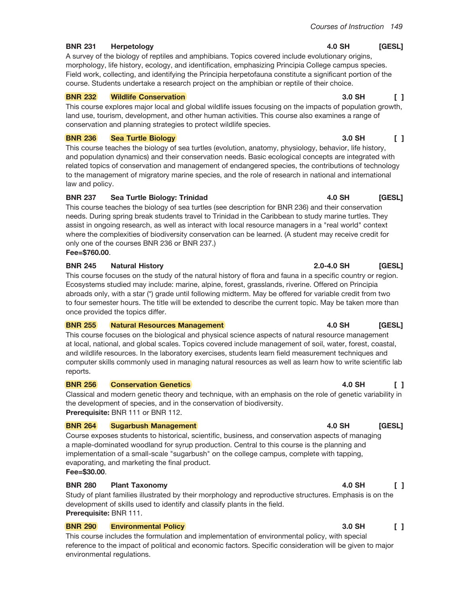#### **BNR 231** Herpetology

A survey of the biology of reptiles and amphibians. Topics covered include evolutionary origins, morphology, life history, ecology, and identification, emphasizing Principia College campus species. Field work, collecting, and identifying the Principia herpetofauna constitute a significant portion of the course. Students undertake a research project on the amphibian or reptile of their choice.

#### **BNR 232 Wildlife Conservation**

This course explores major local and global wildlife issues focusing on the impacts of population growth, land use, tourism, development, and other human activities. This course also examines a range of conservation and planning strategies to protect wildlife species.

#### **BNR 236 Sea Turtle Biology**

This course teaches the biology of sea turtles (evolution, anatomy, physiology, behavior, life history, and population dynamics) and their conservation needs. Basic ecological concepts are integrated with related topics of conservation and management of endangered species, the contributions of technology to the management of migratory marine species, and the role of research in national and international law and policy.

### **BNR 237** Sea Turtle Biology: Trinidad

This course teaches the biology of sea turtles (see description for BNR 236) and their conservation needs. During spring break students travel to Trinidad in the Caribbean to study marine turtles. They assist in ongoing research, as well as interact with local resource managers in a "real world" context where the complexities of biodiversity conservation can be learned. (A student may receive credit for only one of the courses BNR 236 or BNR 237.) Fee=\$760.00.

#### **BNR 245 Natural History**

This course focuses on the study of the natural history of flora and fauna in a specific country or region. Ecosystems studied may include: marine, alpine, forest, grasslands, riverine. Offered on Principia abroads only, with a star (\*) grade until following midterm. May be offered for variable credit from two to four semester hours. The title will be extended to describe the current topic. May be taken more than once provided the topics differ.

#### **BNR 255 Natural Resources Management**

This course focuses on the biological and physical science aspects of natural resource management at local, national, and global scales. Topics covered include management of soil, water, forest, coastal, and wildlife resources. In the laboratory exercises, students learn field measurement techniques and computer skills commonly used in managing natural resources as well as learn how to write scientific lab reports.

#### **BNR 256 Conservation Genetics**

Classical and modern genetic theory and technique, with an emphasis on the role of genetic variability in the development of species, and in the conservation of biodiversity. Prerequisite: BNR 111 or BNR 112.

#### **BNR 264 Sugarbush Management**

Course exposes students to historical, scientific, business, and conservation aspects of managing a maple-dominated woodland for syrup production. Central to this course is the planning and implementation of a small-scale "sugarbush" on the college campus, complete with tapping, evaporating, and marketing the final product.

## Fee=\$30.00.

#### **BNR 280 Plant Taxonomy**

Study of plant families illustrated by their morphology and reproductive structures. Emphasis is on the development of skills used to identify and classify plants in the field. Prerequisite: BNR 111.

#### **BNR 290 Environmental Policy**

This course includes the formulation and implementation of environmental policy, with special reference to the impact of political and economic factors. Specific consideration will be given to major environmental regulations.

### 3.0 SH  $\Box$

#### 3.0 SH  $\begin{bmatrix} 1 \end{bmatrix}$

### 4.0 SH [GESL]

[GESL]

## 4.0 SH [GESL]

2.0-4.0 SH

#### 4.0 SH  $\Box$

## **4.0 SH** [GESL]

## 4.0 SH  $\mathsf{F}$

#### 3.0 SH  $\Box$

## 4.0 SH [GESL]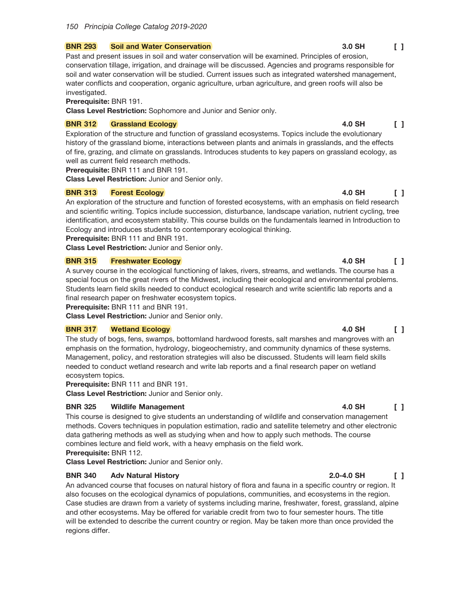#### **BNR 293 Soil and Water Conservation**

Past and present issues in soil and water conservation will be examined. Principles of erosion, conservation tillage, irrigation, and drainage will be discussed. Agencies and programs responsible for soil and water conservation will be studied. Current issues such as integrated watershed management, water conflicts and cooperation, organic agriculture, urban agriculture, and green roofs will also be investigated.

## Prerequisite: BNR 191.

Class Level Restriction: Sophomore and Junior and Senior only.

#### **BNR 312 Grassland Ecology**

Exploration of the structure and function of grassland ecosystems. Topics include the evolutionary history of the grassland biome, interactions between plants and animals in grasslands, and the effects of fire, grazing, and climate on grasslands. Introduces students to key papers on grassland ecology, as well as current field research methods.

Prerequisite: BNR 111 and BNR 191.

**Class Level Restriction: Junior and Senior only.** 

#### **BNR 313 Forest Ecology**

An exploration of the structure and function of forested ecosystems, with an emphasis on field research and scientific writing. Topics include succession, disturbance, landscape variation, nutrient cycling, tree identification, and ecosystem stability. This course builds on the fundamentals learned in Introduction to Ecology and introduces students to contemporary ecological thinking.

Prerequisite: BNR 111 and BNR 191.

Class Level Restriction: Junior and Senior only.

#### **BNR 315 Freshwater Ecology**

A survey course in the ecological functioning of lakes, rivers, streams, and wetlands. The course has a special focus on the great rivers of the Midwest, including their ecological and environmental problems. Students learn field skills needed to conduct ecological research and write scientific lab reports and a final research paper on freshwater ecosystem topics.

Prerequisite: BNR 111 and BNR 191.

Class Level Restriction: Junior and Senior only.

#### **BNR 317 Wetland Ecology**

The study of bogs, fens, swamps, bottomland hardwood forests, salt marshes and mangroves with an emphasis on the formation, hydrology, biogeochemistry, and community dynamics of these systems. Management, policy, and restoration strategies will also be discussed. Students will learn field skills needed to conduct wetland research and write lab reports and a final research paper on wetland ecosystem topics.

Prerequisite: BNR 111 and BNR 191.

**Class Level Restriction: Junior and Senior only.** 

#### **BNR 325 Wildlife Management**

This course is designed to give students an understanding of wildlife and conservation management methods. Covers techniques in population estimation, radio and satellite telemetry and other electronic data gathering methods as well as studying when and how to apply such methods. The course combines lecture and field work, with a heavy emphasis on the field work. Prerequisite: BNR 112.

Class Level Restriction: Junior and Senior only.

#### **BNR 340 Adv Natural History**

An advanced course that focuses on natural history of flora and fauna in a specific country or region. It also focuses on the ecological dynamics of populations, communities, and ecosystems in the region. Case studies are drawn from a variety of systems including marine, freshwater, forest, grassland, alpine and other ecosystems. May be offered for variable credit from two to four semester hours. The title will be extended to describe the current country or region. May be taken more than once provided the regions differ.

#### 3.0 SH  $\begin{smallmatrix}1\end{smallmatrix}$

#### 4.0 SH  $\Box$

 $\Box$ 

### 4.0 SH  $\Box$

**4.0 SH** 

## 4.0 SH  $\begin{smallmatrix}1\end{smallmatrix}$

#### 4.0 SH  $\Box$

#### 2.0-4.0 SH  $\begin{bmatrix} 1 \end{bmatrix}$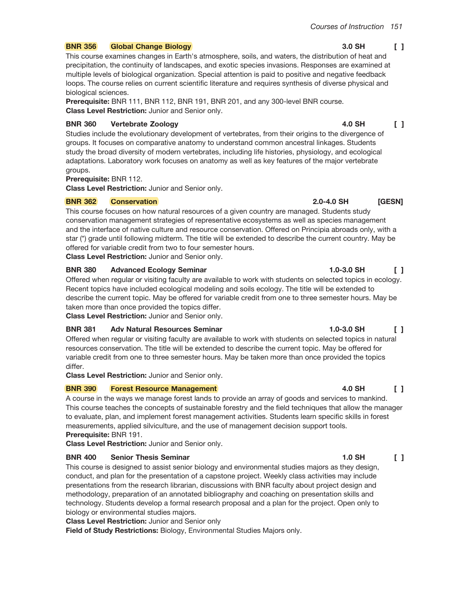#### **BNR 356 Global Change Biology**

This course examines changes in Earth's atmosphere, soils, and waters, the distribution of heat and precipitation, the continuity of landscapes, and exotic species invasions. Responses are examined at multiple levels of biological organization. Special attention is paid to positive and negative feedback loops. The course relies on current scientific literature and requires synthesis of diverse physical and biological sciences.

Prerequisite: BNR 111, BNR 112, BNR 191, BNR 201, and any 300-level BNR course. Class Level Restriction: Junior and Senior only.

#### **BNR 360 Vertebrate Zoology**

Studies include the evolutionary development of vertebrates, from their origins to the divergence of groups. It focuses on comparative anatomy to understand common ancestral linkages. Students study the broad diversity of modern vertebrates, including life histories, physiology, and ecological adaptations. Laboratory work focuses on anatomy as well as key features of the major vertebrate groups.

**Prerequisite: BNR 112.** 

Class Level Restriction: Junior and Senior only.

#### **BNR 362 Conservation**

This course focuses on how natural resources of a given country are managed. Students study conservation management strategies of representative ecosystems as well as species management and the interface of native culture and resource conservation. Offered on Principia abroads only, with a star (\*) grade until following midterm. The title will be extended to describe the current country. May be offered for variable credit from two to four semester hours.

Class Level Restriction: Junior and Senior only.

#### **BNR 380 Advanced Ecology Seminar**

Offered when regular or visiting faculty are available to work with students on selected topics in ecology. Recent topics have included ecological modeling and soils ecology. The title will be extended to describe the current topic. May be offered for variable credit from one to three semester hours. May be taken more than once provided the topics differ.

Class Level Restriction: Junior and Senior only.

#### **BNR 381 Adv Natural Resources Seminar**

Offered when regular or visiting faculty are available to work with students on selected topics in natural resources conservation. The title will be extended to describe the current topic. May be offered for variable credit from one to three semester hours. May be taken more than once provided the topics differ.

Class Level Restriction: Junior and Senior only.

#### **BNR 390 Forest Resource Management**

A course in the ways we manage forest lands to provide an array of goods and services to mankind. This course teaches the concepts of sustainable forestry and the field techniques that allow the manager to evaluate, plan, and implement forest management activities. Students learn specific skills in forest measurements, applied silviculture, and the use of management decision support tools. Prerequisite: BNR 191.

**Class Level Restriction: Junior and Senior only.** 

#### **BNR 400 Senior Thesis Seminar**

This course is designed to assist senior biology and environmental studies majors as they design, conduct, and plan for the presentation of a capstone project. Weekly class activities may include presentations from the research librarian, discussions with BNR faculty about project design and methodology, preparation of an annotated bibliography and coaching on presentation skills and technology. Students develop a formal research proposal and a plan for the project. Open only to biology or environmental studies majors.

**Class Level Restriction: Junior and Senior only** 

Field of Study Restrictions: Biology, Environmental Studies Majors only.

#### 3.0 SH  $\Box$

4.0 SH  $\Box$ 

#### $1.0 - 3.0$  SH  $\Box$

## 4.0 SH  $\Box$

#### $1.0$  SH  $\begin{bmatrix} 1 \end{bmatrix}$

## $1.0 - 3.0$  SH  $\Box$

[GESN]

2.0-4.0 SH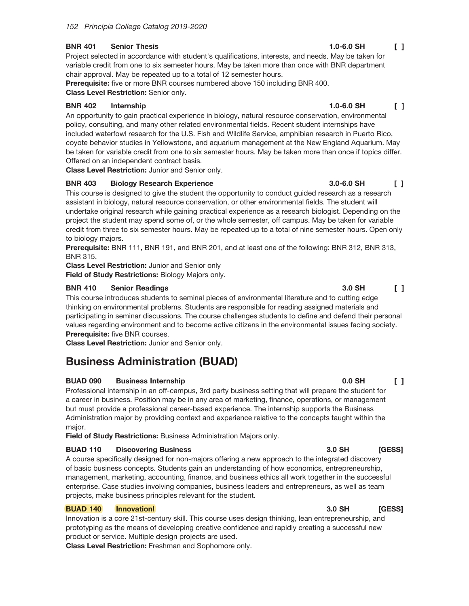#### **BNR 401 Senior Thesis**

Project selected in accordance with student's qualifications, interests, and needs. May be taken for variable credit from one to six semester hours. May be taken more than once with BNR department chair approval. May be repeated up to a total of 12 semester hours.

Prerequisite: five or more BNR courses numbered above 150 including BNR 400. Class Level Restriction: Senior only.

#### **BNR 402** Internship

An opportunity to gain practical experience in biology, natural resource conservation, environmental policy, consulting, and many other related environmental fields. Recent student internships have included waterfowl research for the U.S. Fish and Wildlife Service, amphibian research in Puerto Rico, coyote behavior studies in Yellowstone, and aquarium management at the New England Aquarium. May be taken for variable credit from one to six semester hours. May be taken more than once if topics differ. Offered on an independent contract basis.

Class Level Restriction: Junior and Senior only.

#### **BNR 403 Biology Research Experience**

This course is designed to give the student the opportunity to conduct guided research as a research assistant in biology, natural resource conservation, or other environmental fields. The student will undertake original research while gaining practical experience as a research biologist. Depending on the project the student may spend some of, or the whole semester, off campus. May be taken for variable credit from three to six semester hours. May be repeated up to a total of nine semester hours. Open only to biology majors.

Prerequisite: BNR 111, BNR 191, and BNR 201, and at least one of the following: BNR 312, BNR 313, **BNR 315.** 

**Class Level Restriction: Junior and Senior only** 

Field of Study Restrictions: Biology Majors only.

#### **BNR 410 Senior Readings**

This course introduces students to seminal pieces of environmental literature and to cutting edge thinking on environmental problems. Students are responsible for reading assigned materials and participating in seminar discussions. The course challenges students to define and defend their personal values regarding environment and to become active citizens in the environmental issues facing society. Prerequisite: five BNR courses.

Class Level Restriction: Junior and Senior only.

# **Business Administration (BUAD)**

#### **BUAD 090 Business Internship**

Professional internship in an off-campus, 3rd party business setting that will prepare the student for a career in business. Position may be in any area of marketing, finance, operations, or management but must provide a professional career-based experience. The internship supports the Business Administration major by providing context and experience relative to the concepts taught within the major.

Field of Study Restrictions: Business Administration Majors only.

#### **BUAD 110 Discovering Business**

A course specifically designed for non-majors offering a new approach to the integrated discovery of basic business concepts. Students gain an understanding of how economics, entrepreneurship, management, marketing, accounting, finance, and business ethics all work together in the successful enterprise. Case studies involving companies, business leaders and entrepreneurs, as well as team projects, make business principles relevant for the student.

#### **BUAD 140** Innovation!

Innovation is a core 21st-century skill. This course uses design thinking, lean entrepreneurship, and prototyping as the means of developing creative confidence and rapidly creating a successful new product or service. Multiple design projects are used.

Class Level Restriction: Freshman and Sophomore only.

#### $1.0 - 6.0$  SH  $\begin{smallmatrix}1\end{smallmatrix}$

#### $1.0 - 6.0$  SH  $\Box$

3.0-6.0 SH

#### 0.0 SH  $\begin{smallmatrix}1\end{smallmatrix}$

[GESS]

**[GESS]** 

3.0 SH

3.0 SH

 $\mathsf{L}$ 

3.0 SH  $\Box$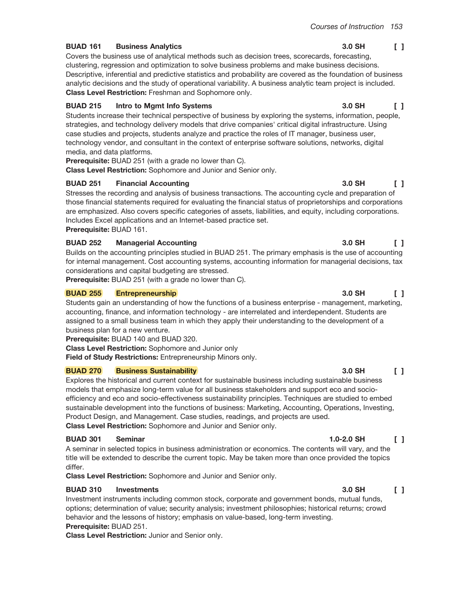3.0 SH

#### **BUAD 161 Business Analytics**

Covers the business use of analytical methods such as decision trees, scorecards, forecasting, clustering, regression and optimization to solve business problems and make business decisions. Descriptive, inferential and predictive statistics and probability are covered as the foundation of business analytic decisions and the study of operational variability. A business analytic team project is included. Class Level Restriction: Freshman and Sophomore only.

#### **BUAD 215** Intro to Mgmt Info Systems

Students increase their technical perspective of business by exploring the systems, information, people, strategies, and technology delivery models that drive companies' critical digital infrastructure. Using case studies and projects, students analyze and practice the roles of IT manager, business user, technology vendor, and consultant in the context of enterprise software solutions, networks, digital media, and data platforms.

**Prerequisite:** BUAD 251 (with a grade no lower than C).

Class Level Restriction: Sophomore and Junior and Senior only.

#### **BUAD 251 Financial Accounting**

Stresses the recording and analysis of business transactions. The accounting cycle and preparation of those financial statements required for evaluating the financial status of proprietorships and corporations are emphasized. Also covers specific categories of assets, liabilities, and equity, including corporations. Includes Excel applications and an Internet-based practice set. Prerequisite: BUAD 161.

#### **BUAD 252 Managerial Accounting**

Builds on the accounting principles studied in BUAD 251. The primary emphasis is the use of accounting for internal management. Cost accounting systems, accounting information for managerial decisions, tax considerations and capital budgeting are stressed.

**Prerequisite:** BUAD 251 (with a grade no lower than C).

#### **BUAD 255 Entrepreneurship**

Students gain an understanding of how the functions of a business enterprise - management, marketing, accounting, finance, and information technology - are interrelated and interdependent. Students are assigned to a small business team in which they apply their understanding to the development of a business plan for a new venture.

Prerequisite: BUAD 140 and BUAD 320.

Class Level Restriction: Sophomore and Junior only

Field of Study Restrictions: Entrepreneurship Minors only.

#### **Business Sustainability BUAD 270**

Explores the historical and current context for sustainable business including sustainable business models that emphasize long-term value for all business stakeholders and support eco and socioefficiency and eco and socio-effectiveness sustainability principles. Techniques are studied to embed sustainable development into the functions of business: Marketing, Accounting, Operations, Investing, Product Design, and Management. Case studies, readings, and projects are used. Class Level Restriction: Sophomore and Junior and Senior only.

#### **BUAD 301 Seminar**

A seminar in selected topics in business administration or economics. The contents will vary, and the title will be extended to describe the current topic. May be taken more than once provided the topics differ.

Class Level Restriction: Sophomore and Junior and Senior only.

#### **BUAD 310 Investments**

Investment instruments including common stock, corporate and government bonds, mutual funds, options; determination of value; security analysis; investment philosophies; historical returns; crowd behavior and the lessons of history; emphasis on value-based, long-term investing. Prerequisite: BUAD 251.

Class Level Restriction: Junior and Senior only.

#### 3.0 SH  $\Box$

 $\Box$ 

 $\Box$ 

#### 3.0 SH  $\Box$

### 3.0 SH  $\mathsf{L}$

3.0 SH

3.0 SH

#### $1.0 - 2.0$  SH  $\Box$

3.0 SH

 $\Box$ 

 $\Box$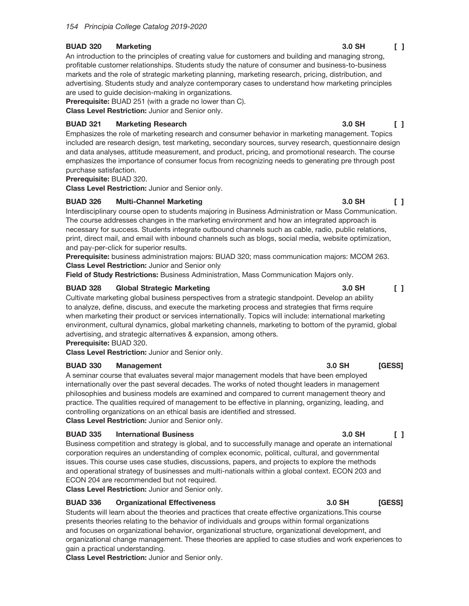#### **BUAD 320 Marketing**

An introduction to the principles of creating value for customers and building and managing strong. profitable customer relationships. Students study the nature of consumer and business-to-business markets and the role of strategic marketing planning, marketing research, pricing, distribution, and advertising. Students study and analyze contemporary cases to understand how marketing principles are used to guide decision-making in organizations.

Prerequisite: BUAD 251 (with a grade no lower than C).

Class Level Restriction: Junior and Senior only.

#### **BUAD 321 Marketing Research**

Emphasizes the role of marketing research and consumer behavior in marketing management. Topics included are research design, test marketing, secondary sources, survey research, questionnaire design and data analyses, attitude measurement, and product, pricing, and promotional research. The course emphasizes the importance of consumer focus from recognizing needs to generating pre through post purchase satisfaction.

Prerequisite: BUAD 320.

Class Level Restriction: Junior and Senior only.

#### **BUAD 326 Multi-Channel Marketing**

Interdisciplinary course open to students majoring in Business Administration or Mass Communication. The course addresses changes in the marketing environment and how an integrated approach is necessary for success. Students integrate outbound channels such as cable, radio, public relations, print, direct mail, and email with inbound channels such as blogs, social media, website optimization, and pay-per-click for superior results.

Prerequisite: business administration majors: BUAD 320; mass communication majors: MCOM 263. **Class Level Restriction: Junior and Senior only** 

Field of Study Restrictions: Business Administration, Mass Communication Majors only.

#### **BUAD 328 Global Strategic Marketing**

Cultivate marketing global business perspectives from a strategic standpoint. Develop an ability to analyze, define, discuss, and execute the marketing process and strategies that firms require when marketing their product or services internationally. Topics will include: international marketing environment, cultural dynamics, global marketing channels, marketing to bottom of the pyramid, global advertising, and strategic alternatives & expansion, among others.

Prerequisite: BUAD 320.

Class Level Restriction: Junior and Senior only.

#### **BUAD 330 Management**

A seminar course that evaluates several major management models that have been employed internationally over the past several decades. The works of noted thought leaders in management philosophies and business models are examined and compared to current management theory and practice. The qualities required of management to be effective in planning, organizing, leading, and controlling organizations on an ethical basis are identified and stressed. Class Level Restriction: Junior and Senior only.

#### **BUAD 335 International Business**

Business competition and strategy is global, and to successfully manage and operate an international corporation requires an understanding of complex economic, political, cultural, and governmental issues. This course uses case studies, discussions, papers, and projects to explore the methods and operational strategy of businesses and multi-nationals within a global context. ECON 203 and ECON 204 are recommended but not required.

Class Level Restriction: Junior and Senior only.

#### **BUAD 336 Organizational Effectiveness**

Students will learn about the theories and practices that create effective organizations. This course presents theories relating to the behavior of individuals and groups within formal organizations and focuses on organizational behavior, organizational structure, organizational development, and organizational change management. These theories are applied to case studies and work experiences to gain a practical understanding.

Class Level Restriction: Junior and Senior only.

#### 3.0 SH  $\Box$

## 3.0 SH  $\Box$

#### 3.0 SH  $\Box$

[GESS]

## **[GESS]**

 $\Box$ 

 $\Box$ 

3.0 SH

3.0 SH

3.0 SH

3.0 SH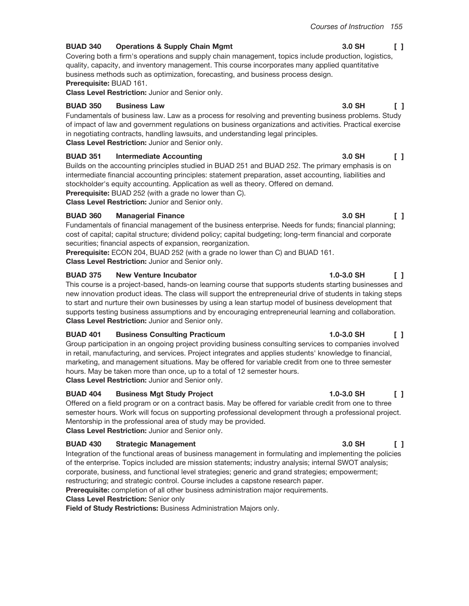3.0 SH

3.0 SH

3.0 SH

#### **BUAD 340 Operations & Supply Chain Mgmt**

Covering both a firm's operations and supply chain management, topics include production, logistics, quality, capacity, and inventory management. This course incorporates many applied quantitative business methods such as optimization, forecasting, and business process design. Prerequisite: BUAD 161.

Class Level Restriction: Junior and Senior only.

#### **BUAD 350 Business Law**

Fundamentals of business law. Law as a process for resolving and preventing business problems. Study of impact of law and government regulations on business organizations and activities. Practical exercise in negotiating contracts, handling lawsuits, and understanding legal principles. Class Level Restriction: Junior and Senior only.

### **BUAD 351 Intermediate Accounting**

Builds on the accounting principles studied in BUAD 251 and BUAD 252. The primary emphasis is on intermediate financial accounting principles: statement preparation, asset accounting, liabilities and stockholder's equity accounting. Application as well as theory. Offered on demand.

Prerequisite: BUAD 252 (with a grade no lower than C).

Class Level Restriction: Junior and Senior only.

#### **BUAD 360 Managerial Finance**

Fundamentals of financial management of the business enterprise. Needs for funds; financial planning; cost of capital; capital structure; dividend policy; capital budgeting; long-term financial and corporate securities; financial aspects of expansion, reorganization.

Prerequisite: ECON 204, BUAD 252 (with a grade no lower than C) and BUAD 161.

Class Level Restriction: Junior and Senior only.

### **BUAD 375 New Venture Incubator**

This course is a project-based, hands-on learning course that supports students starting businesses and new innovation product ideas. The class will support the entrepreneurial drive of students in taking steps to start and nurture their own businesses by using a lean startup model of business development that supports testing business assumptions and by encouraging entrepreneurial learning and collaboration. Class Level Restriction: Junior and Senior only.

#### **Business Consulting Practicum BUAD 401**

Group participation in an ongoing project providing business consulting services to companies involved in retail, manufacturing, and services. Project integrates and applies students' knowledge to financial, marketing, and management situations. May be offered for variable credit from one to three semester hours. May be taken more than once, up to a total of 12 semester hours. Class Level Restriction: Junior and Senior only.

#### **BUAD 404 Business Mgt Study Project**

Offered on a field program or on a contract basis. May be offered for variable credit from one to three semester hours. Work will focus on supporting professional development through a professional project. Mentorship in the professional area of study may be provided.

Class Level Restriction: Junior and Senior only.

## **BUAD 430 Strategic Management**

Integration of the functional areas of business management in formulating and implementing the policies of the enterprise. Topics included are mission statements; industry analysis; internal SWOT analysis; corporate, business, and functional level strategies; generic and grand strategies; empowerment; restructuring; and strategic control. Course includes a capstone research paper.

**Prerequisite:** completion of all other business administration major requirements.

## **Class Level Restriction: Senior only**

Field of Study Restrictions: Business Administration Majors only.

 $\Box$ 

 $\Box$ 

 $\mathsf{L}$ 

 $\Box$ 

## 3.0 SH

## $1.0 - 3.0$  SH  $\Box$

 $1.0 - 3.0$  SH

## $1.0 - 3.0$  SH  $\Box$

## 3.0 SH

## $\mathsf{L}$

# $\Box$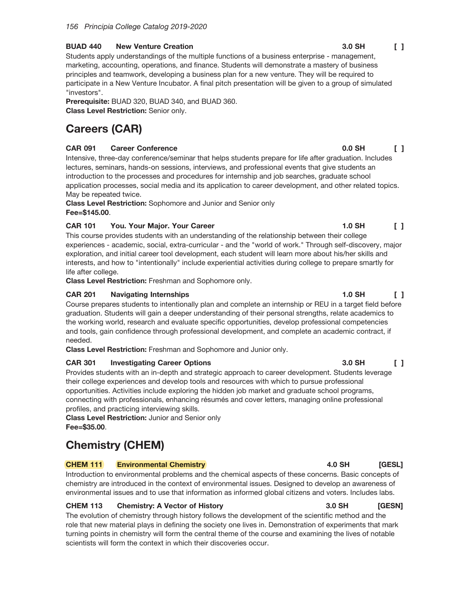#### **BUAD 440 New Venture Creation**

Students apply understandings of the multiple functions of a business enterprise - management, marketing, accounting, operations, and finance. Students will demonstrate a mastery of business principles and teamwork, developing a business plan for a new venture. They will be required to participate in a New Venture Incubator. A final pitch presentation will be given to a group of simulated "investors".

Prerequisite: BUAD 320, BUAD 340, and BUAD 360. Class Level Restriction: Senior only.

# **Careers (CAR)**

### **CAR 091 Career Conference**

Intensive, three-day conference/seminar that helps students prepare for life after graduation. Includes lectures, seminars, hands-on sessions, interviews, and professional events that give students an introduction to the processes and procedures for internship and job searches, graduate school application processes, social media and its application to career development, and other related topics. May be repeated twice.

**Class Level Restriction:** Sophomore and Junior and Senior only Fee=\$145.00

## **CAR 101** You. Your Major. Your Career

This course provides students with an understanding of the relationship between their college experiences - academic, social, extra-curricular - and the "world of work." Through self-discovery, major exploration, and initial career tool development, each student will learn more about his/her skills and interests, and how to "intentionally" include experiential activities during college to prepare smartly for life after college.

Class Level Restriction: Freshman and Sophomore only.

#### **CAR 201 Navigating Internships**

Course prepares students to intentionally plan and complete an internship or REU in a target field before graduation. Students will gain a deeper understanding of their personal strengths, relate academics to the working world, research and evaluate specific opportunities, develop professional competencies and tools, gain confidence through professional development, and complete an academic contract, if needed.

Class Level Restriction: Freshman and Sophomore and Junior only.

## **Investigating Career Options CAR 301**

Provides students with an in-depth and strategic approach to career development. Students leverage their college experiences and develop tools and resources with which to pursue professional opportunities. Activities include exploring the hidden job market and graduate school programs, connecting with professionals, enhancing résumés and cover letters, managing online professional profiles, and practicing interviewing skills.

**Class Level Restriction: Junior and Senior only** Fee=\$35.00.

# **Chemistry (CHEM)**

## **CHEM 111 Environmental Chemistry**

Introduction to environmental problems and the chemical aspects of these concerns. Basic concepts of chemistry are introduced in the context of environmental issues. Designed to develop an awareness of environmental issues and to use that information as informed global citizens and voters. Includes labs.

## **CHEM 113 Chemistry: A Vector of History**

The evolution of chemistry through history follows the development of the scientific method and the role that new material plays in defining the society one lives in. Demonstration of experiments that mark turning points in chemistry will form the central theme of the course and examining the lives of notable scientists will form the context in which their discoveries occur.

#### 3.0 SH  $\Box$

 $0.0$  SH  $\sqrt{1}$ 

### $1.0$  SH  $\Box$

#### 3.0 SH  $\Box$

**IGESLI** 

4.0 SH

#### 3.0 SH **[GESN]**

## **1.0 SH**  $\begin{smallmatrix}1\end{smallmatrix}$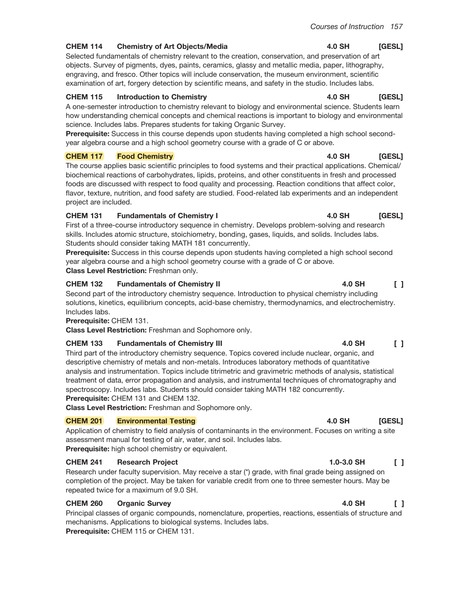4.0 SH

4.0 SH

4.0 SH

**4.0 SH** 

#### **CHEM 114 Chemistry of Art Objects/Media**

Selected fundamentals of chemistry relevant to the creation, conservation, and preservation of art objects. Survey of pigments, dyes, paints, ceramics, glassy and metallic media, paper, lithography, engraving, and fresco. Other topics will include conservation, the museum environment, scientific examination of art, forgery detection by scientific means, and safety in the studio. Includes labs.

#### **CHEM 115 Introduction to Chemistry**

A one-semester introduction to chemistry relevant to biology and environmental science. Students learn how understanding chemical concepts and chemical reactions is important to biology and environmental science. Includes labs. Prepares students for taking Organic Survey.

Prerequisite: Success in this course depends upon students having completed a high school secondyear algebra course and a high school geometry course with a grade of C or above.

#### **CHEM 117 Food Chemistry**

The course applies basic scientific principles to food systems and their practical applications. Chemical/ biochemical reactions of carbohydrates, lipids, proteins, and other constituents in fresh and processed foods are discussed with respect to food quality and processing. Reaction conditions that affect color, flavor, texture, nutrition, and food safety are studied. Food-related lab experiments and an independent project are included.

#### **CHEM 131 Fundamentals of Chemistry I**

First of a three-course introductory sequence in chemistry. Develops problem-solving and research skills. Includes atomic structure, stoichiometry, bonding, gases, liquids, and solids. Includes labs. Students should consider taking MATH 181 concurrently.

Prerequisite: Success in this course depends upon students having completed a high school second year algebra course and a high school geometry course with a grade of C or above. Class Level Restriction: Freshman only.

#### **CHEM 132 Fundamentals of Chemistry II**

Second part of the introductory chemistry sequence. Introduction to physical chemistry including solutions, kinetics, equilibrium concepts, acid-base chemistry, thermodynamics, and electrochemistry. Includes labs.

Prerequisite: CHEM 131.

Class Level Restriction: Freshman and Sophomore only.

#### **CHEM 133 Fundamentals of Chemistry III**

Third part of the introductory chemistry sequence. Topics covered include nuclear, organic, and descriptive chemistry of metals and non-metals. Introduces laboratory methods of quantitative analysis and instrumentation. Topics include titrimetric and gravimetric methods of analysis, statistical treatment of data, error propagation and analysis, and instrumental techniques of chromatography and spectroscopy. Includes labs. Students should consider taking MATH 182 concurrently. Prerequisite: CHEM 131 and CHEM 132.

Class Level Restriction: Freshman and Sophomore only.

#### **CHEM 201 Environmental Testing**

Application of chemistry to field analysis of contaminants in the environment. Focuses on writing a site assessment manual for testing of air, water, and soil. Includes labs. Prerequisite: high school chemistry or equivalent.

#### **CHEM 241 Research Project**

Research under faculty supervision. May receive a star (\*) grade, with final grade being assigned on completion of the project. May be taken for variable credit from one to three semester hours. May be repeated twice for a maximum of 9.0 SH.

#### **CHEM 260 Organic Survey**

Principal classes of organic compounds, nomenclature, properties, reactions, essentials of structure and mechanisms. Applications to biological systems. Includes labs. Prerequisite: CHEM 115 or CHEM 131.

### **4.0 SH**  $\Box$

[GESL] **4.0 SH** 

## $1.0 - 3.0$  SH  $\Box$

 $\Box$ 

**4.0 SH** 

#### 4.0 SH  $\begin{smallmatrix}1\end{smallmatrix}$

[GESL]

[GESL]

[GESL]

[GESL]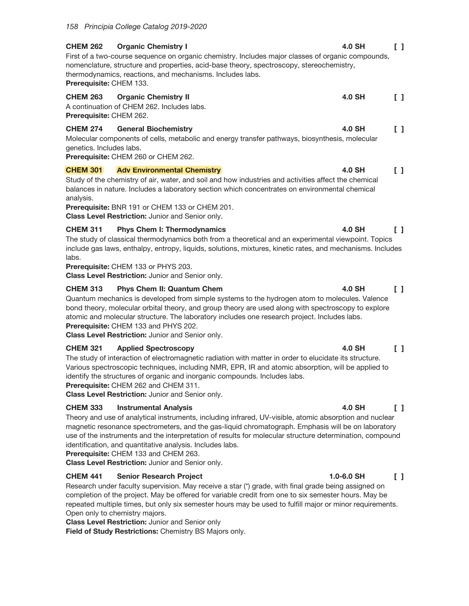## **CHEM 262 Organic Chemistry I**  $\Box$ First of a two-course sequence on organic chemistry. Includes major classes of organic compounds. nomenclature, structure and properties, acid-base theory, spectroscopy, stereochemistry, thermodynamics, reactions, and mechanisms. Includes labs. Prerequisite: CHEM 133. **CHEM 263 Organic Chemistry II** 4.0 SH  $\begin{bmatrix} 1 \end{bmatrix}$ A continuation of CHEM 262. Includes labs. Prerequisite: CHEM 262.  $\begin{bmatrix} 1 \end{bmatrix}$ **CHEM 274 General Biochemistry** 4.0 SH

Molecular components of cells, metabolic and energy transfer pathways, biosynthesis, molecular genetics. Includes labs.

Prerequisite: CHEM 260 or CHEM 262.

#### **Adv Environmental Chemistry CHEM 301** 4.0 SH  $\Box$

Study of the chemistry of air, water, and soil and how industries and activities affect the chemical balances in nature. Includes a laboratory section which concentrates on environmental chemical analysis.

Prerequisite: BNR 191 or CHEM 133 or CHEM 201.

Class Level Restriction: Junior and Senior only.

#### **CHEM 311 Phys Chem I: Thermodynamics**

The study of classical thermodynamics both from a theoretical and an experimental viewpoint. Topics include gas laws, enthalpy, entropy, liquids, solutions, mixtures, kinetic rates, and mechanisms. Includes labs.

Prerequisite: CHEM 133 or PHYS 203.

**Class Level Restriction: Junior and Senior only.** 

#### **CHEM 313 Phys Chem II: Quantum Chem**

Quantum mechanics is developed from simple systems to the hydrogen atom to molecules. Valence bond theory, molecular orbital theory, and group theory are used along with spectroscopy to explore atomic and molecular structure. The laboratory includes one research project. Includes labs. Prerequisite: CHEM 133 and PHYS 202.

Class Level Restriction: Junior and Senior only.

#### **CHEM 321 Applied Spectroscopy**

The study of interaction of electromagnetic radiation with matter in order to elucidate its structure. Various spectroscopic techniques, including NMR, EPR, IR and atomic absorption, will be applied to identify the structures of organic and inorganic compounds. Includes labs.

Prerequisite: CHEM 262 and CHEM 311.

Class Level Restriction: Junior and Senior only.

#### **CHEM 333 Instrumental Analysis**

Theory and use of analytical instruments, including infrared, UV-visible, atomic absorption and nuclear magnetic resonance spectrometers, and the gas-liquid chromatograph. Emphasis will be on laboratory use of the instruments and the interpretation of results for molecular structure determination, compound identification, and quantitative analysis. Includes labs.

Prerequisite: CHEM 133 and CHEM 263.

Class Level Restriction: Junior and Senior only.

#### **CHEM 441 Senior Research Project**

Research under faculty supervision. May receive a star (\*) grade, with final grade being assigned on completion of the project. May be offered for variable credit from one to six semester hours. May be repeated multiple times, but only six semester hours may be used to fulfill major or minor requirements. Open only to chemistry majors.

**Class Level Restriction: Junior and Senior only** 

Field of Study Restrictions: Chemistry BS Majors only.

## 4.0 SH

## **4.0 SH**  $\Box$

 $\mathsf{L}$ 

4.0 SH

#### 4.0 SH  $\begin{smallmatrix}1\end{smallmatrix}$

#### 4.0 SH  $\begin{smallmatrix}1\end{smallmatrix}$

#### 1.0-6.0 SH  $\Box$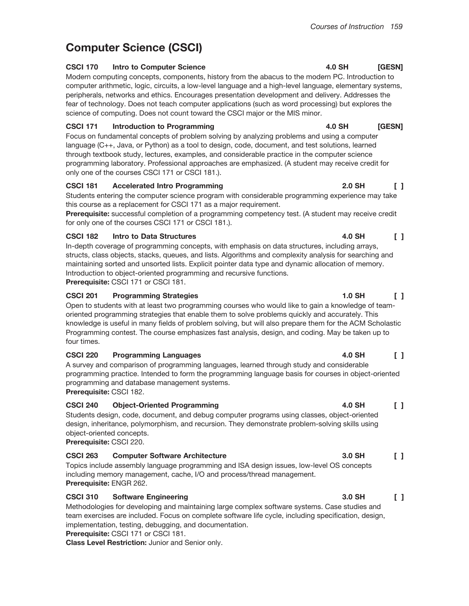**4.0 SH** 

# **Computer Science (CSCI)**

### **CSCI 170 Intro to Computer Science**

Modern computing concepts, components, history from the abacus to the modern PC. Introduction to computer arithmetic, logic, circuits, a low-level language and a high-level language, elementary systems, peripherals, networks and ethics. Encourages presentation development and delivery. Addresses the fear of technology. Does not teach computer applications (such as word processing) but explores the science of computing. Does not count toward the CSCI major or the MIS minor.

## **CSCI 171 Introduction to Programming**

Focus on fundamental concepts of problem solving by analyzing problems and using a computer language (C++, Java, or Python) as a tool to design, code, document, and test solutions, learned through textbook study, lectures, examples, and considerable practice in the computer science programming laboratory. Professional approaches are emphasized. (A student may receive credit for only one of the courses CSCI 171 or CSCI 181.).

#### **CSCI 181 Accelerated Intro Programming**

Students entering the computer science program with considerable programming experience may take this course as a replacement for CSCI 171 as a major requirement.

Prerequisite: successful completion of a programming competency test. (A student may receive credit for only one of the courses CSCI 171 or CSCI 181.).

## **CSCI 182 Intro to Data Structures**

In-depth coverage of programming concepts, with emphasis on data structures, including arrays, structs, class objects, stacks, queues, and lists. Algorithms and complexity analysis for searching and maintaining sorted and unsorted lists. Explicit pointer data type and dynamic allocation of memory. Introduction to object-oriented programming and recursive functions.

Prerequisite: CSCI 171 or CSCI 181.

## **CSCI 201 Programming Strategies**

Open to students with at least two programming courses who would like to gain a knowledge of teamoriented programming strategies that enable them to solve problems quickly and accurately. This knowledge is useful in many fields of problem solving, but will also prepare them for the ACM Scholastic Programming contest. The course emphasizes fast analysis, design, and coding. May be taken up to four times.

## **CSCI 220 Programming Languages**

A survey and comparison of programming languages, learned through study and considerable programming practice. Intended to form the programming language basis for courses in object-oriented programming and database management systems. Prerequisite: CSCI 182.

## **CSCI 240 Object-Oriented Programming**

Students design, code, document, and debug computer programs using classes, object-oriented design, inheritance, polymorphism, and recursion. They demonstrate problem-solving skills using object-oriented concepts.

Prerequisite: CSCI 220.

## **CSCI 263 Computer Software Architecture**

Topics include assembly language programming and ISA design issues, low-level OS concepts including memory management, cache, I/O and process/thread management. Prerequisite: ENGR 262.

## **CSCI 310 Software Engineering**

Methodologies for developing and maintaining large complex software systems. Case studies and team exercises are included. Focus on complete software life cycle, including specification, design, implementation, testing, debugging, and documentation.

Prerequisite: CSCI 171 or CSCI 181.

Class Level Restriction: Junior and Senior only.

#### 4.0 SH [GESN]

## 2.0 SH  $\Box$

[GESN]

 $\Box$ 

4.0 SH

## **4.0 SH**  $\Box$

## 3.0 SH  $\Box$

#### 3.0 SH  $\Box$

### 1.0 SH  $\Box$

#### 4.0 SH  $\Box$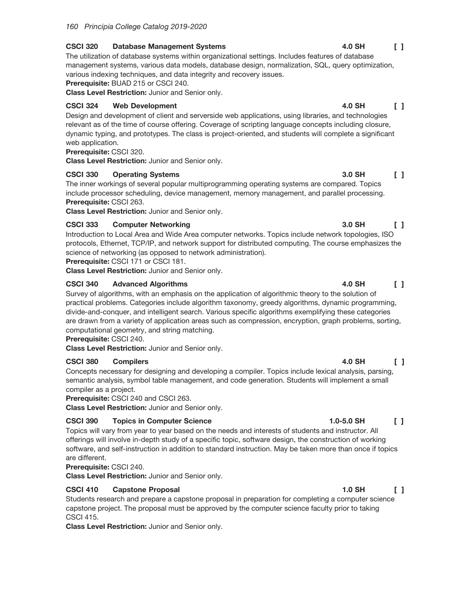#### **CSCI 320 Database Management Systems**

The utilization of database systems within organizational settings. Includes features of database management systems, various data models, database design, normalization, SQL, query optimization, various indexing techniques, and data integrity and recovery issues.

Prerequisite: BUAD 215 or CSCI 240.

Class Level Restriction: Junior and Senior only.

#### **CSCI 324 Web Development**

Design and development of client and serverside web applications, using libraries, and technologies relevant as of the time of course offering. Coverage of scripting language concepts including closure, dynamic typing, and prototypes. The class is project-oriented, and students will complete a significant web application.

## Prerequisite: CSCI 320.

**Class Level Restriction: Junior and Senior only.** 

#### **CSCI 330 Operating Systems**

The inner workings of several popular multiprogramming operating systems are compared. Topics include processor scheduling, device management, memory management, and parallel processing. Prerequisite: CSCI 263.

Class Level Restriction: Junior and Senior only.

### **CSCI 333 Computer Networking**

Introduction to Local Area and Wide Area computer networks. Topics include network topologies, ISO protocols, Ethernet, TCP/IP, and network support for distributed computing. The course emphasizes the science of networking (as opposed to network administration).

Prerequisite: CSCI 171 or CSCI 181.

Class Level Restriction: Junior and Senior only.

#### **CSCI 340 Advanced Algorithms**

Survey of algorithms, with an emphasis on the application of algorithmic theory to the solution of practical problems. Categories include algorithm taxonomy, greedy algorithms, dynamic programming, divide-and-conquer, and intelligent search. Various specific algorithms exemplifying these categories are drawn from a variety of application areas such as compression, encryption, graph problems, sorting, computational geometry, and string matching.

## Prerequisite: CSCI 240.

Class Level Restriction: Junior and Senior only.

#### **CSCI 380 Compilers**

Concepts necessary for designing and developing a compiler. Topics include lexical analysis, parsing, semantic analysis, symbol table management, and code generation. Students will implement a small compiler as a project.

Prerequisite: CSCI 240 and CSCI 263.

Class Level Restriction: Junior and Senior only.

## **CSCI 390 Topics in Computer Science**

Topics will vary from year to year based on the needs and interests of students and instructor. All offerings will involve in-depth study of a specific topic, software design, the construction of working software, and self-instruction in addition to standard instruction. May be taken more than once if topics are different.

## Prerequisite: CSCI 240.

Class Level Restriction: Junior and Senior only.

#### **CSCI 410 Capstone Proposal**

Students research and prepare a capstone proposal in preparation for completing a computer science capstone project. The proposal must be approved by the computer science faculty prior to taking **CSCI 415.** 

Class Level Restriction: Junior and Senior only.

## 4.0 SH

 $\Box$ 

#### **4.0 SH**  $\Box$

# $\Box$

3.0 SH

3.0 SH

4.0 SH

 $\begin{smallmatrix}1\end{smallmatrix}$ 

 $\begin{smallmatrix}1\end{smallmatrix}$ 

## 4.0 SH  $\Box$

## $1.0 - 5.0$  SH  $\Box$

### **1.0 SH**  $\Box$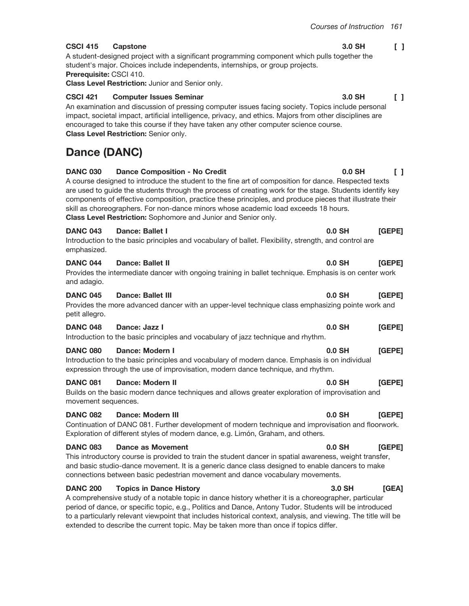3.0 SH

## $\begin{bmatrix} 1 \end{bmatrix}$

**CSCI 415** 3.0 SH A student-designed project with a significant programming component which pulls together the student's major. Choices include independents, internships, or group projects. Prerequisite: CSCI 410.

Class Level Restriction: Junior and Senior only.

#### **CSCI 421 Computer Issues Seminar**

An examination and discussion of pressing computer issues facing society. Topics include personal impact, societal impact, artificial intelligence, privacy, and ethics. Majors from other disciplines are encouraged to take this course if they have taken any other computer science course. Class Level Restriction: Senior only.

# **Dance (DANC)**

| <b>DANC 030</b>                        | <b>Dance Composition - No Credit</b><br>A course designed to introduce the student to the fine art of composition for dance. Respected texts<br>are used to guide the students through the process of creating work for the stage. Students identify key<br>components of effective composition, practice these principles, and produce pieces that illustrate their<br>skill as choreographers. For non-dance minors whose academic load exceeds 18 hours.<br>Class Level Restriction: Sophomore and Junior and Senior only. | $0.0$ SH | $\Box$ |
|----------------------------------------|-------------------------------------------------------------------------------------------------------------------------------------------------------------------------------------------------------------------------------------------------------------------------------------------------------------------------------------------------------------------------------------------------------------------------------------------------------------------------------------------------------------------------------|----------|--------|
| <b>DANC 043</b><br>emphasized.         | Dance: Ballet I<br>Introduction to the basic principles and vocabulary of ballet. Flexibility, strength, and control are                                                                                                                                                                                                                                                                                                                                                                                                      | $0.0$ SH | [GEPE] |
| <b>DANC 044</b><br>and adagio.         | Dance: Ballet II<br>Provides the intermediate dancer with ongoing training in ballet technique. Emphasis is on center work                                                                                                                                                                                                                                                                                                                                                                                                    | $0.0$ SH | [GEPE] |
| <b>DANC 045</b><br>petit allegro.      | Dance: Ballet III<br>Provides the more advanced dancer with an upper-level technique class emphasizing pointe work and                                                                                                                                                                                                                                                                                                                                                                                                        | 0.0 SH   | [GEPE] |
| <b>DANC 048</b>                        | Dance: Jazz I<br>Introduction to the basic principles and vocabulary of jazz technique and rhythm.                                                                                                                                                                                                                                                                                                                                                                                                                            | $0.0$ SH | [GEPE] |
| <b>DANC 080</b>                        | Dance: Modern I<br>Introduction to the basic principles and vocabulary of modern dance. Emphasis is on individual<br>expression through the use of improvisation, modern dance technique, and rhythm.                                                                                                                                                                                                                                                                                                                         | 0.0 SH   | [GEPE] |
| <b>DANC 081</b><br>movement sequences. | <b>Dance: Modern II</b><br>Builds on the basic modern dance techniques and allows greater exploration of improvisation and                                                                                                                                                                                                                                                                                                                                                                                                    | 0.0 SH   | [GEPE] |
| <b>DANC 082</b>                        | Dance: Modern III<br>Continuation of DANC 081. Further development of modern technique and improvisation and floorwork.<br>Exploration of different styles of modern dance, e.g. Limón, Graham, and others.                                                                                                                                                                                                                                                                                                                   | $0.0$ SH | [GEPE] |
| <b>DANC 083</b>                        | <b>Dance as Movement</b><br>This introductory course is provided to train the student dancer in spatial awareness, weight transfer,<br>and basic studio-dance movement. It is a generic dance class designed to enable dancers to make<br>connections between basic pedestrian movement and dance vocabulary movements.                                                                                                                                                                                                       | 0.0 SH   | [GEPE] |
| <b>DANC 200</b>                        | <b>Topics in Dance History</b><br>A comprehensive study of a notable topic in dance history whether it is a choreographer, particular<br>period of dance, or specific topic, e.g., Politics and Dance, Antony Tudor. Students will be introduced<br>to a particularly relevant viewpoint that includes historical context, analysis, and viewing. The title will be<br>extended to describe the current topic. May be taken more than once if topics differ.                                                                  | 3.0 SH   | [GEA]  |

## Capstone

 $\begin{bmatrix} 1 \end{bmatrix}$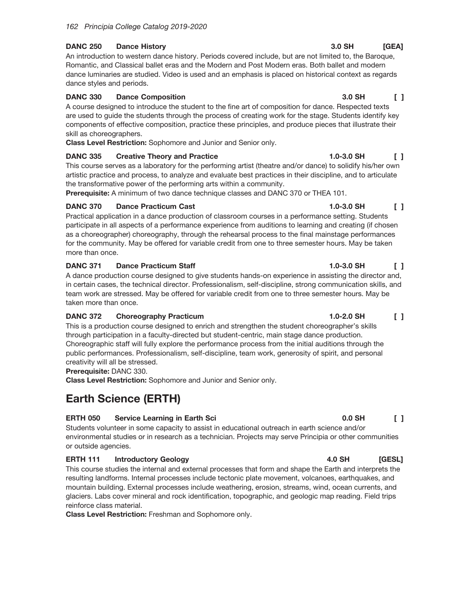#### **DANC 250 Dance History**

An introduction to western dance history. Periods covered include, but are not limited to, the Baroque, Romantic, and Classical ballet eras and the Modern and Post Modern eras. Both ballet and modern dance luminaries are studied. Video is used and an emphasis is placed on historical context as regards dance styles and periods.

#### **DANC 330 Dance Composition**

A course designed to introduce the student to the fine art of composition for dance. Respected texts are used to guide the students through the process of creating work for the stage. Students identify key components of effective composition, practice these principles, and produce pieces that illustrate their skill as choreographers.

Class Level Restriction: Sophomore and Junior and Senior only.

### **DANC 335 Creative Theory and Practice**

This course serves as a laboratory for the performing artist (theatre and/or dance) to solidify his/her own artistic practice and process, to analyze and evaluate best practices in their discipline, and to articulate the transformative power of the performing arts within a community.

Prerequisite: A minimum of two dance technique classes and DANC 370 or THEA 101.

### **DANC 370 Dance Practicum Cast**

Practical application in a dance production of classroom courses in a performance setting. Students participate in all aspects of a performance experience from auditions to learning and creating (if chosen as a choreographer) choreography, through the rehearsal process to the final mainstage performances for the community. May be offered for variable credit from one to three semester hours. May be taken more than once.

#### **DANC 371 Dance Practicum Staff**

A dance production course designed to give students hands-on experience in assisting the director and, in certain cases, the technical director. Professionalism, self-discipline, strong communication skills, and team work are stressed. May be offered for variable credit from one to three semester hours. May be taken more than once.

#### **DANC 372 Choreography Practicum**

This is a production course designed to enrich and strengthen the student choreographer's skills through participation in a faculty-directed but student-centric, main stage dance production. Choreographic staff will fully explore the performance process from the initial auditions through the public performances. Professionalism, self-discipline, team work, generosity of spirit, and personal creativity will all be stressed.

Prerequisite: DANC 330.

Class Level Restriction: Sophomore and Junior and Senior only.

# **Earth Science (ERTH)**

## **ERTH 050** Service Learning in Earth Sci

Students volunteer in some capacity to assist in educational outreach in earth science and/or environmental studies or in research as a technician. Projects may serve Principia or other communities or outside agencies.

## **ERTH 111 Introductory Geology**

This course studies the internal and external processes that form and shape the Earth and interprets the resulting landforms. Internal processes include tectonic plate movement, volcanoes, earthquakes, and mountain building. External processes include weathering, erosion, streams, wind, ocean currents, and glaciers. Labs cover mineral and rock identification, topographic, and geologic map reading. Field trips reinforce class material.

**Class Level Restriction:** Freshman and Sophomore only.

#### 3.0 SH  $[GEA]$

 $\Box$ 

3.0 SH

### $1.0 - 3.0$  SH  $\Box$

# $0.0$  SH

 $\Box$ 

## **4.0 SH** [GESL]

## $1.0 - 3.0$  SH  $\begin{smallmatrix}1\end{smallmatrix}$

## 1.0-3.0 SH  $\Box$

## $1.0 - 2.0$  SH  $\Box$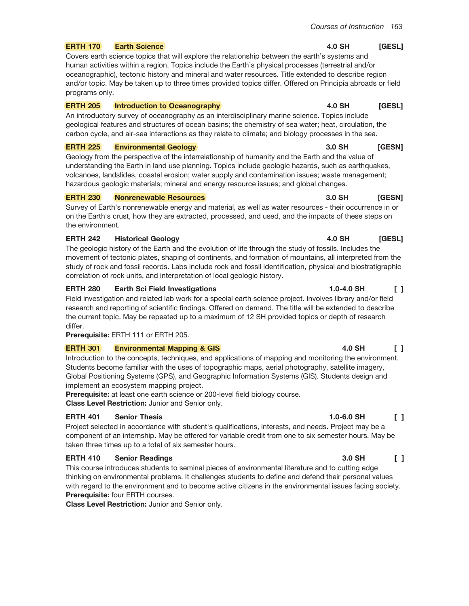4.0 SH

#### **ERTH 170 Earth Science**

Covers earth science topics that will explore the relationship between the earth's systems and human activities within a region. Topics include the Earth's physical processes (terrestrial and/or oceanographic), tectonic history and mineral and water resources. Title extended to describe region and/or topic. May be taken up to three times provided topics differ. Offered on Principia abroads or field programs only.

#### **ERTH 205 Introduction to Oceanography**

An introductory survey of oceanography as an interdisciplinary marine science. Topics include geological features and structures of ocean basins; the chemistry of sea water; heat, circulation, the carbon cycle, and air-sea interactions as they relate to climate; and biology processes in the sea.

#### **ERTH 225 Environmental Geology**

Geology from the perspective of the interrelationship of humanity and the Earth and the value of understanding the Earth in land use planning. Topics include geologic hazards, such as earthquakes, volcanoes, landslides, coastal erosion; water supply and contamination issues; waste management; hazardous geologic materials; mineral and energy resource issues; and global changes.

#### **ERTH 230 Nonrenewable Resources**

Survey of Earth's nonrenewable energy and material, as well as water resources - their occurrence in or on the Earth's crust, how they are extracted, processed, and used, and the impacts of these steps on the environment.

### **ERTH 242 Historical Geology**

The geologic history of the Earth and the evolution of life through the study of fossils. Includes the movement of tectonic plates, shaping of continents, and formation of mountains, all interpreted from the study of rock and fossil records. Labs include rock and fossil identification, physical and biostratigraphic correlation of rock units, and interpretation of local geologic history.

### **ERTH 280 Earth Sci Field Investigations**

Field investigation and related lab work for a special earth science project. Involves library and/or field research and reporting of scientific findings. Offered on demand. The title will be extended to describe the current topic. May be repeated up to a maximum of 12 SH provided topics or depth of research differ.

Prerequisite: ERTH 111 or ERTH 205.

## **ERTH 301 Environmental Mapping & GIS**

Introduction to the concepts, techniques, and applications of mapping and monitoring the environment. Students become familiar with the uses of topographic maps, aerial photography, satellite imagery, Global Positioning Systems (GPS), and Geographic Information Systems (GIS). Students design and implement an ecosystem mapping project.

Prerequisite: at least one earth science or 200-level field biology course. Class Level Restriction: Junior and Senior only.

## **ERTH 401 Senior Thesis**

Project selected in accordance with student's qualifications, interests, and needs. Project may be a component of an internship. May be offered for variable credit from one to six semester hours. May be taken three times up to a total of six semester hours.

## **ERTH 410 Senior Readings**

This course introduces students to seminal pieces of environmental literature and to cutting edge thinking on environmental problems. It challenges students to define and defend their personal values with regard to the environment and to become active citizens in the environmental issues facing society. **Prerequisite: four ERTH courses.** 

Class Level Restriction: Junior and Senior only.

#### 3.0 SH [GESN]

#### 4.0 SH [GESL]

#### $1.0 - 4.0$  SH  $\Box$

## $1.0 - 6.0$  SH  $\Box$

## 3.0 SH

## $\Box$

## **4.0 SH** [GESL]

[GESL]

## **4.0 SH**  $\begin{smallmatrix}1\end{smallmatrix}$

3.0 SH [GESN]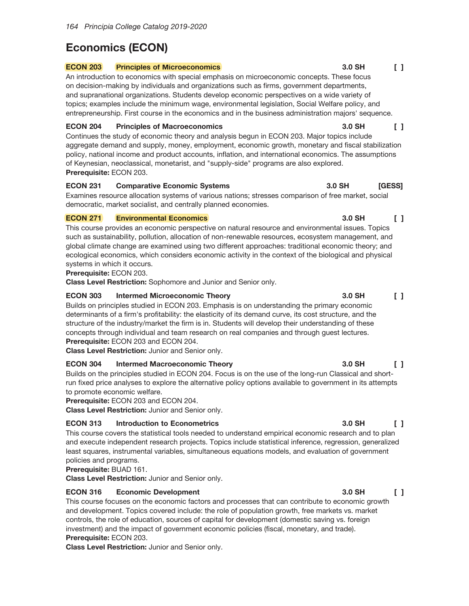# **Economics (ECON)**

#### **ECON 203 Principles of Microeconomics**

An introduction to economics with special emphasis on microeconomic concepts. These focus on decision-making by individuals and organizations such as firms, government departments, and supranational organizations. Students develop economic perspectives on a wide variety of topics; examples include the minimum wage, environmental legislation, Social Welfare policy, and entrepreneurship. First course in the economics and in the business administration majors' sequence.

#### **ECON 204 Principles of Macroeconomics**

Continues the study of economic theory and analysis begun in ECON 203. Major topics include aggregate demand and supply, money, employment, economic growth, monetary and fiscal stabilization policy, national income and product accounts, inflation, and international economics. The assumptions of Keynesian, neoclassical, monetarist, and "supply-side" programs are also explored. Prerequisite: ECON 203.

#### **ECON 231 Comparative Economic Systems**

Examines resource allocation systems of various nations; stresses comparison of free market, social democratic, market socialist, and centrally planned economies.

### **ECON 271 Environmental Economics**

This course provides an economic perspective on natural resource and environmental issues. Topics such as sustainability, pollution, allocation of non-renewable resources, ecosystem management, and global climate change are examined using two different approaches: traditional economic theory; and ecological economics, which considers economic activity in the context of the biological and physical systems in which it occurs.

## Prerequisite: ECON 203.

Class Level Restriction: Sophomore and Junior and Senior only.

#### **ECON 303 Intermed Microeconomic Theory**

Builds on principles studied in ECON 203. Emphasis is on understanding the primary economic determinants of a firm's profitability: the elasticity of its demand curve, its cost structure, and the structure of the industry/market the firm is in. Students will develop their understanding of these concepts through individual and team research on real companies and through guest lectures. Prerequisite: ECON 203 and ECON 204.

Class Level Restriction: Junior and Senior only.

#### **ECON 304 Intermed Macroeconomic Theory**

Builds on the principles studied in ECON 204. Focus is on the use of the long-run Classical and shortrun fixed price analyses to explore the alternative policy options available to government in its attempts to promote economic welfare.

Prerequisite: ECON 203 and ECON 204.

**Class Level Restriction: Junior and Senior only.** 

## **ECON 313 Introduction to Econometrics**

This course covers the statistical tools needed to understand empirical economic research and to plan and execute independent research projects. Topics include statistical inference, regression, generalized least squares, instrumental variables, simultaneous equations models, and evaluation of government policies and programs.

Prerequisite: BUAD 161.

Class Level Restriction: Junior and Senior only.

## **ECON 316 Economic Development**

This course focuses on the economic factors and processes that can contribute to economic growth and development. Topics covered include: the role of population growth, free markets vs. market controls, the role of education, sources of capital for development (domestic saving vs. foreign investment) and the impact of government economic policies (fiscal, monetary, and trade). Prerequisite: ECON 203.

Class Level Restriction: Junior and Senior only.

#### 3.0 SH  $\begin{bmatrix} 1 \end{bmatrix}$

#### 3.0 SH [GESS]

3.0 SH

3.0 SH  $\begin{smallmatrix}1\end{smallmatrix}$ 

3.0 SH  $\Box$ 

#### 3.0 SH  $\mathsf{L}$

#### 3.0 SH  $\Box$

#### 3.0 SH  $\begin{bmatrix} 1 \end{bmatrix}$

 $\Box$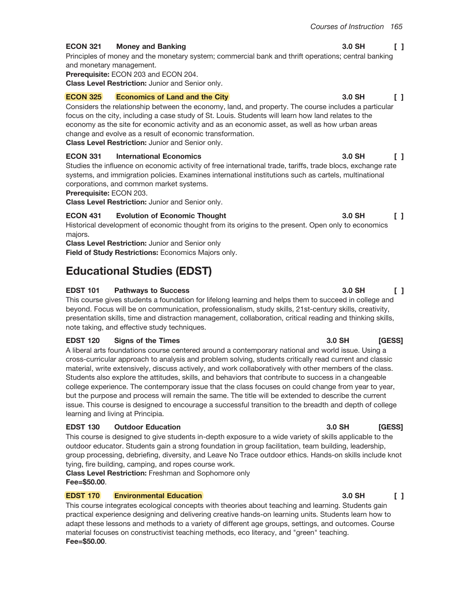3.0 SH

#### **ECON 321 Money and Banking**

Principles of money and the monetary system; commercial bank and thrift operations; central banking and monetary management.

Prerequisite: ECON 203 and ECON 204.

Class Level Restriction: Junior and Senior only.

#### **ECON 325 Economics of Land and the City**

Considers the relationship between the economy, land, and property. The course includes a particular focus on the city, including a case study of St. Louis. Students will learn how land relates to the economy as the site for economic activity and as an economic asset, as well as how urban areas change and evolve as a result of economic transformation.

Class Level Restriction: Junior and Senior only.

#### **ECON 331 International Economics**

Studies the influence on economic activity of free international trade, tariffs, trade blocs, exchange rate systems, and immigration policies. Examines international institutions such as cartels, multinational corporations, and common market systems.

## Prerequisite: ECON 203.

Class Level Restriction: Junior and Senior only.

#### **Evolution of Economic Thought ECON 431**

Historical development of economic thought from its origins to the present. Open only to economics majors.

**Class Level Restriction: Junior and Senior only** Field of Study Restrictions: Economics Majors only.

# **Educational Studies (EDST)**

#### **EDST 101 Pathways to Success**

This course gives students a foundation for lifelong learning and helps them to succeed in college and beyond. Focus will be on communication, professionalism, study skills, 21st-century skills, creativity, presentation skills, time and distraction management, collaboration, critical reading and thinking skills, note taking, and effective study techniques.

#### **EDST 120 Signs of the Times**

A liberal arts foundations course centered around a contemporary national and world issue. Using a cross-curricular approach to analysis and problem solving, students critically read current and classic material, write extensively, discuss actively, and work collaboratively with other members of the class. Students also explore the attitudes, skills, and behaviors that contribute to success in a changeable college experience. The contemporary issue that the class focuses on could change from year to year, but the purpose and process will remain the same. The title will be extended to describe the current issue. This course is designed to encourage a successful transition to the breadth and depth of college learning and living at Principia.

#### **EDST 130 Outdoor Education**

This course is designed to give students in-depth exposure to a wide variety of skills applicable to the outdoor educator. Students gain a strong foundation in group facilitation, team building, leadership, group processing, debriefing, diversity, and Leave No Trace outdoor ethics. Hands-on skills include knot tying, fire building, camping, and ropes course work.

**Class Level Restriction: Freshman and Sophomore only**  $Fee = $50.00.$ 

#### **EDST 170 Environmental Education**

This course integrates ecological concepts with theories about teaching and learning. Students gain practical experience designing and delivering creative hands-on learning units. Students learn how to adapt these lessons and methods to a variety of different age groups, settings, and outcomes. Course material focuses on constructivist teaching methods, eco literacy, and "green" teaching. Fee=\$50.00.

#### 3.0 SH  $\Box$

#### 3.0 SH  $\Box$

3.0 SH

3.0 SH

## 3.0 SH [GESS]

#### 3.0 SH [GESS]

#### $3.0$  SH  $\Box$

 $\begin{smallmatrix}1\end{smallmatrix}$ 

 $\mathsf{L}$ 

 $\begin{bmatrix} 1 \end{bmatrix}$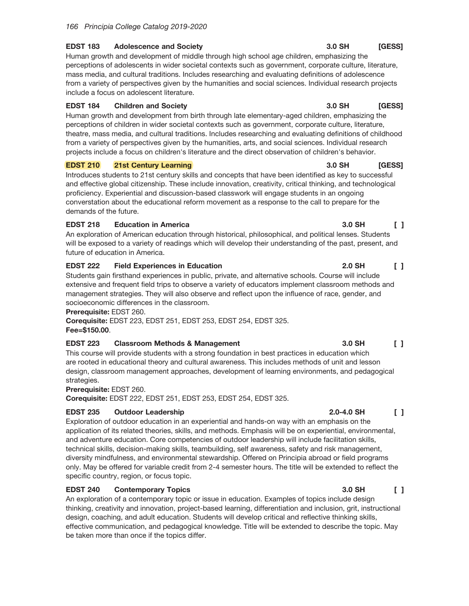#### **EDST 183 Adolescence and Society**

Human growth and development of middle through high school age children, emphasizing the perceptions of adolescents in wider societal contexts such as government, corporate culture, literature, mass media, and cultural traditions. Includes researching and evaluating definitions of adolescence from a variety of perspectives given by the humanities and social sciences. Individual research projects include a focus on adolescent literature.

#### **EDST 184 Children and Society**

Human growth and development from birth through late elementary-aged children, emphasizing the perceptions of children in wider societal contexts such as government, corporate culture, literature, theatre, mass media, and cultural traditions. Includes researching and evaluating definitions of childhood from a variety of perspectives given by the humanities, arts, and social sciences. Individual research projects include a focus on children's literature and the direct observation of children's behavior.

### **EDST 210 21st Century Learning**

Introduces students to 21st century skills and concepts that have been identified as key to successful and effective global citizenship. These include innovation, creativity, critical thinking, and technological proficiency. Experiential and discussion-based classwork will engage students in an ongoing converstation about the educational reform movement as a response to the call to prepare for the demands of the future.

### **EDST 218 Education in America**

An exploration of American education through historical, philosophical, and political lenses. Students will be exposed to a variety of readings which will develop their understanding of the past, present, and future of education in America.

## **EDST 222 Field Experiences in Education**

Students gain firsthand experiences in public, private, and alternative schools. Course will include extensive and frequent field trips to observe a variety of educators implement classroom methods and management strategies. They will also observe and reflect upon the influence of race, gender, and socioeconomic differences in the classroom.

## Prerequisite: EDST 260.

Corequisite: EDST 223, EDST 251, EDST 253, EDST 254, EDST 325. Fee=\$150.00.

## **EDST 223 Classroom Methods & Management**

This course will provide students with a strong foundation in best practices in education which are rooted in educational theory and cultural awareness. This includes methods of unit and lesson design, classroom management approaches, development of learning environments, and pedagogical strategies.

Prerequisite: EDST 260.

Corequisite: EDST 222, EDST 251, EDST 253, EDST 254, EDST 325.

#### **EDST 235 Outdoor Leadership**

Exploration of outdoor education in an experiential and hands-on way with an emphasis on the application of its related theories, skills, and methods. Emphasis will be on experiential, environmental, and adventure education. Core competencies of outdoor leadership will include facilitation skills, technical skills, decision-making skills, teambuilding, self awareness, safety and risk management, diversity mindfulness, and environmental stewardship. Offered on Principia abroad or field programs only. May be offered for variable credit from 2-4 semester hours. The title will be extended to reflect the specific country, region, or focus topic.

## **EDST 240 Contemporary Topics**

An exploration of a contemporary topic or issue in education. Examples of topics include design thinking, creativity and innovation, project-based learning, differentiation and inclusion, grit, instructional design, coaching, and adult education. Students will develop critical and reflective thinking skills, effective communication, and pedagogical knowledge. Title will be extended to describe the topic. May be taken more than once if the topics differ.

#### 3.0 SH [GESS]

## 3.0 SH [GESS]

## 3.0 SH **[GESS]**

## 3.0 SH  $\Box$

## **2.0 SH**  $\Box$

## 3.0 SH  $\begin{smallmatrix}1\end{smallmatrix}$

## $2.0 - 4.0$  SH  $\begin{bmatrix} 1 \end{bmatrix}$

#### 3.0 SH  $\begin{bmatrix} 1 \end{bmatrix}$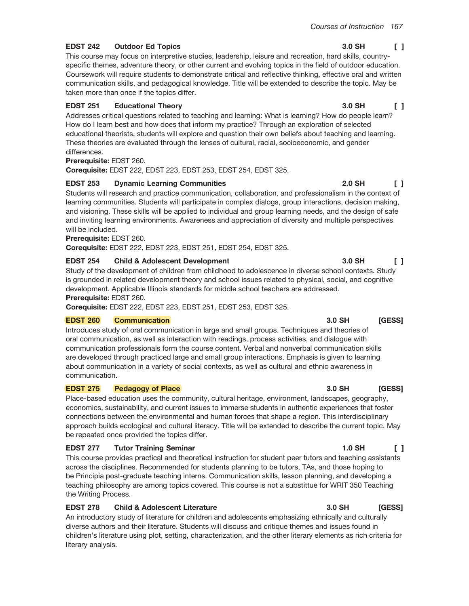#### **EDST 242 Outdoor Ed Topics**

This course may focus on interpretive studies, leadership, leisure and recreation, hard skills, countryspecific themes, adventure theory, or other current and evolving topics in the field of outdoor education. Coursework will require students to demonstrate critical and reflective thinking, effective oral and written communication skills, and pedagogical knowledge. Title will be extended to describe the topic. May be taken more than once if the topics differ.

#### **EDST 251 Educational Theory**

Addresses critical questions related to teaching and learning: What is learning? How do people learn? How do I learn best and how does that inform my practice? Through an exploration of selected educational theorists, students will explore and question their own beliefs about teaching and learning. These theories are evaluated through the lenses of cultural, racial, socioeconomic, and gender differences.

Prerequisite: EDST 260.

Corequisite: EDST 222, EDST 223, EDST 253, EDST 254, EDST 325.

#### **EDST 253 Dynamic Learning Communities**

Students will research and practice communication, collaboration, and professionalism in the context of learning communities. Students will participate in complex dialogs, group interactions, decision making, and visioning. These skills will be applied to individual and group learning needs, and the design of safe and inviting learning environments. Awareness and appreciation of diversity and multiple perspectives will be included.

## Prerequisite: EDST 260.

Corequisite: EDST 222, EDST 223, EDST 251, EDST 254, EDST 325.

#### **EDST 254 Child & Adolescent Development**

Study of the development of children from childhood to adolescence in diverse school contexts. Study is grounded in related development theory and school issues related to physical, social, and cognitive development. Applicable Illinois standards for middle school teachers are addressed. Prerequisite: EDST 260.

Corequisite: EDST 222, EDST 223, EDST 251, EDST 253, EDST 325.

#### **EDST 260 Communication**

Introduces study of oral communication in large and small groups. Techniques and theories of oral communication, as well as interaction with readings, process activities, and dialogue with communication professionals form the course content. Verbal and nonverbal communication skills are developed through practiced large and small group interactions. Emphasis is given to learning about communication in a variety of social contexts, as well as cultural and ethnic awareness in communication.

#### **EDST 275 Pedagogy of Place**

Place-based education uses the community, cultural heritage, environment, landscapes, geography, economics, sustainability, and current issues to immerse students in authentic experiences that foster connections between the environmental and human forces that shape a region. This interdisciplinary approach builds ecological and cultural literacy. Title will be extended to describe the current topic. May be repeated once provided the topics differ.

## **Tutor Training Seminar EDST 277**

This course provides practical and theoretical instruction for student peer tutors and teaching assistants across the disciplines. Recommended for students planning to be tutors, TAs, and those hoping to be Principia post-graduate teaching interns. Communication skills, lesson planning, and developing a teaching philosophy are among topics covered. This course is not a substittue for WRIT 350 Teaching the Writing Process.

## **EDST 278 Child & Adolescent Literature**

An introductory study of literature for children and adolescents emphasizing ethnically and culturally diverse authors and their literature. Students will discuss and critique themes and issues found in children's literature using plot, setting, characterization, and the other literary elements as rich criteria for literary analysis.

#### 3.0 SH  $\Box$

#### 3.0 SH  $\mathsf{L}$

#### $2.0$  SH  $\mathsf{L}$

## 3.0 SH [GESS]

### 3.0 SH [GESS]

## 3.0 SH [GESS]

 $\Box$ 

3.0 SH

#### $1.0$  SH  $\Box$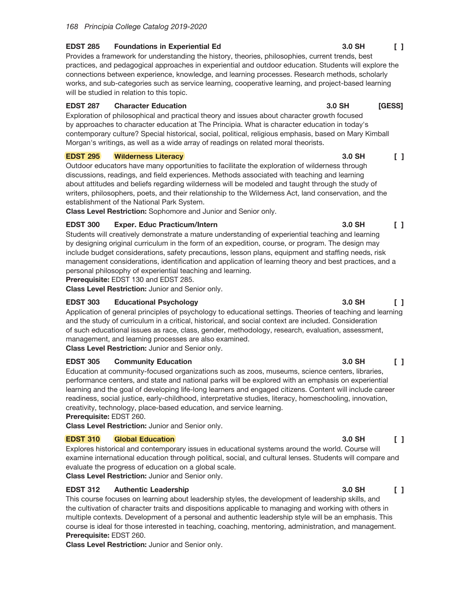#### **EDST 285 Foundations in Experiential Ed**

Provides a framework for understanding the history, theories, philosophies, current trends, best practices, and pedagogical approaches in experiential and outdoor education. Students will explore the connections between experience, knowledge, and learning processes. Research methods, scholarly works, and sub-categories such as service learning, cooperative learning, and project-based learning will be studied in relation to this topic.

#### **EDST 287 Character Education**

Exploration of philosophical and practical theory and issues about character growth focused by approaches to character education at The Principia. What is character education in today's contemporary culture? Special historical, social, political, religious emphasis, based on Mary Kimball Morgan's writings, as well as a wide array of readings on related moral theorists.

#### **EDST 295 Wilderness Literacy**

Outdoor educators have many opportunities to facilitate the exploration of wilderness through discussions, readings, and field experiences. Methods associated with teaching and learning about attitudes and beliefs regarding wilderness will be modeled and taught through the study of writers, philosophers, poets, and their relationship to the Wilderness Act, land conservation, and the establishment of the National Park System.

Class Level Restriction: Sophomore and Junior and Senior only.

## **EDST 300 Exper. Educ Practicum/Intern**

Students will creatively demonstrate a mature understanding of experiential teaching and learning by designing original curriculum in the form of an expedition, course, or program. The design may include budget considerations, safety precautions, lesson plans, equipment and staffing needs, risk management considerations, identification and application of learning theory and best practices, and a personal philosophy of experiential teaching and learning.

Prerequisite: EDST 130 and EDST 285.

Class Level Restriction: Junior and Senior only.

### **EDST 303 Educational Psychology**

Application of general principles of psychology to educational settings. Theories of teaching and learning and the study of curriculum in a critical, historical, and social context are included. Consideration of such educational issues as race, class, gender, methodology, research, evaluation, assessment, management, and learning processes are also examined.

Class Level Restriction: Junior and Senior only.

#### **EDST 305 Community Education**

Education at community-focused organizations such as zoos, museums, science centers, libraries, performance centers, and state and national parks will be explored with an emphasis on experiential learning and the goal of developing life-long learners and engaged citizens. Content will include career readiness, social justice, early-childhood, interpretative studies, literacy, homeschooling, innovation, creativity, technology, place-based education, and service learning. Prerequisite: EDST 260.

Class Level Restriction: Junior and Senior only.

## **EDST 310 Global Education**

Explores historical and contemporary issues in educational systems around the world. Course will examine international education through political, social, and cultural lenses. Students will compare and evaluate the progress of education on a global scale.

Class Level Restriction: Junior and Senior only.

## **EDST 312 Authentic Leadership**

This course focuses on learning about leadership styles, the development of leadership skills, and the cultivation of character traits and dispositions applicable to managing and working with others in multiple contexts. Development of a personal and authentic leadership style will be an emphasis. This course is ideal for those interested in teaching, coaching, mentoring, administration, and management. Prerequisite: EDST 260.

Class Level Restriction: Junior and Senior only.

#### 3.0 SH  $\Box$

#### 3.0 SH [GESS]

#### $\Box$ 3.0 SH

 $\Box$ 

#### 3.0 SH  $\Box$

3.0 SH

#### 3.0 SH  $\Box$

 $\Box$ 

3.0 SH

#### 3.0 SH  $\begin{bmatrix} 1 \end{bmatrix}$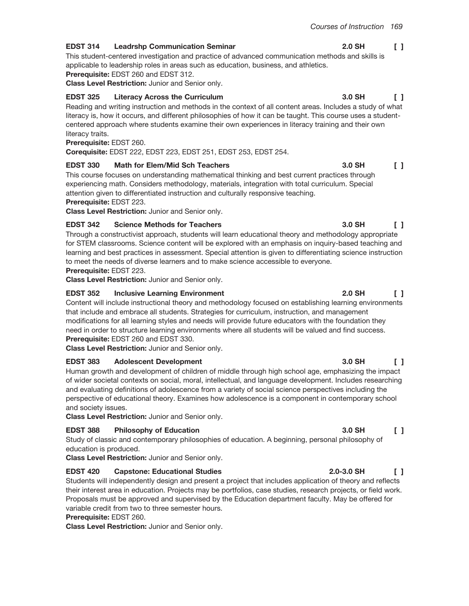#### **EDST 314 Leadrshp Communication Seminar**

This student-centered investigation and practice of advanced communication methods and skills is applicable to leadership roles in areas such as education, business, and athletics.

Prerequisite: EDST 260 and EDST 312.

## Class Level Restriction: Junior and Senior only. **EDST 325**

**Literacy Across the Curriculum** 3.0 SH  $\Box$ Reading and writing instruction and methods in the context of all content areas. Includes a study of what literacy is, how it occurs, and different philosophies of how it can be taught. This course uses a studentcentered approach where students examine their own experiences in literacy training and their own literacy traits.

## Prerequisite: EDST 260.

Corequisite: EDST 222, EDST 223, EDST 251, EDST 253, EDST 254.

#### **EDST 330 Math for Elem/Mid Sch Teachers**

This course focuses on understanding mathematical thinking and best current practices through experiencing math. Considers methodology, materials, integration with total curriculum. Special attention given to differentiated instruction and culturally responsive teaching. Prerequisite: EDST 223.

Class Level Restriction: Junior and Senior only.

#### **EDST 342 Science Methods for Teachers**

Through a constructivist approach, students will learn educational theory and methodology appropriate for STEM classrooms. Science content will be explored with an emphasis on inquiry-based teaching and learning and best practices in assessment. Special attention is given to differentiating science instruction to meet the needs of diverse learners and to make science accessible to everyone.

## Prerequisite: EDST 223.

Class Level Restriction: Junior and Senior only.

#### **EDST 352 Inclusive Learning Environment**

Content will include instructional theory and methodology focused on establishing learning environments that include and embrace all students. Strategies for curriculum, instruction, and management modifications for all learning styles and needs will provide future educators with the foundation they need in order to structure learning environments where all students will be valued and find success. Prerequisite: EDST 260 and EDST 330.

Class Level Restriction: Junior and Senior only.

#### **EDST 383 Adolescent Development**

Human growth and development of children of middle through high school age, emphasizing the impact of wider societal contexts on social, moral, intellectual, and language development. Includes researching and evaluating definitions of adolescence from a variety of social science perspectives including the perspective of educational theory. Examines how adolescence is a component in contemporary school and society issues.

Class Level Restriction: Junior and Senior only.

#### **EDST 388 Philosophy of Education**

Study of classic and contemporary philosophies of education. A beginning, personal philosophy of education is produced.

Class Level Restriction: Junior and Senior only.

#### **EDST 420 Capstone: Educational Studies**

Students will independently design and present a project that includes application of theory and reflects their interest area in education. Projects may be portfolios, case studies, research projects, or field work. Proposals must be approved and supervised by the Education department faculty. May be offered for variable credit from two to three semester hours.

## Prerequisite: EDST 260.

Class Level Restriction: Junior and Senior only.

#### **2.0 SH**  $\Box$

## $\Box$

## 2.0 SH

## 3.0 SH  $\Box$

## $2.0 - 3.0$  SH  $\Box$

## $\mathsf{L}$

 $\Box$ 

 $\Box$ 

## 3.0 SH

3.0 SH

3.0 SH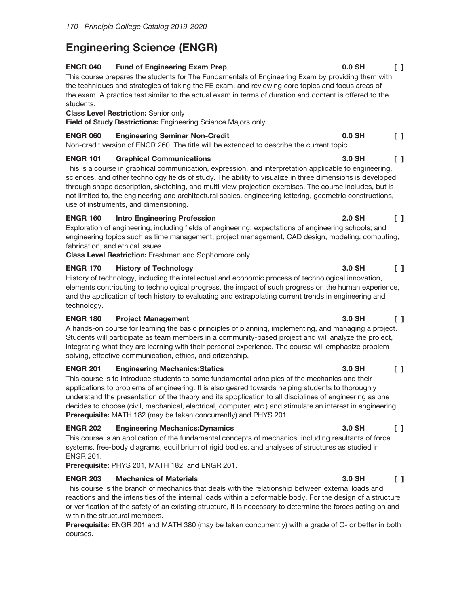# **Engineering Science (ENGR)**

#### **ENGR 040 Fund of Engineering Exam Prep**

This course prepares the students for The Fundamentals of Engineering Exam by providing them with the techniques and strategies of taking the FE exam, and reviewing core topics and focus areas of the exam. A practice test similar to the actual exam in terms of duration and content is offered to the students.

## **Class Level Restriction: Senior only**

Field of Study Restrictions: Engineering Science Majors only.

#### **ENGR 060 Engineering Seminar Non-Credit**

Non-credit version of ENGR 260. The title will be extended to describe the current topic.

### **ENGR 101 Graphical Communications**

This is a course in graphical communication, expression, and interpretation applicable to engineering, sciences, and other technology fields of study. The ability to visualize in three dimensions is developed through shape description, sketching, and multi-view projection exercises. The course includes, but is not limited to, the engineering and architectural scales, engineering lettering, geometric constructions, use of instruments, and dimensioning.

### **ENGR 160 Intro Engineering Profession**

 $\begin{smallmatrix}1\end{smallmatrix}$ Exploration of engineering, including fields of engineering; expectations of engineering schools; and engineering topics such as time management, project management, CAD design, modeling, computing, fabrication, and ethical issues.

Class Level Restriction: Freshman and Sophomore only.

## **ENGR 170 History of Technology**

History of technology, including the intellectual and economic process of technological innovation, elements contributing to technological progress, the impact of such progress on the human experience, and the application of tech history to evaluating and extrapolating current trends in engineering and technology.

#### **ENGR 180 Project Management**

A hands-on course for learning the basic principles of planning, implementing, and managing a project. Students will participate as team members in a community-based project and will analyze the project, integrating what they are learning with their personal experience. The course will emphasize problem solving, effective communication, ethics, and citizenship.

#### **ENGR 201 Engineering Mechanics:Statics**

This course is to introduce students to some fundamental principles of the mechanics and their applications to problems of engineering. It is also geared towards helping students to thoroughly understand the presentation of the theory and its appplication to all disciplines of engineering as one decides to choose (civil, mechanical, electrical, computer, etc.) and stimulate an interest in engineering. Prerequisite: MATH 182 (may be taken concurrently) and PHYS 201.

#### **ENGR 202 Engineering Mechanics: Dynamics**

This course is an application of the fundamental concepts of mechanics, including resultants of force systems, free-body diagrams, equilibrium of rigid bodies, and analyses of structures as studied in **ENGR 201.** 

Prerequisite: PHYS 201, MATH 182, and ENGR 201.

#### **ENGR 203 Mechanics of Materials**

This course is the branch of mechanics that deals with the relationship between external loads and reactions and the intensities of the internal loads within a deformable body. For the design of a structure or verification of the safety of an existing structure, it is necessary to determine the forces acting on and within the structural members.

Prerequisite: ENGR 201 and MATH 380 (may be taken concurrently) with a grade of C- or better in both courses.

 $0.0$  SH

 $0.0$  SH

3.0 SH

2.0 SH

 $\Box$ 

 $\Box$ 

 $\Box$ 

#### 3.0 SH  $\Gamma$  1

#### 3.0 SH  $\Box$

### 3.0 SH  $\Box$

## 3.0 SH  $\Box$

#### 3.0 SH  $\Box$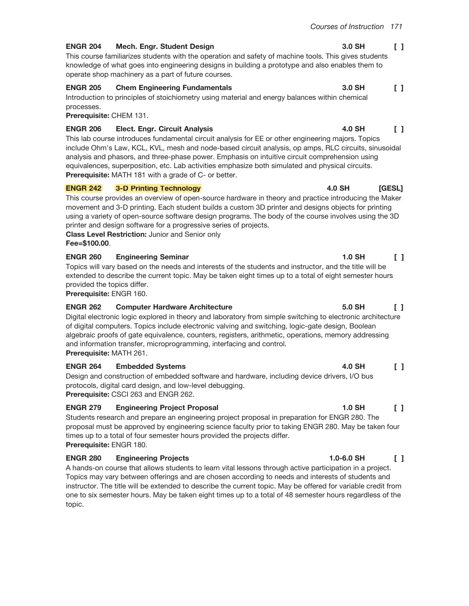3.0 SH

#### **ENGR 204** Mech. Engr. Student Design

This course familiarizes students with the operation and safety of machine tools. This gives students knowledge of what goes into engineering designs in building a prototype and also enables them to operate shop machinery as a part of future courses.

#### **ENGR 205 Chem Engineering Fundamentals**

Introduction to principles of stoichiometry using material and energy balances within chemical processes.

Prerequisite: CHEM 131.

#### **ENGR 206 Elect. Engr. Circuit Analysis**

This lab course introduces fundamental circuit analysis for EE or other engineering majors. Topics include Ohm's Law, KCL, KVL, mesh and node-based circuit analysis, op amps, RLC circuits, sinusoidal analysis and phasors, and three-phase power. Emphasis on intuitive circuit comprehension using equivalences, superposition, etc. Lab activities emphasize both simulated and physical circuits. **Prerequisite:** MATH 181 with a grade of C- or better.

#### **ENGR 242 3-D Printing Technology**

This course provides an overview of open-source hardware in theory and practice introducing the Maker movement and 3-D printing. Each student builds a custom 3D printer and designs objects for printing using a variety of open-source software design programs. The body of the course involves using the 3D printer and design software for a progressive series of projects.

**Class Level Restriction: Junior and Senior only** 

Fee=\$100.00.

#### **ENGR 260 Engineering Seminar**

Topics will vary based on the needs and interests of the students and instructor, and the title will be extended to describe the current topic. May be taken eight times up to a total of eight semester hours provided the topics differ.

Prerequisite: ENGR 160.

#### **ENGR 262 Computer Hardware Architecture**

Digital electronic logic explored in theory and laboratory from simple switching to electronic architecture of digital computers. Topics include electronic valving and switching, logic-gate design, Boolean algebraic proofs of gate equivalence, counters, registers, arithmetic, operations, memory addressing and information transfer, microprogramming, interfacing and control. Prerequisite: MATH 261.

#### **ENGR 264 Embedded Systems**

Design and construction of embedded software and hardware, including device drivers, I/O bus protocols, digital card design, and low-level debugging. Prerequisite: CSCI 263 and ENGR 262.

#### **ENGR 279 Engineering Project Proposal**

Students research and prepare an engineering project proposal in preparation for ENGR 280. The proposal must be approved by engineering science faculty prior to taking ENGR 280. May be taken four times up to a total of four semester hours provided the projects differ. Prerequisite: ENGR 180.

#### **ENGR 280 Engineering Projects**

A hands-on course that allows students to learn vital lessons through active participation in a project. Topics may vary between offerings and are chosen according to needs and interests of students and instructor. The title will be extended to describe the current topic. May be offered for variable credit from one to six semester hours. May be taken eight times up to a total of 48 semester hours regardless of the topic.

### $\begin{bmatrix} 1 \end{bmatrix}$ 3.0 SH

 $\begin{smallmatrix}1\end{smallmatrix}$ 

#### 4.0 SH  $\mathsf{L}$

#### 4.0 SH [GESL]

### 5.0 SH  $\Box$

 $1.0$  SH

#### 4.0 SH  $\begin{bmatrix} 1 \end{bmatrix}$

#### $1.0$  SH  $\Box$

#### $1.0 - 6.0$  SH  $\begin{smallmatrix}1\end{smallmatrix}$

 $\begin{smallmatrix}1\end{smallmatrix}$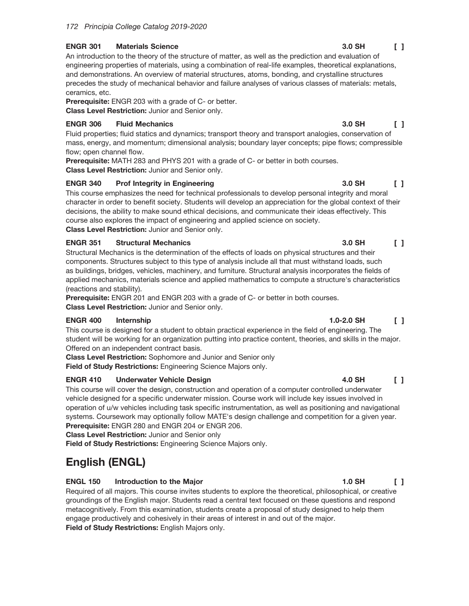#### **ENGR 301 Materials Science**

An introduction to the theory of the structure of matter, as well as the prediction and evaluation of engineering properties of materials, using a combination of real-life examples, theoretical explanations, and demonstrations. An overview of material structures, atoms, bonding, and crystalline structures precedes the study of mechanical behavior and failure analyses of various classes of materials: metals, ceramics, etc.

Prerequisite: ENGR 203 with a grade of C- or better. Class Level Restriction: Junior and Senior only.

# **ENGR 306**

**Fluid Mechanics**  $\Box$ Fluid properties; fluid statics and dynamics; transport theory and transport analogies, conservation of mass, energy, and momentum; dimensional analysis; boundary layer concepts; pipe flows; compressible flow; open channel flow.

**Prerequisite:** MATH 283 and PHYS 201 with a grade of C- or better in both courses. Class Level Restriction: Junior and Senior only.

#### **ENGR 340 Prof Integrity in Engineering**

This course emphasizes the need for technical professionals to develop personal integrity and moral character in order to benefit society. Students will develop an appreciation for the global context of their decisions, the ability to make sound ethical decisions, and communicate their ideas effectively. This course also explores the impact of engineering and applied science on society. Class Level Restriction: Junior and Senior only.

#### **ENGR 351 Structural Mechanics**

3.0 SH  $\begin{smallmatrix}1\end{smallmatrix}$ Structural Mechanics is the determination of the effects of loads on physical structures and their components. Structures subject to this type of analysis include all that must withstand loads, such as buildings, bridges, vehicles, machinery, and furniture. Structural analysis incorporates the fields of applied mechanics, materials science and applied mathematics to compute a structure's characteristics (reactions and stability).

Prerequisite: ENGR 201 and ENGR 203 with a grade of C- or better in both courses. Class Level Restriction: Junior and Senior only.

#### **ENGR 400** Internship

This course is designed for a student to obtain practical experience in the field of engineering. The student will be working for an organization putting into practice content, theories, and skills in the major. Offered on an independent contract basis.

**Class Level Restriction:** Sophomore and Junior and Senior only

Field of Study Restrictions: Engineering Science Majors only.

#### **ENGR 410 Underwater Vehicle Design**

This course will cover the design, construction and operation of a computer controlled underwater vehicle designed for a specific underwater mission. Course work will include key issues involved in operation of u/w vehicles including task specific instrumentation, as well as positioning and navigational systems. Coursework may optionally follow MATE's design challenge and competition for a given year. Prerequisite: ENGR 280 and ENGR 204 or ENGR 206.

**Class Level Restriction: Junior and Senior only** 

Field of Study Restrictions: Engineering Science Majors only.

# English (ENGL)

#### **ENGL 150** Introduction to the Major

Required of all majors. This course invites students to explore the theoretical, philosophical, or creative groundings of the English major. Students read a central text focused on these questions and respond metacognitively. From this examination, students create a proposal of study designed to help them engage productively and cohesively in their areas of interest in and out of the major. Field of Study Restrictions: English Majors only.

#### 3.0 SH  $\Box$

3.0 SH

#### 3.0 SH  $\sqrt{1}$

### $1.0 - 2.0$  SH  $\Box$

#### 4.0 SH  $\Gamma$  1

#### $1.0$  SH  $\Box$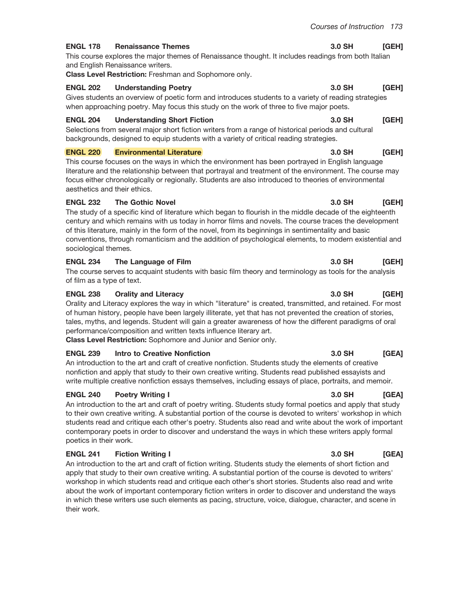#### **ENGL 178 Renaissance Themes**

This course explores the major themes of Renaissance thought. It includes readings from both Italian and English Renaissance writers.

Class Level Restriction: Freshman and Sophomore only.

#### **ENGL 202 Understanding Poetry**

Gives students an overview of poetic form and introduces students to a variety of reading strategies when approaching poetry. May focus this study on the work of three to five major poets.

#### **Understanding Short Fiction ENGL 204**

Selections from several major short fiction writers from a range of historical periods and cultural backgrounds, designed to equip students with a variety of critical reading strategies.

#### **ENGL 220 Environmental Literature**

This course focuses on the ways in which the environment has been portrayed in English language literature and the relationship between that portrayal and treatment of the environment. The course may focus either chronologically or regionally. Students are also introduced to theories of environmental aesthetics and their ethics.

#### **ENGL 232 The Gothic Novel**

The study of a specific kind of literature which began to flourish in the middle decade of the eighteenth century and which remains with us today in horror films and novels. The course traces the development of this literature, mainly in the form of the novel, from its beginnings in sentimentality and basic conventions, through romanticism and the addition of psychological elements, to modern existential and sociological themes.

#### **ENGL 234** The Language of Film

The course serves to acquaint students with basic film theory and terminology as tools for the analysis of film as a type of text.

#### **ENGL 238 Orality and Literacy**

Orality and Literacy explores the way in which "literature" is created, transmitted, and retained. For most of human history, people have been largely illiterate, yet that has not prevented the creation of stories, tales, myths, and legends. Student will gain a greater awareness of how the different paradigms of oral performance/composition and written texts influence literary art.

Class Level Restriction: Sophomore and Junior and Senior only.

#### **ENGL 239 Intro to Creative Nonfiction**

An introduction to the art and craft of creative nonfiction. Students study the elements of creative nonfiction and apply that study to their own creative writing. Students read published essayists and write multiple creative nonfiction essays themselves, including essays of place, portraits, and memoir.

#### **Poetry Writing I ENGL 240**

An introduction to the art and craft of poetry writing. Students study formal poetics and apply that study to their own creative writing. A substantial portion of the course is devoted to writers' workshop in which students read and critique each other's poetry. Students also read and write about the work of important contemporary poets in order to discover and understand the ways in which these writers apply formal poetics in their work.

#### **ENGL 241 Fiction Writing I**

An introduction to the art and craft of fiction writing. Students study the elements of short fiction and apply that study to their own creative writing. A substantial portion of the course is devoted to writers' workshop in which students read and critique each other's short stories. Students also read and write about the work of important contemporary fiction writers in order to discover and understand the ways in which these writers use such elements as pacing, structure, voice, dialogue, character, and scene in their work.

#### 3.0 SH  $[GEH]$

#### 3.0 SH [GEH]

#### 3.0 SH [GEH]

#### 3.0 SH [GEH]

### 3.0 SH [GEH]

### 3.0 SH [GEH]

#### 3.0 SH [GEH]

3.0 SH

#### 3.0 SH [GEA]

### 3.0 SH  $[GEA]$

[GEA]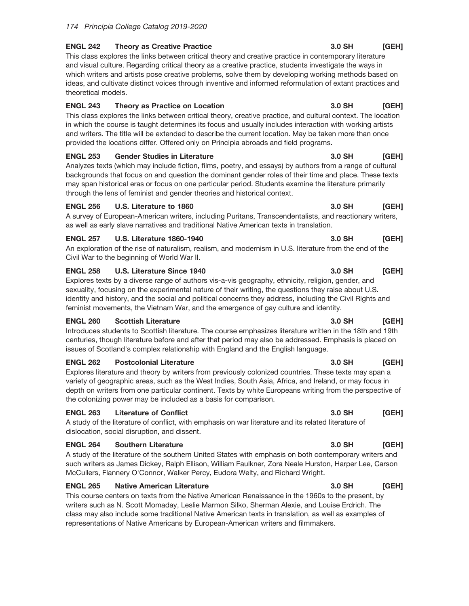#### **ENGL 242 Theory as Creative Practice**

This class explores the links between critical theory and creative practice in contemporary literature and visual culture. Regarding critical theory as a creative practice, students investigate the ways in which writers and artists pose creative problems, solve them by developing working methods based on ideas, and cultivate distinct voices through inventive and informed reformulation of extant practices and theoretical models.

#### **ENGL 243** Theory as Practice on Location

This class explores the links between critical theory, creative practice, and cultural context. The location in which the course is taught determines its focus and usually includes interaction with working artists and writers. The title will be extended to describe the current location. May be taken more than once provided the locations differ. Offered only on Principia abroads and field programs.

#### **ENGL 253 Gender Studies in Literature**

Analyzes texts (which may include fiction, films, poetry, and essays) by authors from a range of cultural backgrounds that focus on and question the dominant gender roles of their time and place. These texts may span historical eras or focus on one particular period. Students examine the literature primarily through the lens of feminist and gender theories and historical context.

#### **ENGL 256** U.S. Literature to 1860

A survey of European-American writers, including Puritans, Transcendentalists, and reactionary writers, as well as early slave narratives and traditional Native American texts in translation.

#### **ENGL 257 U.S. Literature 1860-1940**

An exploration of the rise of naturalism, realism, and modernism in U.S. literature from the end of the Civil War to the beginning of World War II.

#### **ENGL 258 U.S. Literature Since 1940**

Explores texts by a diverse range of authors vis-a-vis geography, ethnicity, religion, gender, and sexuality, focusing on the experimental nature of their writing, the questions they raise about U.S. identity and history, and the social and political concerns they address, including the Civil Rights and feminist movements, the Vietnam War, and the emergence of gay culture and identity.

#### **ENGL 260 Scottish Literature**

Introduces students to Scottish literature. The course emphasizes literature written in the 18th and 19th centuries, though literature before and after that period may also be addressed. Emphasis is placed on issues of Scotland's complex relationship with England and the English language.

#### **ENGL 262 Postcolonial Literature**

Explores literature and theory by writers from previously colonized countries. These texts may span a variety of geographic areas, such as the West Indies, South Asia, Africa, and Ireland, or may focus in depth on writers from one particular continent. Texts by white Europeans writing from the perspective of the colonizing power may be included as a basis for comparison.

#### **ENGL 263 Literature of Conflict**

A study of the literature of conflict, with emphasis on war literature and its related literature of dislocation, social disruption, and dissent.

#### **ENGL 264 Southern Literature**

A study of the literature of the southern United States with emphasis on both contemporary writers and such writers as James Dickey, Ralph Ellison, William Faulkner, Zora Neale Hurston, Harper Lee, Carson McCullers, Flannery O'Connor, Walker Percy, Eudora Welty, and Richard Wright.

#### **ENGL 265 Native American Literature**

This course centers on texts from the Native American Renaissance in the 1960s to the present, by writers such as N. Scott Momaday, Leslie Marmon Silko, Sherman Alexie, and Louise Erdrich. The class may also include some traditional Native American texts in translation, as well as examples of representations of Native Americans by European-American writers and filmmakers.

#### 3.0 SH **IGEHI**

#### 3.0 SH [GEH]

### 3.0 SH [GEH]

#### 3.0 SH [GEH]

### 3.0 SH [GEH]

#### 3.0 SH [GEH]

#### 3.0 SH [GEH]

#### 3.0 SH  $[GEH]$

[GEH]

3.0 SH

#### 3.0 SH [GEH]

[GEH]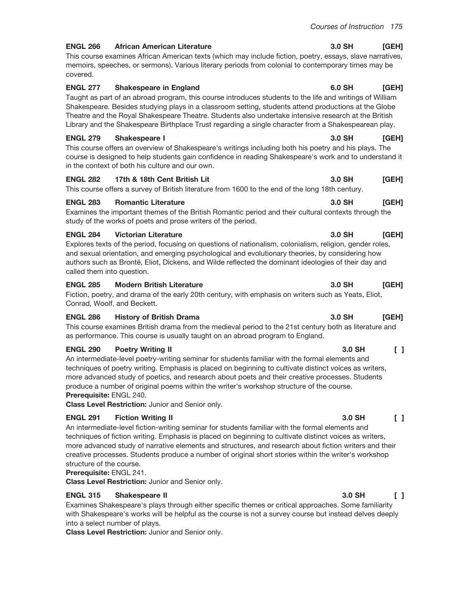3.0 SH

3.0 SH

3.0 SH

#### **ENGL 266 African American Literature**

This course examines African American texts (which may include fiction, poetry, essays, slave narratives, memoirs, speeches, or sermons). Various literary periods from colonial to contemporary times may be covered.

#### **ENGL 277 Shakespeare in England**

Taught as part of an abroad program, this course introduces students to the life and writings of William Shakespeare. Besides studying plays in a classroom setting, students attend productions at the Globe Theatre and the Royal Shakespeare Theatre. Students also undertake intensive research at the British Library and the Shakespeare Birthplace Trust regarding a single character from a Shakespearean play.

#### **ENGL 279** Shakespeare I

This course offers an overview of Shakespeare's writings including both his poetry and his plays. The course is designed to help students gain confidence in reading Shakespeare's work and to understand it in the context of both his culture and our own.

#### **ENGL 282** 17th & 18th Cent British Lit

This course offers a survey of British literature from 1600 to the end of the long 18th century.

#### **Romantic Literature ENGL 283**

Examines the important themes of the British Romantic period and their cultural contexts through the study of the works of poets and prose writers of the period.

#### **ENGL 284 Victorian Literature**

Explores texts of the period, focusing on questions of nationalism, colonialism, religion, gender roles, and sexual orientation, and emerging psychological and evolutionary theories, by considering how authors such as Brontë, Eliot, Dickens, and Wilde reflected the dominant ideologies of their day and called them into question.

#### **ENGL 285 Modern British Literature**

Fiction, poetry, and drama of the early 20th century, with emphasis on writers such as Yeats, Eliot, Conrad, Woolf, and Beckett.

#### **ENGL 286 History of British Drama**

This course examines British drama from the medieval period to the 21st century both as literature and as performance. This course is usually taught on an abroad program to England.

#### **ENGL 290 Poetry Writing II**

An intermediate-level poetry-writing seminar for students familiar with the formal elements and techniques of poetry writing. Emphasis is placed on beginning to cultivate distinct voices as writers, more advanced study of poetics, and research about poets and their creative processes. Students produce a number of original poems within the writer's workshop structure of the course. Prerequisite: ENGL 240.

Class Level Restriction: Junior and Senior only.

#### **ENGL 291 Fiction Writing II**

An intermediate-level fiction-writing seminar for students familiar with the formal elements and techniques of fiction writing. Emphasis is placed on beginning to cultivate distinct voices as writers, more advanced study of narrative elements and structures, and research about fiction writers and their creative processes. Students produce a number of original short stories within the writer's workshop structure of the course.

# Prerequisite: ENGL 241.

Class Level Restriction: Junior and Senior only.

#### **ENGL 315** Shakespeare II

Examines Shakespeare's plays through either specific themes or critical approaches. Some familiarity with Shakespeare's works will be helpful as the course is not a survey course but instead delves deeply into a select number of plays.

**Class Level Restriction: Junior and Senior only.** 

#### 6.0 SH [GEH]

[GEH]

[GEH]

[GEH]

### 3.0 SH [GEH]

#### 3.0 SH [GEH]

#### 3.0 SH  $\Box$

#### 3.0 SH  $\mathsf{F}$

#### 3.0 SH  $\Box$

### 3.0 SH [GEH]

### 3.0 SH **IGEHI**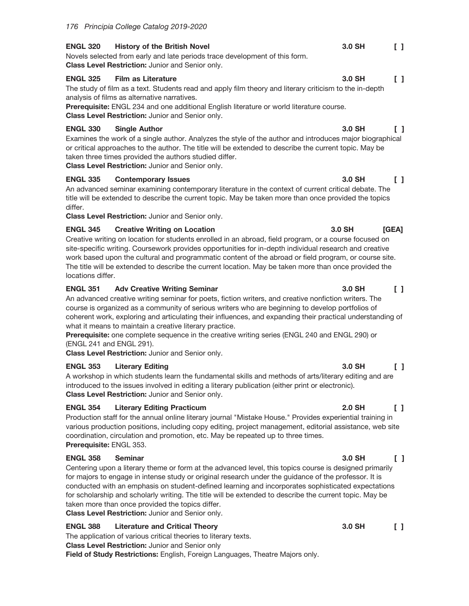#### **ENGL 320 History of the British Novel**

Novels selected from early and late periods trace development of this form. Class Level Restriction: Junior and Senior only.

#### **ENGL 325 Film as Literature**

The study of film as a text. Students read and apply film theory and literary criticism to the in-depth analysis of films as alternative narratives.

Prerequisite: ENGL 234 and one additional English literature or world literature course. Class Level Restriction: Junior and Senior only.

#### **ENGL 330 Single Author**

Examines the work of a single author. Analyzes the style of the author and introduces major biographical or critical approaches to the author. The title will be extended to describe the current topic. May be taken three times provided the authors studied differ.

Class Level Restriction: Junior and Senior only.

#### **ENGL 335 Contemporary Issues**

An advanced seminar examining contemporary literature in the context of current critical debate. The title will be extended to describe the current topic. May be taken more than once provided the topics differ.

Class Level Restriction: Junior and Senior only.

#### **ENGL 345 Creative Writing on Location**

Creative writing on location for students enrolled in an abroad, field program, or a course focused on site-specific writing. Coursework provides opportunities for in-depth individual research and creative work based upon the cultural and programmatic content of the abroad or field program, or course site. The title will be extended to describe the current location. May be taken more than once provided the locations differ.

#### **ENGL 351 Adv Creative Writing Seminar**

An advanced creative writing seminar for poets, fiction writers, and creative nonfiction writers. The course is organized as a community of serious writers who are beginning to develop portfolios of coherent work, exploring and articulating their influences, and expanding their practical understanding of what it means to maintain a creative literary practice.

**Prerequisite:** one complete sequence in the creative writing series (ENGL 240 and ENGL 290) or (ENGL 241 and ENGL 291).

Class Level Restriction: Junior and Senior only.

#### **ENGL 353 Literary Editing**

A workshop in which students learn the fundamental skills and methods of arts/literary editing and are introduced to the issues involved in editing a literary publication (either print or electronic). Class Level Restriction: Junior and Senior only.

#### **ENGL 354 Literary Editing Practicum**

Production staff for the annual online literary journal "Mistake House." Provides experiential training in various production positions, including copy editing, project management, editorial assistance, web site coordination, circulation and promotion, etc. May be repeated up to three times. Prerequisite: ENGL 353.

#### **ENGL 358 Seminar**

Centering upon a literary theme or form at the advanced level, this topics course is designed primarily for majors to engage in intense study or original research under the quidance of the professor. It is conducted with an emphasis on student-defined learning and incorporates sophisticated expectations for scholarship and scholarly writing. The title will be extended to describe the current topic. May be taken more than once provided the topics differ. Class Level Restriction: Junior and Senior only.

### **ENGL 388 Literature and Critical Theory**

The application of various critical theories to literary texts.

**Class Level Restriction: Junior and Senior only** 

Field of Study Restrictions: English, Foreign Languages, Theatre Majors only.

#### 3.0 SH  $\begin{smallmatrix}1\end{smallmatrix}$

#### 3.0 SH  $\mathsf{L}$

### 3.0 SH  $\Box$

[GEA]

3.0 SH

### 3.0 SH  $\Box$

### 3.0 SH  $\Box$

#### **2.0 SH**  $\Box$

#### 3.0 SH  $\Box$

#### 3.0 SH  $\begin{smallmatrix}1\end{smallmatrix}$

#### 3.0 SH  $\begin{smallmatrix}1\end{smallmatrix}$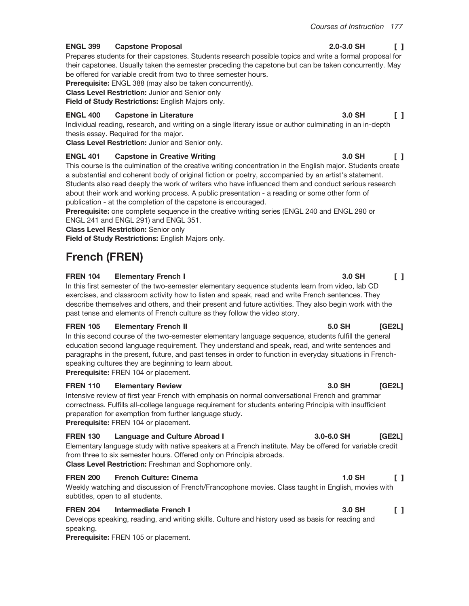3.0 SH

#### **ENGL 399 Capstone Proposal**

Prepares students for their capstones. Students research possible topics and write a formal proposal for their capstones. Usually taken the semester preceding the capstone but can be taken concurrently. May be offered for variable credit from two to three semester hours.

Prerequisite: ENGL 388 (may also be taken concurrently).

**Class Level Restriction: Junior and Senior only** 

Field of Study Restrictions: English Majors only.

#### **Capstone in Literature ENGL 400**

Individual reading, research, and writing on a single literary issue or author culminating in an in-depth thesis essay. Required for the major.

Class Level Restriction: Junior and Senior only.

#### **ENGL 401 Capstone in Creative Writing**

This course is the culmination of the creative writing concentration in the English major. Students create a substantial and coherent body of original fiction or poetry, accompanied by an artist's statement. Students also read deeply the work of writers who have influenced them and conduct serious research about their work and working process. A public presentation - a reading or some other form of publication - at the completion of the capstone is encouraged.

Prerequisite: one complete sequence in the creative writing series (ENGL 240 and ENGL 290 or ENGL 241 and ENGL 291) and ENGL 351.

**Class Level Restriction: Senior only** 

Field of Study Restrictions: English Majors only.

# **French (FREN)**

#### **FREN 104 Elementary French I**

In this first semester of the two-semester elementary sequence students learn from video, lab CD exercises, and classroom activity how to listen and speak, read and write French sentences. They describe themselves and others, and their present and future activities. They also begin work with the past tense and elements of French culture as they follow the video story.

#### **FREN 105 Elementary French II**

In this second course of the two-semester elementary language sequence, students fulfill the general education second language requirement. They understand and speak, read, and write sentences and paragraphs in the present, future, and past tenses in order to function in everyday situations in Frenchspeaking cultures they are beginning to learn about.

Prerequisite: FREN 104 or placement.

#### **FREN 110 Elementary Review**

Intensive review of first year French with emphasis on normal conversational French and grammar correctness. Fulfills all-college language requirement for students entering Principia with insufficient preparation for exemption from further language study. Prerequisite: FREN 104 or placement.

#### **FREN 130** Language and Culture Abroad I

Elementary language study with native speakers at a French institute. May be offered for variable credit from three to six semester hours. Offered only on Principia abroads. Class Level Restriction: Freshman and Sophomore only.

#### **FREN 200 French Culture: Cinema**

Weekly watching and discussion of French/Francophone movies. Class taught in English, movies with subtitles, open to all students.

#### **FREN 204 Intermediate French I**

Develops speaking, reading, and writing skills. Culture and history used as basis for reading and speaking.

Prerequisite: FREN 105 or placement.

## $\Box$

 $\Box$ 

### 3.0 SH  $\Box$

3.0 SH  $\mathsf{L}$ 

#### 5.0 SH  $IGE2L$

#### 3.0 SH **IGE2L1**

#### 3.0-6.0 SH **IGE2L1**

#### $1.0$  SH  $\begin{smallmatrix}1\end{smallmatrix}$

#### 3.0 SH  $\Box$

# $2.0 - 3.0$  SH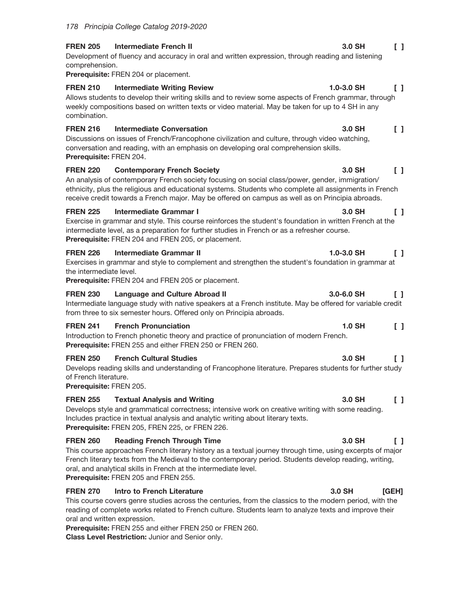**FREN 205 Intermediate French II** Development of fluency and accuracy in oral and written expression, through reading and listening comprehension.

Prerequisite: FREN 204 or placement.

## **FREN 210 Intermediate Writing Review**

Allows students to develop their writing skills and to review some aspects of French grammar, through weekly compositions based on written texts or video material. May be taken for up to 4 SH in any combination.

#### **FREN 216 Intermediate Conversation**

Discussions on issues of French/Francophone civilization and culture, through video watching, conversation and reading, with an emphasis on developing oral comprehension skills. Prerequisite: FREN 204.

### **FREN 220 Contemporary French Society**

An analysis of contemporary French society focusing on social class/power, gender, immigration/ ethnicity, plus the religious and educational systems. Students who complete all assignments in French receive credit towards a French major. May be offered on campus as well as on Principia abroads.

#### **FREN 225 Intermediate Grammar I**

Exercise in grammar and style. This course reinforces the student's foundation in written French at the intermediate level, as a preparation for further studies in French or as a refresher course. Prerequisite: FREN 204 and FREN 205, or placement.

#### **FREN 226 Intermediate Grammar II**

Exercises in grammar and style to complement and strengthen the student's foundation in grammar at the intermediate level.

Prerequisite: FREN 204 and FREN 205 or placement.

#### 3.0-6.0 SH **FREN 230 Language and Culture Abroad II**  $\Box$

Intermediate language study with native speakers at a French institute. May be offered for variable credit from three to six semester hours. Offered only on Principia abroads.

#### **FREN 241 French Pronunciation**

Introduction to French phonetic theory and practice of pronunciation of modern French. Prerequisite: FREN 255 and either FREN 250 or FREN 260.

#### **FRFN 250 French Cultural Studies**

Develops reading skills and understanding of Francophone literature. Prepares students for further study of French literature.

Prerequisite: FREN 205.

#### **FREN 255 Textual Analysis and Writing**

Develops style and grammatical correctness; intensive work on creative writing with some reading. Includes practice in textual analysis and analytic writing about literary texts. Prerequisite: FREN 205, FREN 225, or FREN 226.

#### **FREN 260 Reading French Through Time**

This course approaches French literary history as a textual journey through time, using excerpts of major French literary texts from the Medieval to the contemporary period. Students develop reading, writing, oral, and analytical skills in French at the intermediate level. Prerequisite: FREN 205 and FREN 255.

#### **FREN 270** Intro to French Literature

This course covers genre studies across the centuries, from the classics to the modern period, with the reading of complete works related to French culture. Students learn to analyze texts and improve their oral and written expression.

Prerequisite: FREN 255 and either FREN 250 or FREN 260.

# **Class Level Restriction: Junior and Senior only.**

## $\Box$

#### $\begin{bmatrix} 1 \end{bmatrix}$ 1.0-3.0 SH

3.0 SH  $\Box$ 

#### 3.0 SH  $\Box$

3.0 SH  $\Box$ 

### $1.0 - 3.0$  SH  $\Box$

#### 3.0 SH  $\Box$

 $\begin{smallmatrix}1\end{smallmatrix}$ 

 $\Box$ 

**1.0 SH** 

3.0 SH

### 3.0 SH  $\Box$

#### 3.0 SH [GEH]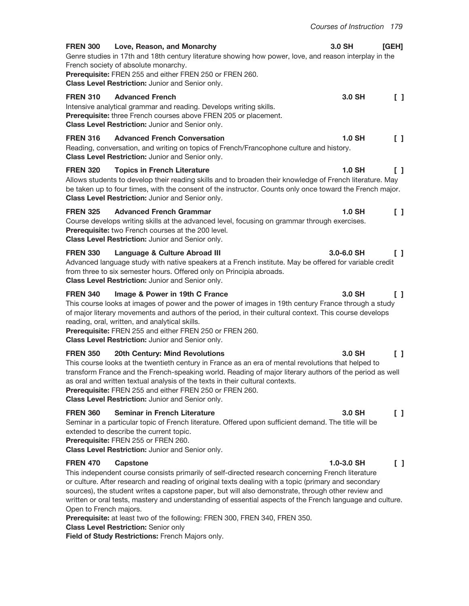|                 |                                                                                                                                                                                                                                                                                                                                                                                                                                                  | Courses of Instruction 179 |                                            |
|-----------------|--------------------------------------------------------------------------------------------------------------------------------------------------------------------------------------------------------------------------------------------------------------------------------------------------------------------------------------------------------------------------------------------------------------------------------------------------|----------------------------|--------------------------------------------|
| <b>FREN 300</b> | Love, Reason, and Monarchy<br>Genre studies in 17th and 18th century literature showing how power, love, and reason interplay in the<br>French society of absolute monarchy.<br>Prerequisite: FREN 255 and either FREN 250 or FREN 260.<br>Class Level Restriction: Junior and Senior only.                                                                                                                                                      | 3.0 SH                     | <b>[GEH]</b>                               |
| <b>FREN 310</b> | <b>Advanced French</b><br>Intensive analytical grammar and reading. Develops writing skills.<br>Prerequisite: three French courses above FREN 205 or placement.<br>Class Level Restriction: Junior and Senior only.                                                                                                                                                                                                                              | 3.0 SH                     | $\begin{smallmatrix}1\\1\end{smallmatrix}$ |
| <b>FREN 316</b> | <b>Advanced French Conversation</b><br>Reading, conversation, and writing on topics of French/Francophone culture and history.<br>Class Level Restriction: Junior and Senior only.                                                                                                                                                                                                                                                               | <b>1.0 SH</b>              | $\begin{smallmatrix}1\end{smallmatrix}$    |
| <b>FREN 320</b> | <b>Topics in French Literature</b><br>Allows students to develop their reading skills and to broaden their knowledge of French literature. May<br>be taken up to four times, with the consent of the instructor. Counts only once toward the French major.<br>Class Level Restriction: Junior and Senior only.                                                                                                                                   | <b>1.0 SH</b>              | $\begin{smallmatrix}1\end{smallmatrix}$    |
| <b>FREN 325</b> | <b>Advanced French Grammar</b><br>Course develops writing skills at the advanced level, focusing on grammar through exercises.<br>Prerequisite: two French courses at the 200 level.<br>Class Level Restriction: Junior and Senior only.                                                                                                                                                                                                         | $1.0$ SH                   | $\Box$                                     |
| <b>FREN 330</b> | Language & Culture Abroad III<br>Advanced language study with native speakers at a French institute. May be offered for variable credit<br>from three to six semester hours. Offered only on Principia abroads.<br>Class Level Restriction: Junior and Senior only.                                                                                                                                                                              | $3.0 - 6.0$ SH             | $\Box$                                     |
| <b>FREN 340</b> | Image & Power in 19th C France<br>This course looks at images of power and the power of images in 19th century France through a study<br>of major literary movements and authors of the period, in their cultural context. This course develops<br>reading, oral, written, and analytical skills.<br>Prerequisite: FREN 255 and either FREN 250 or FREN 260.<br>Class Level Restriction: Junior and Senior only.                                 | $3.0$ SH                   | $\Box$                                     |
| <b>FREN 350</b> | 20th Century: Mind Revolutions<br>This course looks at the twentieth century in France as an era of mental revolutions that helped to<br>transform France and the French-speaking world. Reading of major literary authors of the period as well<br>as oral and written textual analysis of the texts in their cultural contexts.<br>Prerequisite: FREN 255 and either FREN 250 or FREN 260.<br>Class Level Restriction: Junior and Senior only. | 3.0 SH                     | $\begin{smallmatrix}1\end{smallmatrix}$    |
| <b>FREN 360</b> | <b>Seminar in French Literature</b><br>Seminar in a particular topic of French literature. Offered upon sufficient demand. The title will be<br>extended to describe the current topic.<br>Prerequisite: FREN 255 or FREN 260.<br>Class Level Restriction: Junior and Senior only.                                                                                                                                                               | 3.0 SH                     | $\Box$                                     |
| <b>FREN 470</b> | <b>Capstone</b>                                                                                                                                                                                                                                                                                                                                                                                                                                  | 1.0-3.0 SH                 |                                            |

This independent course consists primarily of self-directed research concerning French literature or culture. After research and reading of original texts dealing with a topic (primary and secondary sources), the student writes a capstone paper, but will also demonstrate, through other review and written or oral tests, mastery and understanding of essential aspects of the French language and culture. Open to French majors.

Prerequisite: at least two of the following: FREN 300, FREN 340, FREN 350.

**Class Level Restriction: Senior only** 

Field of Study Restrictions: French Majors only.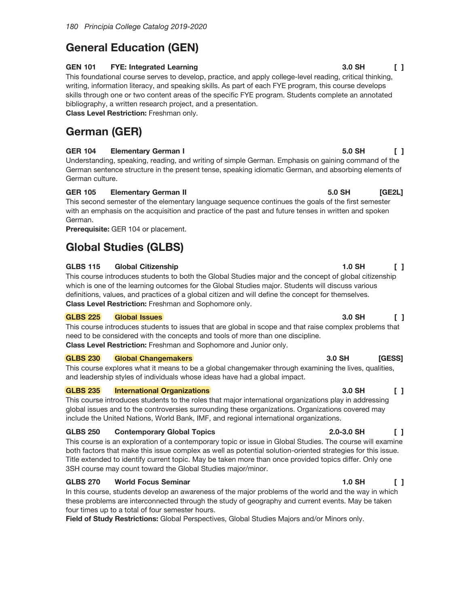# **General Education (GEN)**

#### **GEN 101 FYE: Integrated Learning**

This foundational course serves to develop, practice, and apply college-level reading, critical thinking, writing, information literacy, and speaking skills. As part of each FYE program, this course develops skills through one or two content areas of the specific FYE program. Students complete an annotated bibliography, a written research project, and a presentation.

Class Level Restriction: Freshman only.

# German (GER)

### **GER 104 Elementary German I**

Understanding, speaking, reading, and writing of simple German. Emphasis on gaining command of the German sentence structure in the present tense, speaking idiomatic German, and absorbing elements of German culture.

### **GER 105 Elementary German II**

This second semester of the elementary language sequence continues the goals of the first semester with an emphasis on the acquisition and practice of the past and future tenses in written and spoken German.

Prerequisite: GER 104 or placement.

# **Global Studies (GLBS)**

### **GLBS 115 Global Citizenship**

This course introduces students to both the Global Studies major and the concept of global citizenship which is one of the learning outcomes for the Global Studies major. Students will discuss various definitions, values, and practices of a global citizen and will define the concept for themselves. Class Level Restriction: Freshman and Sophomore only.

#### **GLBS 225 Global Issues**

This course introduces students to issues that are global in scope and that raise complex problems that need to be considered with the concepts and tools of more than one discipline. Class Level Restriction: Freshman and Sophomore and Junior only.

#### **GLBS 230 Global Changemakers**

This course explores what it means to be a global changemaker through examining the lives, qualities, and leadership styles of individuals whose ideas have had a global impact.

#### **GLBS 235 International Organizations**

This course introduces students to the roles that major international organizations play in addressing global issues and to the controversies surrounding these organizations. Organizations covered may include the United Nations, World Bank, IMF, and regional international organizations.

### **GLBS 250 Contemporary Global Topics**

This course is an exploration of a contemporary topic or issue in Global Studies. The course will examine both factors that make this issue complex as well as potential solution-oriented strategies for this issue. Title extended to identify current topic. May be taken more than once provided topics differ. Only one 3SH course may count toward the Global Studies major/minor.

### **GLBS 270 World Focus Seminar**

In this course, students develop an awareness of the major problems of the world and the way in which these problems are interconnected through the study of geography and current events. May be taken four times up to a total of four semester hours.

Field of Study Restrictions: Global Perspectives, Global Studies Majors and/or Minors only.

 $\Box$ 

 $IGE2L$ 

5.0 SH

5.0 SH

### $1.0$  SH  $\Box$

### 3.0 SH  $\mathsf{L}$

### 3.0 SH [GESS]

#### 3.0 SH  $\begin{bmatrix} 1 \end{bmatrix}$

### $2.0 - 3.0$  SH  $\mathsf{L}$

#### $1.0$  SH  $\begin{smallmatrix}1\end{smallmatrix}$

### 3.0 SH  $\Box$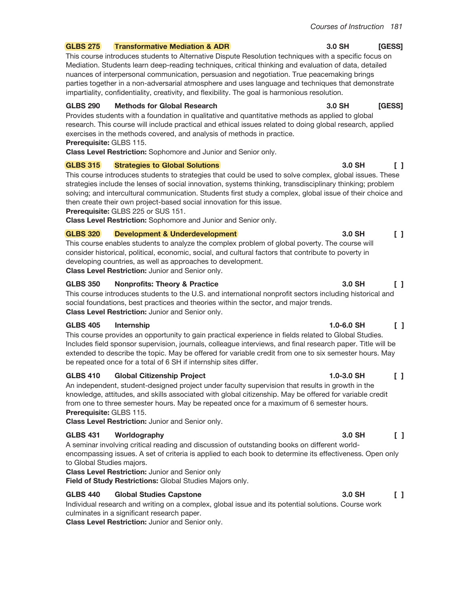#### **GLBS 275 Transformative Mediation & ADR**

This course introduces students to Alternative Dispute Resolution techniques with a specific focus on Mediation. Students learn deep-reading techniques, critical thinking and evaluation of data, detailed nuances of interpersonal communication, persuasion and negotiation. True peacemaking brings parties together in a non-adversarial atmosphere and uses language and techniques that demonstrate impartiality, confidentiality, creativity, and flexibility. The goal is harmonious resolution.

#### **GLBS 290 Methods for Global Research**

Provides students with a foundation in qualitative and quantitative methods as applied to global research. This course will include practical and ethical issues related to doing global research, applied exercises in the methods covered, and analysis of methods in practice. Prerequisite: GLBS 115.

Class Level Restriction: Sophomore and Junior and Senior only.

#### **GLBS 315 Strategies to Global Solutions**

This course introduces students to strategies that could be used to solve complex, global issues. These strategies include the lenses of social innovation, systems thinking, transdisciplinary thinking; problem solving; and intercultural communication. Students first study a complex, global issue of their choice and then create their own project-based social innovation for this issue.

Prerequisite: GLBS 225 or SUS 151.

Class Level Restriction: Sophomore and Junior and Senior only.

#### **GLBS 320** Development & Underdevelopment

This course enables students to analyze the complex problem of global poverty. The course will consider historical, political, economic, social, and cultural factors that contribute to poverty in developing countries, as well as approaches to development.

Class Level Restriction: Junior and Senior only.

#### **GLBS 350 Nonprofits: Theory & Practice**

This course introduces students to the U.S. and international nonprofit sectors including historical and social foundations, best practices and theories within the sector, and major trends. Class Level Restriction: Junior and Senior only.

#### **GLBS 405** Internship

This course provides an opportunity to gain practical experience in fields related to Global Studies. Includes field sponsor supervision, journals, colleague interviews, and final research paper. Title will be extended to describe the topic. May be offered for variable credit from one to six semester hours. May be repeated once for a total of 6 SH if internship sites differ.

#### **GLBS 410 Global Citizenship Project**

An independent, student-designed project under faculty supervision that results in growth in the knowledge, attitudes, and skills associated with global citizenship. May be offered for variable credit from one to three semester hours. May be repeated once for a maximum of 6 semester hours. Prerequisite: GLBS 115.

Class Level Restriction: Junior and Senior only.

#### **GLBS 431** Worldography

A seminar involving critical reading and discussion of outstanding books on different worldencompassing issues. A set of criteria is applied to each book to determine its effectiveness. Open only to Global Studies majors.

**Class Level Restriction: Junior and Senior only** 

Field of Study Restrictions: Global Studies Majors only.

#### **GLBS 440 Global Studies Capstone**

Individual research and writing on a complex, global issue and its potential solutions. Course work culminates in a significant research paper.

Class Level Restriction: Junior and Senior only.

### 3.0 SH [GESS]

### [GESS] 3.0 SH

#### 3.0 SH  $\Box$

#### 3.0 SH  $\begin{smallmatrix}1\end{smallmatrix}$

3.0 SH

#### $1.0 - 6.0$  SH  $\mathsf{F}$

1.0-3.0 SH

#### 3.0 SH  $\Box$

### 3.0 SH  $\Box$

 $\Box$ 

 $\begin{smallmatrix}1\end{smallmatrix}$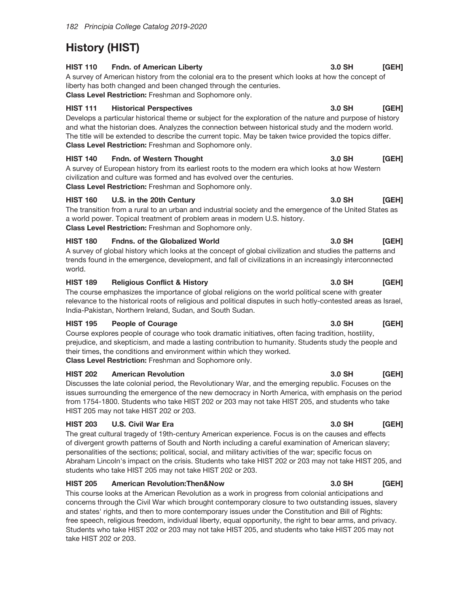# **History (HIST)**

### **HIST 110** Fndn. of American Liberty

[GEH] A survey of American history from the colonial era to the present which looks at how the concept of liberty has both changed and been changed through the centuries. Class Level Restriction: Freshman and Sophomore only.

### **HIST 111 Historical Perspectives**

[GEH] Develops a particular historical theme or subject for the exploration of the nature and purpose of history and what the historian does. Analyzes the connection between historical study and the modern world. The title will be extended to describe the current topic. May be taken twice provided the topics differ. Class Level Restriction: Freshman and Sophomore only.

### **HIST 140** Fndn. of Western Thought

A survey of European history from its earliest roots to the modern era which looks at how Western civilization and culture was formed and has evolved over the centuries. Class Level Restriction: Freshman and Sophomore only.

### U.S. in the 20th Century **HIST 160**

The transition from a rural to an urban and industrial society and the emergence of the United States as a world power. Topical treatment of problem areas in modern U.S. history. Class Level Restriction: Freshman and Sophomore only.

### **HIST 180 Fndns. of the Globalized World**

A survey of global history which looks at the concept of global civilization and studies the patterns and trends found in the emergence, development, and fall of civilizations in an increasingly interconnected world.

### **HIST 189 Religious Conflict & History**

The course emphasizes the importance of global religions on the world political scene with greater relevance to the historical roots of religious and political disputes in such hotly-contested areas as Israel, India-Pakistan, Northern Ireland, Sudan, and South Sudan.

### **HIST 195 People of Courage**

Course explores people of courage who took dramatic initiatives, often facing tradition, hostility, prejudice, and skepticism, and made a lasting contribution to humanity. Students study the people and their times, the conditions and environment within which they worked. Class Level Restriction: Freshman and Sophomore only.

#### **HIST 202 American Revolution**

Discusses the late colonial period, the Revolutionary War, and the emerging republic. Focuses on the issues surrounding the emergence of the new democracy in North America, with emphasis on the period from 1754-1800. Students who take HIST 202 or 203 may not take HIST 205, and students who take HIST 205 may not take HIST 202 or 203.

### **HIST 203 U.S. Civil War Era**

The great cultural tragedy of 19th-century American experience. Focus is on the causes and effects of divergent growth patterns of South and North including a careful examination of American slavery; personalities of the sections; political, social, and military activities of the war; specific focus on Abraham Lincoln's impact on the crisis. Students who take HIST 202 or 203 may not take HIST 205, and students who take HIST 205 may not take HIST 202 or 203.

### **HIST 205** American Revolution Then&Now

This course looks at the American Revolution as a work in progress from colonial anticipations and concerns through the Civil War which brought contemporary closure to two outstanding issues, slavery and states' rights, and then to more contemporary issues under the Constitution and Bill of Rights: free speech, religious freedom, individual liberty, equal opportunity, the right to bear arms, and privacy. Students who take HIST 202 or 203 may not take HIST 205, and students who take HIST 205 may not take HIST 202 or 203.

#### 3.0 SH [GEH]

#### 3.0 SH [GEH]

[GEH]

3.0 SH

## 3.0 SH [GEH]

### 3.0 SH [GEH]

### 3.0 SH [GEH]

### 3.0 SH [GEH]

### 3.0 SH [GEH]

3.0 SH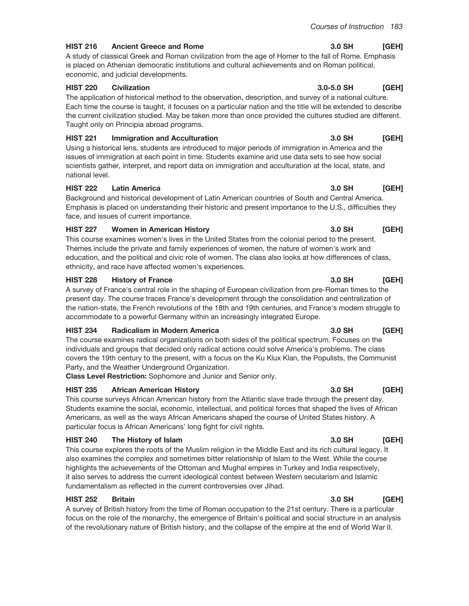#### **HIST 216 Ancient Greece and Rome**

A study of classical Greek and Roman civilization from the age of Homer to the fall of Rome. Emphasis is placed on Athenian democratic institutions and cultural achievements and on Roman political, economic, and judicial developments.

#### **HIST 220 Civilization**

The application of historical method to the observation, description, and survey of a national culture. Each time the course is taught, it focuses on a particular nation and the title will be extended to describe the current civilization studied. May be taken more than once provided the cultures studied are different. Taught only on Principia abroad programs.

#### **HIST 221 Immigration and Acculturation**

Using a historical lens, students are introduced to major periods of immigration in America and the issues of immigration at each point in time. Students examine and use data sets to see how social scientists gather, interpret, and report data on immigration and acculturation at the local, state, and national level.

#### **HIST 222 Latin America**

Background and historical development of Latin American countries of South and Central America. Emphasis is placed on understanding their historic and present importance to the U.S., difficulties they face, and issues of current importance.

#### **HIST 227 Women in American History**

This course examines women's lives in the United States from the colonial period to the present. Themes include the private and family experiences of women, the nature of women's work and education, and the political and civic role of women. The class also looks at how differences of class, ethnicity, and race have affected women's experiences.

#### **HIST 228 History of France**

A survey of France's central role in the shaping of European civilization from pre-Roman times to the present day. The course traces France's development through the consolidation and centralization of the nation-state, the French revolutions of the 18th and 19th centuries, and France's modern struggle to accommodate to a powerful Germany within an increasingly integrated Europe.

#### **HIST 234 Radicalism in Modern America**

The course examines radical organizations on both sides of the political spectrum. Focuses on the individuals and groups that decided only radical actions could solve America's problems. The class covers the 19th century to the present, with a focus on the Ku Klux Klan, the Populists, the Communist Party, and the Weather Underground Organization.

Class Level Restriction: Sophomore and Junior and Senior only.

#### **HIST 235 African American History**

This course surveys African American history from the Atlantic slave trade through the present day. Students examine the social, economic, intellectual, and political forces that shaped the lives of African Americans, as well as the ways African Americans shaped the course of United States history. A particular focus is African Americans' long fight for civil rights.

#### **HIST 240** The History of Islam

This course explores the roots of the Muslim religion in the Middle East and its rich cultural legacy. It also examines the complex and sometimes bitter relationship of Islam to the West. While the course highlights the achievements of the Ottoman and Mughal empires in Turkey and India respectively, it also serves to address the current ideological contest between Western secularism and Islamic fundamentalism as reflected in the current controversies over Jihad.

#### **HIST 252 Britain**

A survey of British history from the time of Roman occupation to the 21st century. There is a particular focus on the role of the monarchy, the emergence of Britain's political and social structure in an analysis of the revolutionary nature of British history, and the collapse of the empire at the end of World War II.

#### 3.0 SH  $[GEH]$

#### $3.0 - 5.0$  SH [GEH]

[GEH]

3.0 SH

#### 3.0 SH [GEH]

#### 3.0 SH [GEH]

#### 3.0 SH [GEH]

#### 3.0 SH [GEH]

#### 3.0 SH [GEH]

#### 3.0 SH [GEH]

#### 3.0 SH [GEH]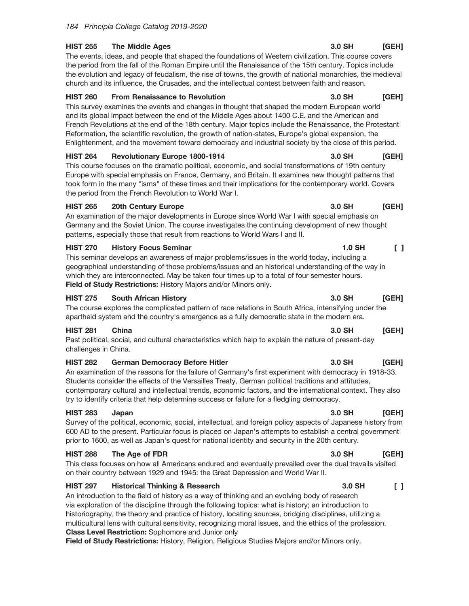#### **HIST 255 The Middle Ages**

The events, ideas, and people that shaped the foundations of Western civilization. This course covers the period from the fall of the Roman Empire until the Renaissance of the 15th century. Topics include the evolution and legacy of feudalism, the rise of towns, the growth of national monarchies, the medieval church and its influence, the Crusades, and the intellectual contest between faith and reason.

#### **HIST 260 From Renaissance to Revolution**

This survey examines the events and changes in thought that shaped the modern European world and its global impact between the end of the Middle Ages about 1400 C.E. and the American and French Revolutions at the end of the 18th century. Major topics include the Renaissance, the Protestant Reformation, the scientific revolution, the growth of nation-states, Europe's global expansion, the Enlightenment, and the movement toward democracy and industrial society by the close of this period.

#### **HIST 264 Revolutionary Europe 1800-1914**

This course focuses on the dramatic political, economic, and social transformations of 19th century Europe with special emphasis on France, Germany, and Britain. It examines new thought patterns that took form in the many "isms" of these times and their implications for the contemporary world. Covers the period from the French Revolution to World War I.

#### **HIST 265** 20th Century Europe

An examination of the major developments in Europe since World War I with special emphasis on Germany and the Soviet Union. The course investigates the continuing development of new thought patterns, especially those that result from reactions to World Wars I and II.

#### **HIST 270 History Focus Seminar**

This seminar develops an awareness of major problems/issues in the world today, including a geographical understanding of those problems/issues and an historical understanding of the way in which they are interconnected. May be taken four times up to a total of four semester hours. Field of Study Restrictions: History Majors and/or Minors only.

#### **HIST 275 South African History**

The course explores the complicated pattern of race relations in South Africa, intensifying under the apartheid system and the country's emergence as a fully democratic state in the modern era.

#### **HIST 281** China

Past political, social, and cultural characteristics which help to explain the nature of present-day challenges in China.

#### **HIST 282 German Democracy Before Hitler**

An examination of the reasons for the failure of Germany's first experiment with democracy in 1918-33. Students consider the effects of the Versailles Treaty, German political traditions and attitudes, contemporary cultural and intellectual trends, economic factors, and the international context. They also try to identify criteria that help determine success or failure for a fledgling democracy.

#### **HIST 283** Japan

Survey of the political, economic, social, intellectual, and foreign policy aspects of Japanese history from 600 AD to the present. Particular focus is placed on Japan's attempts to establish a central government prior to 1600, as well as Japan's quest for national identity and security in the 20th century.

#### **HIST 288** The Age of FDR

This class focuses on how all Americans endured and eventually prevailed over the dual travails visited on their country between 1929 and 1945: the Great Depression and World War II.

#### **HIST 297 Historical Thinking & Research**

An introduction to the field of history as a way of thinking and an evolving body of research via exploration of the discipline through the following topics: what is history; an introduction to historiography, the theory and practice of history, locating sources, bridging disciplines, utilizing a multicultural lens with cultural sensitivity, recognizing moral issues, and the ethics of the profession. **Class Level Restriction:** Sophomore and Junior only

Field of Study Restrictions: History, Religion, Religious Studies Majors and/or Minors only.

#### 3.0 SH [GEH]

[GEH]

[GEH]

3.0 SH

3.0 SH

#### 3.0 SH [GEH]

#### $\begin{bmatrix} 1 \end{bmatrix}$  $1.0$  SH

## [GEH]

#### 3.0 SH [GEH]

#### 3.0 SH  $[GEH]$

#### 3.0 SH  $\Box$

### 3.0 SH [GEH]

# 3.0 SH

## 3.0 SH [GEH]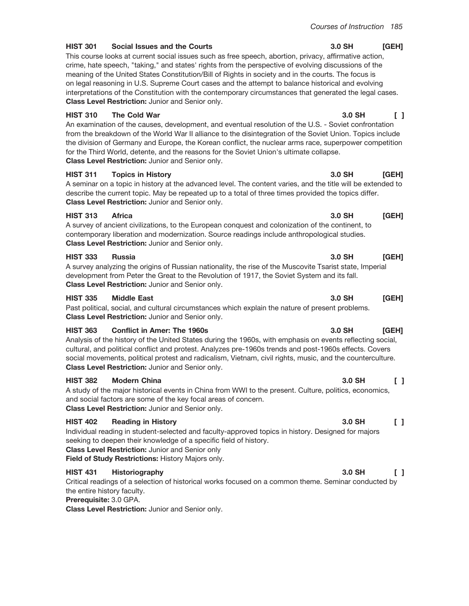#### **HIST 301 Social Issues and the Courts**

This course looks at current social issues such as free speech, abortion, privacy, affirmative action, crime, hate speech, "taking," and states' rights from the perspective of evolving discussions of the meaning of the United States Constitution/Bill of Rights in society and in the courts. The focus is on legal reasoning in U.S. Supreme Court cases and the attempt to balance historical and evolving interpretations of the Constitution with the contemporary circumstances that generated the legal cases. Class Level Restriction: Junior and Senior only.

#### **HIST 310 The Cold War**

An examination of the causes, development, and eventual resolution of the U.S. - Soviet confrontation from the breakdown of the World War II alliance to the disintegration of the Soviet Union. Topics include the division of Germany and Europe, the Korean conflict, the nuclear arms race, superpower competition for the Third World, detente, and the reasons for the Soviet Union's ultimate collapse. **Class Level Restriction: Junior and Senior only.** 

#### **HIST 311 Topics in History**

A seminar on a topic in history at the advanced level. The content varies, and the title will be extended to describe the current topic. May be repeated up to a total of three times provided the topics differ. Class Level Restriction: Junior and Senior only.

#### **HIST 313 Africa**

A survey of ancient civilizations, to the European conquest and colonization of the continent, to contemporary liberation and modernization. Source readings include anthropological studies. Class Level Restriction: Junior and Senior only.

#### **HIST 333 Russia**

A survey analyzing the origins of Russian nationality, the rise of the Muscovite Tsarist state, Imperial development from Peter the Great to the Revolution of 1917, the Soviet System and its fall. Class Level Restriction: Junior and Senior only.

#### **HIST 335 Middle East**

Past political, social, and cultural circumstances which explain the nature of present problems. Class Level Restriction: Junior and Senior only.

#### **HIST 363 Conflict in Amer: The 1960s**

Analysis of the history of the United States during the 1960s, with emphasis on events reflecting social, cultural, and political conflict and protest. Analyzes pre-1960s trends and post-1960s effects. Covers social movements, political protest and radicalism, Vietnam, civil rights, music, and the counterculture. Class Level Restriction: Junior and Senior only.

#### **HIST 382 Modern China**

A study of the major historical events in China from WWI to the present. Culture, politics, economics, and social factors are some of the key focal areas of concern. Class Level Restriction: Junior and Senior only.

#### **HIST 402 Reading in History**

Individual reading in student-selected and faculty-approved topics in history. Designed for majors seeking to deepen their knowledge of a specific field of history.

**Class Level Restriction: Junior and Senior only** 

Field of Study Restrictions: History Majors only.

#### **HIST 431** Historiography

Critical readings of a selection of historical works focused on a common theme. Seminar conducted by the entire history faculty.

## Prerequisite: 3.0 GPA.

Class Level Restriction: Junior and Senior only.

#### 3.0 SH  $[GEH]$

### 3.0 SH  $\Box$

### 3.0 SH [GEH]

 $3.0$  SH

# 3.0 SH

#### 3.0 SH [GEH]

### 3.0 SH [GEH]

# 3.0 SH

# $\Box$

### 3.0 SH  $\begin{smallmatrix}1\end{smallmatrix}$

# 3.0 SH

# $\mathsf{F}$

# [GEH]

**IGEH1**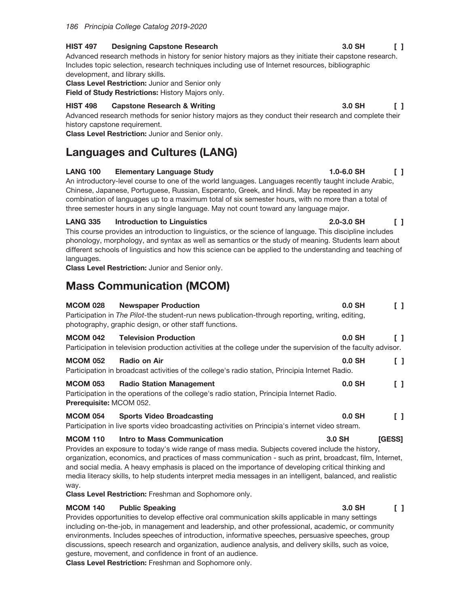#### **HIST 497 Designing Capstone Research**

Advanced research methods in history for senior history majors as they initiate their capstone research. Includes topic selection, research techniques including use of Internet resources, bibliographic development, and library skills.

**Class Level Restriction: Junior and Senior only** 

Field of Study Restrictions: History Majors only.

#### **HIST 498 Capstone Research & Writing**

Advanced research methods for senior history majors as they conduct their research and complete their history capstone requirement.

Class Level Restriction: Junior and Senior only.

# **Languages and Cultures (LANG)**

#### **LANG 100 Elementary Language Study**

An introductory-level course to one of the world languages. Languages recently taught include Arabic, Chinese, Japanese, Portuguese, Russian, Esperanto, Greek, and Hindi. May be repeated in any combination of languages up to a maximum total of six semester hours, with no more than a total of three semester hours in any single language. May not count toward any language major.

#### **LANG 335 Introduction to Linguistics**

This course provides an introduction to linguistics, or the science of language. This discipline includes phonology, morphology, and syntax as well as semantics or the study of meaning. Students learn about different schools of linguistics and how this science can be applied to the understanding and teaching of languages.

Class Level Restriction: Junior and Senior only.

# **Mass Communication (MCOM)**

| <b>MCOM 028</b><br><b>Newspaper Production</b><br>Participation in The Pilot-the student-run news publication-through reporting, writing, editing,<br>photography, graphic design, or other staff functions.                                                                                                                                                                                                                                                                                                                                                                                                                                                                                                                | $0.0$ SH |        |
|-----------------------------------------------------------------------------------------------------------------------------------------------------------------------------------------------------------------------------------------------------------------------------------------------------------------------------------------------------------------------------------------------------------------------------------------------------------------------------------------------------------------------------------------------------------------------------------------------------------------------------------------------------------------------------------------------------------------------------|----------|--------|
| <b>MCOM 042</b><br><b>Television Production</b><br>Participation in television production activities at the college under the supervision of the faculty advisor.                                                                                                                                                                                                                                                                                                                                                                                                                                                                                                                                                           | $0.0$ SH | ΓI     |
| <b>MCOM 052</b><br>Radio on Air<br>Participation in broadcast activities of the college's radio station, Principia Internet Radio.                                                                                                                                                                                                                                                                                                                                                                                                                                                                                                                                                                                          | $0.0$ SH |        |
| <b>Radio Station Management</b><br><b>MCOM 053</b><br>Participation in the operations of the college's radio station, Principia Internet Radio.<br><b>Prerequisite: MCOM 052.</b>                                                                                                                                                                                                                                                                                                                                                                                                                                                                                                                                           | $0.0$ SH | []     |
| <b>MCOM 054 Sports Video Broadcasting</b><br>Participation in live sports video broadcasting activities on Principia's internet video stream.                                                                                                                                                                                                                                                                                                                                                                                                                                                                                                                                                                               | $0.0$ SH |        |
| Intro to Mass Communication<br><b>MCOM 110</b><br>Provides an exposure to today's wide range of mass media. Subjects covered include the history,<br>organization, economics, and practices of mass communication - such as print, broadcast, film, Internet,<br>and social media. A heavy emphasis is placed on the importance of developing critical thinking and<br>media literacy skills, to help students interpret media messages in an intelligent, balanced, and realistic<br>way.<br>and the contribution of the contract of a contribution of the contribution of the contribution of the contribution of the contribution of the contribution of the contribution of the contribution of the contribution of the | 3.0 SH   | [GESS] |

**Class Level Restriction:** Freshman and Sophomore only.

#### **MCOM 140 Public Speaking**

Provides opportunities to develop effective oral communication skills applicable in many settings including on-the-job, in management and leadership, and other professional, academic, or community environments. Includes speeches of introduction, informative speeches, persuasive speeches, group discussions, speech research and organization, audience analysis, and delivery skills, such as voice, gesture, movement, and confidence in front of an audience.

Class Level Restriction: Freshman and Sophomore only.

3.0 SH  $\Box$ 

 $1.0 - 6.0$  SH

#### 2.0-3.0 SH  $\Box$

 $\Box$ 

 $\mathsf{F}$ 

 $3.0$  SH

3.0 SH  $\Box$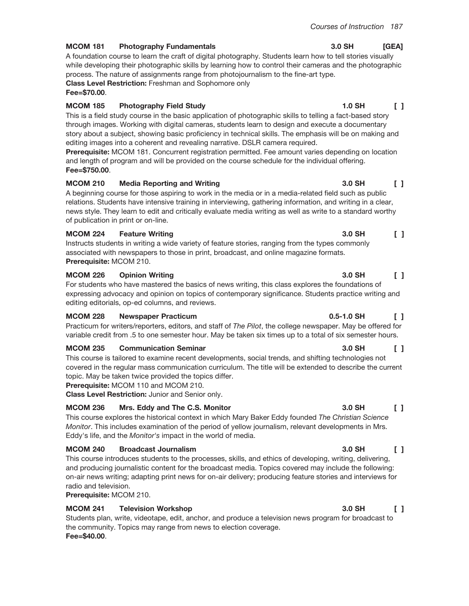**1.0 SH** 

#### **MCOM 181 Photography Fundamentals**

A foundation course to learn the craft of digital photography. Students learn how to tell stories visually while developing their photographic skills by learning how to control their cameras and the photographic process. The nature of assignments range from photojournalism to the fine-art type. Class Level Restriction: Freshman and Sophomore only

Fee=\$70.00.

#### **MCOM 185 Photography Field Study**

This is a field study course in the basic application of photographic skills to telling a fact-based story through images. Working with digital cameras, students learn to design and execute a documentary story about a subject, showing basic proficiency in technical skills. The emphasis will be on making and editing images into a coherent and revealing narrative. DSLR camera required.

Prerequisite: MCOM 181. Concurrent registration permitted. Fee amount varies depending on location and length of program and will be provided on the course schedule for the individual offering. Fee=\$750.00.

#### **MCOM 210 Media Reporting and Writing**

A beginning course for those aspiring to work in the media or in a media-related field such as public relations. Students have intensive training in interviewing, gathering information, and writing in a clear, news style. They learn to edit and critically evaluate media writing as well as write to a standard worthy of publication in print or on-line.

#### **MCOM 224 Feature Writing**

Instructs students in writing a wide variety of feature stories, ranging from the types commonly associated with newspapers to those in print, broadcast, and online magazine formats. Prerequisite: MCOM 210.

#### **MCOM 226 Opinion Writing**

For students who have mastered the basics of news writing, this class explores the foundations of expressing advocacy and opinion on topics of contemporary significance. Students practice writing and editing editorials, op-ed columns, and reviews.

#### **MCOM 228 Newspaper Practicum**

Practicum for writers/reporters, editors, and staff of The Pilot, the college newspaper. May be offered for variable credit from .5 to one semester hour. May be taken six times up to a total of six semester hours.

#### **MCOM 235 Communication Seminar**

This course is tailored to examine recent developments, social trends, and shifting technologies not covered in the regular mass communication curriculum. The title will be extended to describe the current topic. May be taken twice provided the topics differ.

Prerequisite: MCOM 110 and MCOM 210.

Class Level Restriction: Junior and Senior only.

#### **MCOM 236** Mrs. Eddy and The C.S. Monitor

This course explores the historical context in which Mary Baker Eddy founded The Christian Science Monitor. This includes examination of the period of yellow journalism, relevant developments in Mrs. Eddy's life, and the *Monitor's* impact in the world of media.

#### **MCOM 240 Broadcast Journalism**

This course introduces students to the processes, skills, and ethics of developing, writing, delivering, and producing journalistic content for the broadcast media. Topics covered may include the following: on-air news writing; adapting print news for on-air delivery; producing feature stories and interviews for radio and television.

Prerequisite: MCOM 210.

#### **MCOM 241 Television Workshop**

Students plan, write, videotape, edit, anchor, and produce a television news program for broadcast to the community. Topics may range from news to election coverage. Fee=\$40.00.

### 3.0 SH  $\begin{smallmatrix}1\\1\end{smallmatrix}$

#### 3.0 SH  $\Box$

## 3.0 SH

#### 3.0 SH  $\Box$

#### 3.0 SH  $[GEA]$

#### 3.0 SH  $\sqrt{1}$

 $\Box$ 

#### $\begin{bmatrix} 1 \end{bmatrix}$ 3.0 SH

#### 3.0 SH  $\Box$

# $0.5 - 1.0$  SH

# $\begin{smallmatrix}1\end{smallmatrix}$

## $\begin{smallmatrix}1\end{smallmatrix}$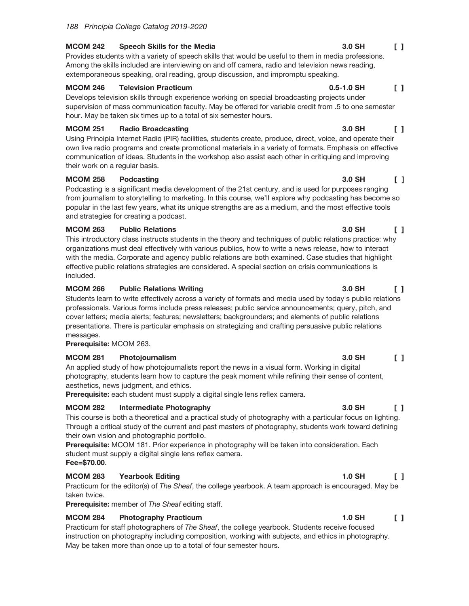#### **MCOM 242** Speech Skills for the Media

Provides students with a variety of speech skills that would be useful to them in media professions. Among the skills included are interviewing on and off camera, radio and television news reading, extemporaneous speaking, oral reading, group discussion, and impromptu speaking.

#### **MCOM 246 Television Practicum**

Develops television skills through experience working on special broadcasting projects under supervision of mass communication faculty. May be offered for variable credit from .5 to one semester hour. May be taken six times up to a total of six semester hours.

#### **MCOM 251 Radio Broadcasting**

Using Principia Internet Radio (PIR) facilities, students create, produce, direct, voice, and operate their own live radio programs and create promotional materials in a variety of formats. Emphasis on effective communication of ideas. Students in the workshop also assist each other in critiquing and improving their work on a regular basis.

#### **MCOM 258 Podcasting**

Podcasting is a significant media development of the 21st century, and is used for purposes ranging from journalism to storytelling to marketing. In this course, we'll explore why podcasting has become so popular in the last few years, what its unique strengths are as a medium, and the most effective tools and strategies for creating a podcast.

#### **MCOM 263 Public Relations**

 $\Box$ This introductory class instructs students in the theory and techniques of public relations practice: why organizations must deal effectively with various publics, how to write a news release, how to interact with the media. Corporate and agency public relations are both examined. Case studies that highlight effective public relations strategies are considered. A special section on crisis communications is included.

#### **MCOM 266 Public Relations Writing**

Students learn to write effectively across a variety of formats and media used by today's public relations professionals. Various forms include press releases; public service announcements; query, pitch, and cover letters; media alerts; features; newsletters; backgrounders; and elements of public relations presentations. There is particular emphasis on strategizing and crafting persuasive public relations messages.

Prerequisite: MCOM 263.

#### **MCOM 281** Photojournalism

An applied study of how photojournalists report the news in a visual form. Working in digital photography, students learn how to capture the peak moment while refining their sense of content, aesthetics, news judgment, and ethics.

Prerequisite: each student must supply a digital single lens reflex camera.

#### **MCOM 282 Intermediate Photography**

This course is both a theoretical and a practical study of photography with a particular focus on lighting. Through a critical study of the current and past masters of photography, students work toward defining their own vision and photographic portfolio.

Prerequisite: MCOM 181. Prior experience in photography will be taken into consideration. Each student must supply a digital single lens reflex camera. Fee=\$70.00.

### **MCOM 283 Yearbook Editing**

Practicum for the editor(s) of The Sheaf, the college yearbook. A team approach is encouraged. May be taken twice.

Prerequisite: member of The Sheaf editing staff.

#### **MCOM 284 Photography Practicum**

Practicum for staff photographers of The Sheaf, the college yearbook. Students receive focused instruction on photography including composition, working with subjects, and ethics in photography. May be taken more than once up to a total of four semester hours.

# $\begin{smallmatrix}1\end{smallmatrix}$

#### $\begin{bmatrix} 1 \end{bmatrix}$  $0.5 - 1.0$  SH

#### 3.0 SH  $\Box$

#### 3.0 SH  $\Box$

3.0 SH

#### 3.0 SH  $\Box$

#### 3.0 SH  $\begin{bmatrix} 1 \end{bmatrix}$

#### 3.0 SH  $\Box$

#### **1.0 SH**  $\Box$

#### $1.0$  SH  $\begin{bmatrix} 1 \end{bmatrix}$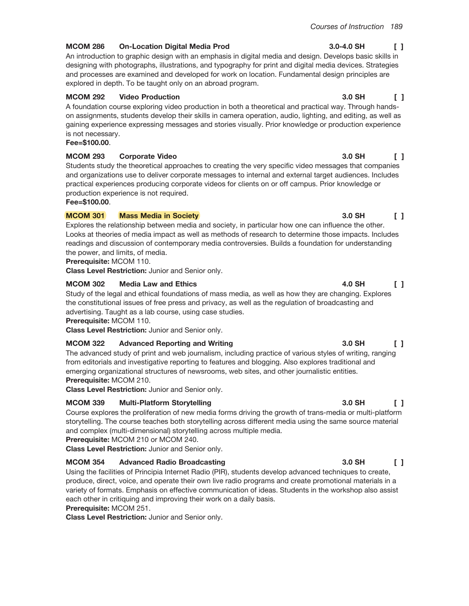#### **MCOM 286 On-Location Digital Media Prod**

An introduction to graphic design with an emphasis in digital media and design. Develops basic skills in designing with photographs, illustrations, and typography for print and digital media devices. Strategies and processes are examined and developed for work on location. Fundamental design principles are explored in depth. To be taught only on an abroad program.

#### **MCOM 292 Video Production**

A foundation course exploring video production in both a theoretical and practical way. Through handson assignments, students develop their skills in camera operation, audio, lighting, and editing, as well as gaining experience expressing messages and stories visually. Prior knowledge or production experience is not necessary.

Fee=\$100.00.

#### **MCOM 293 Corporate Video**

Students study the theoretical approaches to creating the very specific video messages that companies and organizations use to deliver corporate messages to internal and external target audiences. Includes practical experiences producing corporate videos for clients on or off campus. Prior knowledge or production experience is not required.

Fee=\$100.00.

#### **MCOM 301 Mass Media in Society**

Explores the relationship between media and society, in particular how one can influence the other. Looks at theories of media impact as well as methods of research to determine those impacts. Includes readings and discussion of contemporary media controversies. Builds a foundation for understanding the power, and limits, of media.

Prerequisite: MCOM 110.

Class Level Restriction: Junior and Senior only.

#### **MCOM 302 Media Law and Ethics**

Study of the legal and ethical foundations of mass media, as well as how they are changing. Explores the constitutional issues of free press and privacy, as well as the regulation of broadcasting and advertising. Taught as a lab course, using case studies.

Prerequisite: MCOM 110.

Class Level Restriction: Junior and Senior only.

#### **MCOM 322 Advanced Reporting and Writing**

The advanced study of print and web journalism, including practice of various styles of writing, ranging from editorials and investigative reporting to features and blogging. Also explores traditional and emerging organizational structures of newsrooms, web sites, and other journalistic entities. Prerequisite: MCOM 210.

**Class Level Restriction: Junior and Senior only.** 

#### **MCOM 339 Multi-Platform Storytelling**

Course explores the proliferation of new media forms driving the growth of trans-media or multi-platform storytelling. The course teaches both storytelling across different media using the same source material and complex (multi-dimensional) storytelling across multiple media.

Prerequisite: MCOM 210 or MCOM 240.

Class Level Restriction: Junior and Senior only.

#### **MCOM 354 Advanced Radio Broadcasting**

Using the facilities of Principia Internet Radio (PIR), students develop advanced techniques to create, produce, direct, voice, and operate their own live radio programs and create promotional materials in a variety of formats. Emphasis on effective communication of ideas. Students in the workshop also assist each other in critiquing and improving their work on a daily basis.

Prerequisite: MCOM 251.

Class Level Restriction: Junior and Senior only.

#### 3.0-4.0 SH  $\Box$

### 3.0 SH  $\Box$

#### 3.0 SH  $\Box$

#### 3.0 SH  $\Box$

### 4.0 SH  $\begin{smallmatrix}1\end{smallmatrix}$

#### 3.0 SH  $\Box$

#### 3.0 SH  $\Box$

#### 3.0 SH  $\begin{smallmatrix}1\end{smallmatrix}$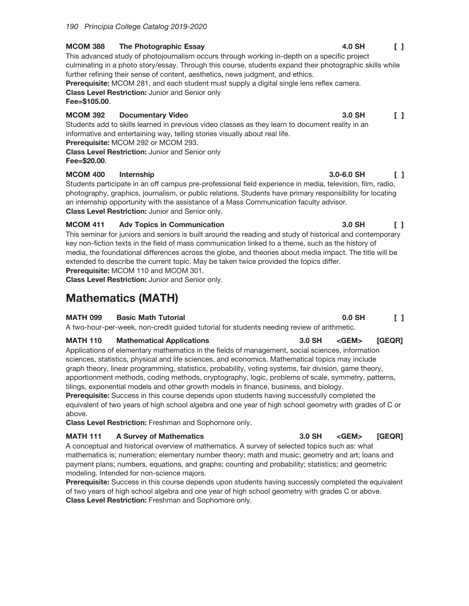#### **MCOM 388** The Photographic Essay

This advanced study of photojournalism occurs through working in-depth on a specific project culminating in a photo story/essay. Through this course, students expand their photographic skills while further refining their sense of content, aesthetics, news judgment, and ethics. Prerequisite: MCOM 281, and each student must supply a digital single lens reflex camera.

**Class Level Restriction: Junior and Senior only** Fee=\$105.00.

#### **MCOM 392 Documentary Video**

Students add to skills learned in previous video classes as they learn to document reality in an informative and entertaining way, telling stories visually about real life. Prerequisite: MCOM 292 or MCOM 293.

**Class Level Restriction: Junior and Senior only** Fee=\$20.00.

### **MCOM 400** Internship

Students participate in an off campus pre-professional field experience in media, television, film, radio, photography, graphics, journalism, or public relations. Students have primary responsibility for locating an internship opportunity with the assistance of a Mass Communication faculty advisor. Class Level Restriction: Junior and Senior only.

#### **MCOM 411 Adv Topics in Communication**

This seminar for juniors and seniors is built around the reading and study of historical and contemporary key non-fiction texts in the field of mass communication linked to a theme, such as the history of media, the foundational differences across the globe, and theories about media impact. The title will be extended to describe the current topic. May be taken twice provided the topics differ. Prerequisite: MCOM 110 and MCOM 301.

Class Level Restriction: Junior and Senior only.

# **Mathematics (MATH)**

### **MATH 099 Basic Math Tutorial**

A two-hour-per-week, non-credit guided tutorial for students needing review of arithmetic.

#### **MATH 110 Mathematical Applications**

Applications of elementary mathematics in the fields of management, social sciences, information sciences, statistics, physical and life sciences, and economics. Mathematical topics may include graph theory, linear programming, statistics, probability, voting systems, fair division, game theory, apportionment methods, coding methods, cryptography, logic, problems of scale, symmetry, patterns, tilings, exponential models and other growth models in finance, business, and biology.

Prerequisite: Success in this course depends upon students having successfully completed the equivalent of two years of high school algebra and one year of high school geometry with grades of C or above.

Class Level Restriction: Freshman and Sophomore only.

#### **MATH 111 A Survey of Mathematics**

A conceptual and historical overview of mathematics. A survey of selected topics such as: what mathematics is; numeration; elementary number theory; math and music; geometry and art; loans and payment plans; numbers, equations, and graphs; counting and probability; statistics; and geometric modeling. Intended for non-science majors.

**Prerequisite:** Success in this course depends upon students having successly completed the equivalent of two years of high school algebra and one year of high school geometry with grades C or above. Class Level Restriction: Freshman and Sophomore only.

#### 4.0 SH  $\begin{smallmatrix}1\end{smallmatrix}$

3.0 SH  $\Box$ 

 $\mathsf{F}$ 

 $\begin{smallmatrix}1\end{smallmatrix}$ 

[GEQR]

3.0 SH  $\Box$ 

3.0 SH <GEM> [GEQR]

 $<$ GEM $>$ 

 $0.0$  SH

 $3.0 - 6.0$  SH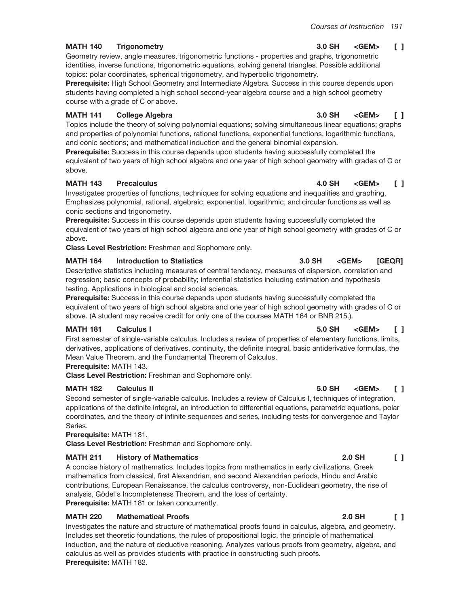#### **MATH 140 Trigonometry**

Geometry review, angle measures, trigonometric functions - properties and graphs, trigonometric identities, inverse functions, trigonometric equations, solving general triangles. Possible additional topics: polar coordinates, spherical trigonometry, and hyperbolic trigonometry.

Prerequisite: High School Geometry and Intermediate Algebra. Success in this course depends upon students having completed a high school second-year algebra course and a high school geometry course with a grade of C or above.

#### **MATH 141 College Algebra**

Topics include the theory of solving polynomial equations; solving simultaneous linear equations; graphs and properties of polynomial functions, rational functions, exponential functions, logarithmic functions, and conic sections; and mathematical induction and the general binomial expansion.

Prerequisite: Success in this course depends upon students having successfully completed the equivalent of two years of high school algebra and one year of high school geometry with grades of C or above.

#### **MATH 143 Precalculus**

Investigates properties of functions, techniques for solving equations and inequalities and graphing. Emphasizes polynomial, rational, algebraic, exponential, logarithmic, and circular functions as well as conic sections and trigonometry.

Prerequisite: Success in this course depends upon students having successfully completed the equivalent of two years of high school algebra and one year of high school geometry with grades of C or above.

Class Level Restriction: Freshman and Sophomore only.

#### **MATH 164 Introduction to Statistics**

Descriptive statistics including measures of central tendency, measures of dispersion, correlation and regression; basic concepts of probability; inferential statistics including estimation and hypothesis testing. Applications in biological and social sciences.

Prerequisite: Success in this course depends upon students having successfully completed the equivalent of two years of high school algebra and one year of high school geometry with grades of C or above. (A student may receive credit for only one of the courses MATH 164 or BNR 215.).

#### **MATH 181 Calculus I**

First semester of single-variable calculus. Includes a review of properties of elementary functions, limits, derivatives, applications of derivatives, continuity, the definite integral, basic antiderivative formulas, the Mean Value Theorem, and the Fundamental Theorem of Calculus.

# Prerequisite: MATH 143.

Class Level Restriction: Freshman and Sophomore only.

#### **MATH 182 Calculus II**

Second semester of single-variable calculus. Includes a review of Calculus I, techniques of integration, applications of the definite integral, an introduction to differential equations, parametric equations, polar coordinates, and the theory of infinite sequences and series, including tests for convergence and Taylor Series.

## Prerequisite: MATH 181.

**Class Level Restriction: Freshman and Sophomore only.** 

#### **MATH 211 History of Mathematics**

A concise history of mathematics. Includes topics from mathematics in early civilizations, Greek mathematics from classical, first Alexandrian, and second Alexandrian periods, Hindu and Arabic contributions, European Renaissance, the calculus controversy, non-Euclidean geometry, the rise of analysis, Gödel's Incompleteness Theorem, and the loss of certainty. Prerequisite: MATH 181 or taken concurrently.

#### **MATH 220 Mathematical Proofs**

Investigates the nature and structure of mathematical proofs found in calculus, algebra, and geometry. Includes set theoretic foundations, the rules of propositional logic, the principle of mathematical induction, and the nature of deductive reasoning. Analyzes various proofs from geometry, algebra, and calculus as well as provides students with practice in constructing such proofs. Prerequisite: MATH 182.

#### 3.0 SH  $<$ GEM $>$  $\begin{smallmatrix}1\end{smallmatrix}$

#### 4.0 SH <GEM>  $\sqrt{1}$

 $<$ GEM $>$ 

# 5.0 SH

<GEM>

#### **2.0 SH**  $\Box$

#### $2.0$  SH  $\begin{bmatrix} 1 \end{bmatrix}$

### <GEM>  $\Box$

 $<$ GEM $>$ 

 $\Box$ 

[GEQR]

 $\begin{smallmatrix}1\end{smallmatrix}$ 

3.0 SH

3.0 SH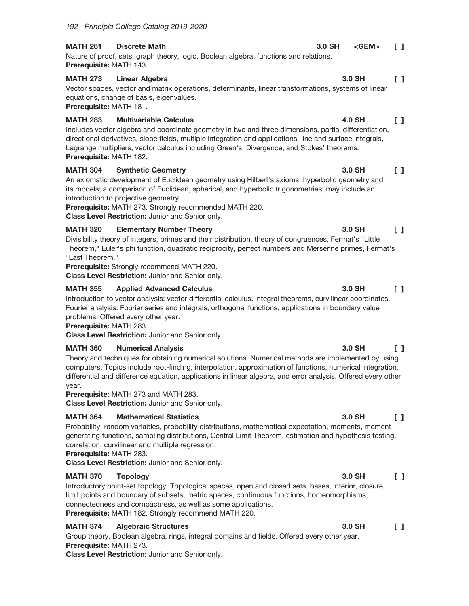### **MATH 261 Discrete Math** Nature of proof, sets, graph theory, logic, Boolean algebra, functions and relations. Prerequisite: MATH 143.

#### **MATH 273 Linear Algebra**

Vector spaces, vector and matrix operations, determinants, linear transformations, systems of linear equations, change of basis, eigenvalues.

Prerequisite: MATH 181.

### **MATH 283 Multivariable Calculus**

Includes vector algebra and coordinate geometry in two and three dimensions, partial differentiation, directional derivatives, slope fields, multiple integration and applications, line and surface integrals, Lagrange multipliers, vector calculus including Green's, Divergence, and Stokes' theorems. Prerequisite: MATH 182.

#### **MATH 304 Synthetic Geometry**

An axiomatic development of Euclidean geometry using Hilbert's axioms; hyperbolic geometry and its models; a comparison of Euclidean, spherical, and hyperbolic trigonometries; may include an introduction to projective geometry.

Prerequisite: MATH 273. Strongly recommended MATH 220.

Class Level Restriction: Junior and Senior only.

### **MATH 320 Elementary Number Theory**

 $\Box$ Divisibility theory of integers, primes and their distribution, theory of congruences, Fermat's "Little Theorem," Euler's phi function, quadratic reciprocity, perfect numbers and Mersenne primes, Fermat's "Last Theorem."

Prerequisite: Strongly recommend MATH 220.

Class Level Restriction: Junior and Senior only.

### **MATH 355 Applied Advanced Calculus**

Introduction to vector analysis: vector differential calculus, integral theorems, curvilinear coordinates. Fourier analysis: Fourier series and integrals, orthogonal functions, applications in boundary value problems. Offered every other year.

Prerequisite: MATH 283.

**Class Level Restriction: Junior and Senior only.** 

### **MATH 360 Numerical Analysis**

Theory and techniques for obtaining numerical solutions. Numerical methods are implemented by using computers. Topics include root-finding, interpolation, approximation of functions, numerical integration, differential and difference equation, applications in linear algebra, and error analysis. Offered every other year.

Prerequisite: MATH 273 and MATH 283.

Class Level Restriction: Junior and Senior only.

### **MATH 364 Mathematical Statistics**

Probability, random variables, probability distributions, mathematical expectation, moments, moment generating functions, sampling distributions, Central Limit Theorem, estimation and hypothesis testing, correlation, curvilinear and multiple regression.

# Prerequisite: MATH 283.

Class Level Restriction: Junior and Senior only.

### **MATH 370 Topology**

Introductory point-set topology. Topological spaces, open and closed sets, bases, interior, closure, limit points and boundary of subsets, metric spaces, continuous functions, homeomorphisms, connectedness and compactness, as well as some applications. Prerequisite: MATH 182. Strongly recommend MATH 220.

### **MATH 374 Algebraic Structures**

Group theory, Boolean algebra, rings, integral domains and fields. Offered every other year. **Prerequisite: MATH 273.** 

Class Level Restriction: Junior and Senior only.

### 3.0 SH  $\begin{smallmatrix}1\end{smallmatrix}$

 $\Box$ 

 $\Box$ 

<GEM>

#### 4.0 SH  $\Box$

### 3.0 SH  $\Box$

#### 3.0 SH  $\begin{smallmatrix}1\\1\end{smallmatrix}$

### 3.0 SH  $\Box$

### 3.0 SH  $\Box$

3.0 SH  $\begin{smallmatrix}1\end{smallmatrix}$ 

 $3.0$  SH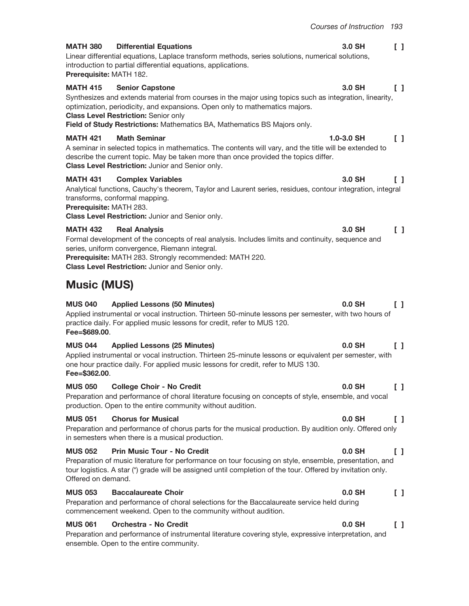3.0 SH

 $1.0 - 3.0$  SH

3.0 SH

3.0 SH

#### 3.0 SH  $\Box$

 $\begin{bmatrix} 1 \end{bmatrix}$ 

 $\Box$ 

 $\mathsf{L}$ 

#### **Differential Equations MATH 380**

Linear differential equations, Laplace transform methods, series solutions, numerical solutions, introduction to partial differential equations, applications. Prerequisite: MATH 182.

#### **MATH 415 Senior Capstone**

## Synthesizes and extends material from courses in the major using topics such as integration, linearity, optimization, periodicity, and expansions. Open only to mathematics majors.

# **Class Level Restriction: Senior only**

Field of Study Restrictions: Mathematics BA, Mathematics BS Majors only.

#### **MATH 421 Math Seminar**

 $\Box$ A seminar in selected topics in mathematics. The contents will vary, and the title will be extended to describe the current topic. May be taken more than once provided the topics differ. Class Level Restriction: Junior and Senior only.

#### **MATH 431 Complex Variables**

Analytical functions, Cauchy's theorem, Taylor and Laurent series, residues, contour integration, integral transforms, conformal mapping.

Prerequisite: MATH 283.

Class Level Restriction: Junior and Senior only.

#### **MATH 432 Real Analysis**

Formal development of the concepts of real analysis. Includes limits and continuity, sequence and series, uniform convergence, Riemann integral. Prerequisite: MATH 283. Strongly recommended: MATH 220.

Class Level Restriction: Junior and Senior only.

# **Music (MUS)**

#### **MUS 040 Applied Lessons (50 Minutes)**

Applied instrumental or vocal instruction. Thirteen 50-minute lessons per semester, with two hours of practice daily. For applied music lessons for credit, refer to MUS 120. Fee=\$689.00.

#### **MUS 044 Applied Lessons (25 Minutes)**

Applied instrumental or vocal instruction. Thirteen 25-minute lessons or equivalent per semester, with one hour practice daily. For applied music lessons for credit, refer to MUS 130. Fee=\$362.00.

#### **MUS 050 College Choir - No Credit**

Preparation and performance of choral literature focusing on concepts of style, ensemble, and vocal production. Open to the entire community without audition.

#### **MUS 051 Chorus for Musical**

Preparation and performance of chorus parts for the musical production. By audition only. Offered only in semesters when there is a musical production.

#### **MUS 052 Prin Music Tour - No Credit**

Preparation of music literature for performance on tour focusing on style, ensemble, presentation, and tour logistics. A star (\*) grade will be assigned until completion of the tour. Offered by invitation only. Offered on demand.

### **MUS 053 Baccalaureate Choir**

Preparation and performance of choral selections for the Baccalaureate service held during commencement weekend. Open to the community without audition.

#### **MUS 061** Orchestra - No Credit

Preparation and performance of instrumental literature covering style, expressive interpretation, and ensemble. Open to the entire community.

## $\Box$

#### $0.0$  SH  $\begin{smallmatrix}1\end{smallmatrix}$

#### $\begin{smallmatrix}1\end{smallmatrix}$ 0.0 SH

#### $0.0$  SH  $\Box$

#### $0.0$  SH  $\Box$

### $0.0$  SH  $\Box$

### $0.0$  SH  $\Box$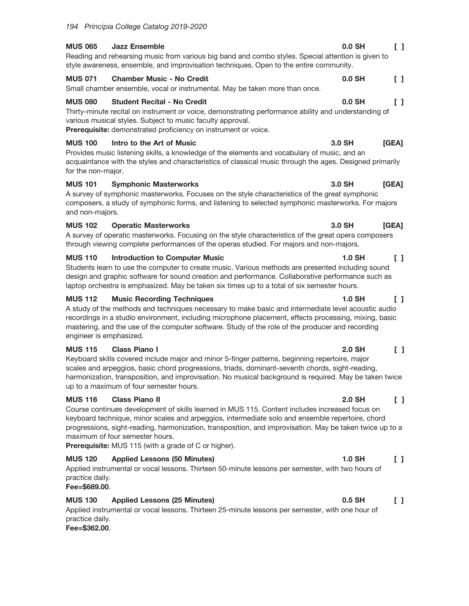#### **MUS 065 Jazz Ensemble**  $\begin{smallmatrix}1\end{smallmatrix}$ Reading and rehearsing music from various big band and combo styles. Special attention is given to style awareness, ensemble, and improvisation techniques. Open to the entire community.

**MUS 071 Chamber Music - No Credit**  $0.0$  SH

Small chamber ensemble, vocal or instrumental. May be taken more than once.

#### **MUS 080 Student Recital - No Credit**

Thirty-minute recital on instrument or voice, demonstrating performance ability and understanding of various musical styles. Subject to music faculty approval.

Prerequisite: demonstrated proficiency on instrument or voice.

#### **MUS 100** Intro to the Art of Music

Provides music listening skills, a knowledge of the elements and vocabulary of music, and an acquaintance with the styles and characteristics of classical music through the ages. Designed primarily for the non-major.

#### **MUS 101 Symphonic Masterworks**

[GEA] A survey of symphonic masterworks. Focuses on the style characteristics of the great symphonic composers, a study of symphonic forms, and listening to selected symphonic masterworks. For majors and non-majors.

#### **MUS 102 Operatic Masterworks**

A survey of operatic masterworks. Focusing on the style characteristics of the great opera composers through viewing complete performances of the operas studied. For majors and non-majors.

#### **MUS 110 Introduction to Computer Music**

Students learn to use the computer to create music. Various methods are presented including sound design and graphic software for sound creation and performance. Collaborative performance such as laptop orchestra is emphasized. May be taken six times up to a total of six semester hours.

#### **MUS 112 Music Recording Techniques**

A study of the methods and techniques necessary to make basic and intermediate level acoustic audio recordings in a studio environment, including microphone placement, effects processing, mixing, basic mastering, and the use of the computer software. Study of the role of the producer and recording engineer is emphasized.

#### **MUS 115 Class Piano I**

Keyboard skills covered include major and minor 5-finger patterns, beginning repertoire, major scales and arpeggios, basic chord progressions, triads, dominant-seventh chords, sight-reading, harmonization, transposition, and improvisation. No musical background is required. May be taken twice up to a maximum of four semester hours.

#### **MUS 116 Class Piano II**

Course continues development of skills learned in MUS 115. Content includes increased focus on keyboard technique, minor scales and arpeggios, intermediate solo and ensemble repertoire, chord progressions, sight-reading, harmonization, transposition, and improvisation. May be taken twice up to a maximum of four semester hours.

Prerequisite: MUS 115 (with a grade of C or higher).

### **MUS 120 Applied Lessons (50 Minutes)**  $1.0$  SH Applied instrumental or vocal lessons. Thirteen 50-minute lessons per semester, with two hours of practice daily.

## Fee=\$689.00.

#### **MUS 130 Applied Lessons (25 Minutes)**

Applied instrumental or vocal lessons. Thirteen 25-minute lessons per semester, with one hour of practice daily.

Fee=\$362.00.

#### 3.0 SH  $[GEA]$

#### $1.0$  SH  $\begin{smallmatrix}1\end{smallmatrix}$

#### **1.0 SH**  $\Box$

#### **2.0 SH**  $\Box$

#### **2.0 SH**  $\Box$

# $\Box$

#### $0.5$  SH  $\Box$

# $0.0$  SH

# $\begin{smallmatrix}1\end{smallmatrix}$

## $0.0$  SH ΙI

 $[GEA]$ 

3.0 SH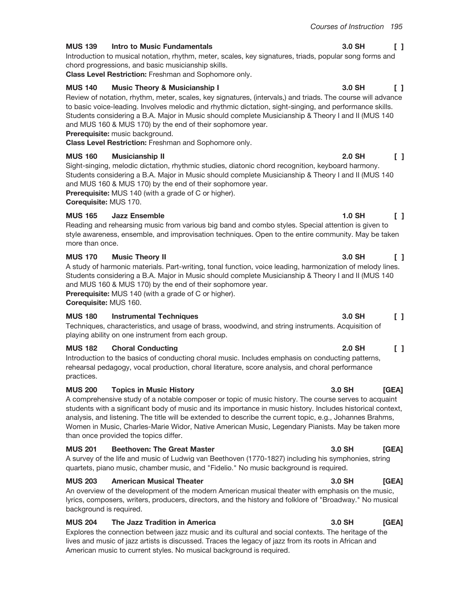$2.0$  SH

#### **MUS 139 Intro to Music Fundamentals**

Introduction to musical notation, rhythm, meter, scales, key signatures, triads, popular song forms and chord progressions, and basic musicianship skills.

Class Level Restriction: Freshman and Sophomore only.

#### **MUS 140 Music Theory & Musicianship I**

Review of notation, rhythm, meter, scales, key signatures, (intervals,) and triads. The course will advance to basic voice-leading. Involves melodic and rhythmic dictation, sight-singing, and performance skills. Students considering a B.A. Major in Music should complete Musicianship & Theory I and II (MUS 140) and MUS 160 & MUS 170) by the end of their sophomore year.

Prerequisite: music background.

Class Level Restriction: Freshman and Sophomore only.

#### **MUS 160 Musicianship II**

Sight-singing, melodic dictation, rhythmic studies, diatonic chord recognition, keyboard harmony. Students considering a B.A. Major in Music should complete Musicianship & Theory I and II (MUS 140 and MUS 160 & MUS 170) by the end of their sophomore year.

Prerequisite: MUS 140 (with a grade of C or higher).

Corequisite: MUS 170.

#### **MUS 165** Jazz Ensemble

Reading and rehearsing music from various big band and combo styles. Special attention is given to style awareness, ensemble, and improvisation techniques. Open to the entire community. May be taken more than once.

#### **MUS 170 Music Theory II**

A study of harmonic materials. Part-writing, tonal function, voice leading, harmonization of melody lines. Students considering a B.A. Major in Music should complete Musicianship & Theory I and II (MUS 140 and MUS 160 & MUS 170) by the end of their sophomore year.

Prerequisite: MUS 140 (with a grade of C or higher).

Corequisite: MUS 160.

#### **MUS 180 Instrumental Techniques**

Techniques, characteristics, and usage of brass, woodwind, and string instruments. Acquisition of playing ability on one instrument from each group.

#### **MUS 182 Choral Conducting**

Introduction to the basics of conducting choral music. Includes emphasis on conducting patterns, rehearsal pedagogy, vocal production, choral literature, score analysis, and choral performance practices.

#### **MUS 200 Topics in Music History**

## A comprehensive study of a notable composer or topic of music history. The course serves to acquaint students with a significant body of music and its importance in music history. Includes historical context, analysis, and listening. The title will be extended to describe the current topic, e.g., Johannes Brahms, Women in Music, Charles-Marie Widor, Native American Music, Legendary Pianists. May be taken more than once provided the topics differ.

#### **MUS 201 Beethoven: The Great Master**

A survey of the life and music of Ludwig van Beethoven (1770-1827) including his symphonies, string quartets, piano music, chamber music, and "Fidelio." No music background is required.

#### **MUS 203 American Musical Theater**

An overview of the development of the modern American musical theater with emphasis on the music, lyrics, composers, writers, producers, directors, and the history and folklore of "Broadway." No musical background is required.

#### **MUS 204** The Jazz Tradition in America

Explores the connection between jazz music and its cultural and social contexts. The heritage of the lives and music of jazz artists is discussed. Traces the legacy of jazz from its roots in African and American music to current styles. No musical background is required.

### 3.0 SH  $\begin{smallmatrix}1\end{smallmatrix}$

#### 3.0 SH  $\Box$

#### $1.0$  SH  $\Box$

 $\Box$ 

### 3.0 SH  $\Box$

### 3.0 SH  $\begin{smallmatrix}1\end{smallmatrix}$

#### **2.0 SH**  $\Box$

#### 3.0 SH [GEA]

[GEA]

3.0 SH

#### $3.0$  SH **IGEAI**

#### 3.0 SH [GEA]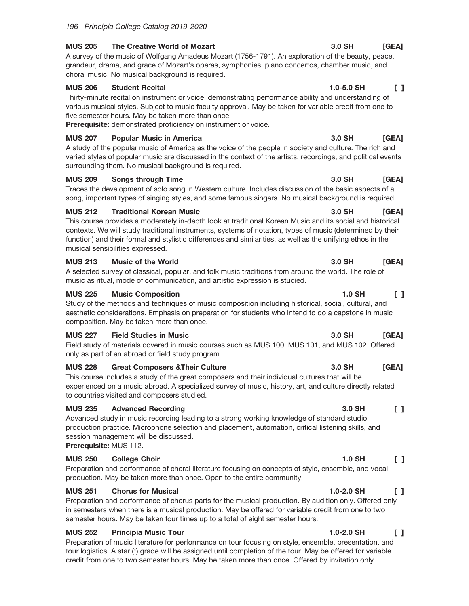### **MUS 205** The Creative World of Mozart

A survey of the music of Wolfgang Amadeus Mozart (1756-1791). An exploration of the beauty, peace, grandeur, drama, and grace of Mozart's operas, symphonies, piano concertos, chamber music, and choral music. No musical background is required.

#### **MUS 206 Student Recital**

Thirty-minute recital on instrument or voice, demonstrating performance ability and understanding of various musical styles. Subject to music faculty approval. May be taken for variable credit from one to five semester hours. May be taken more than once.

Prerequisite: demonstrated proficiency on instrument or voice.

### **MUS 207 Popular Music in America**

A study of the popular music of America as the voice of the people in society and culture. The rich and varied styles of popular music are discussed in the context of the artists, recordings, and political events surrounding them. No musical background is required.

#### **MUS 209 Songs through Time**

Traces the development of solo song in Western culture. Includes discussion of the basic aspects of a song, important types of singing styles, and some famous singers. No musical background is required.

#### **MUS 212 Traditional Korean Music**

This course provides a moderately in-depth look at traditional Korean Music and its social and historical contexts. We will study traditional instruments, systems of notation, types of music (determined by their function) and their formal and stylistic differences and similarities, as well as the unifying ethos in the musical sensibilities expressed.

#### **Music of the World MUS 213**

A selected survey of classical, popular, and folk music traditions from around the world. The role of music as ritual, mode of communication, and artistic expression is studied.

### **MUS 225 Music Composition**

Study of the methods and techniques of music composition including historical, social, cultural, and aesthetic considerations. Emphasis on preparation for students who intend to do a capstone in music composition. May be taken more than once.

#### **MUS 227 Field Studies in Music**

Field study of materials covered in music courses such as MUS 100, MUS 101, and MUS 102. Offered only as part of an abroad or field study program.

#### **MUS 228 Great Composers & Their Culture**

This course includes a study of the great composers and their individual cultures that will be experienced on a music abroad. A specialized survey of music, history, art, and culture directly related to countries visited and composers studied.

#### **MUS 235 Advanced Recording**

Advanced study in music recording leading to a strong working knowledge of standard studio production practice. Microphone selection and placement, automation, critical listening skills, and session management will be discussed.

Prerequisite: MUS 112.

### **MUS 250 College Choir**

Preparation and performance of choral literature focusing on concepts of style, ensemble, and vocal production. May be taken more than once. Open to the entire community.

### **MUS 251 Chorus for Musical**

Preparation and performance of chorus parts for the musical production. By audition only. Offered only in semesters when there is a musical production. May be offered for variable credit from one to two semester hours. May be taken four times up to a total of eight semester hours.

### **MUS 252 Principia Music Tour**

Preparation of music literature for performance on tour focusing on style, ensemble, presentation, and tour logistics. A star (\*) grade will be assigned until completion of the tour. May be offered for variable credit from one to two semester hours. May be taken more than once. Offered by invitation only.

### 3.0 SH  $[GEA]$

#### $\begin{bmatrix} 1 \end{bmatrix}$  $1.0 - 5.0$  SH

### 3.0 SH [GEA]

 $[GEA]$ 

3.0 SH

### 3.0 SH [GEA]

### 1.0 SH  $\begin{smallmatrix}1\end{smallmatrix}$

### 3.0 SH  $[GEA]$

### 3.0 SH [GEA]

### 3.0 SH  $\Box$

### $1.0$  SH  $\Box$

#### $1.0 - 2.0$  SH  $\mathsf{L}$

#### $\mathsf{L}$  $1.0 - 2.0$  SH

### 3.0 SH [GEA]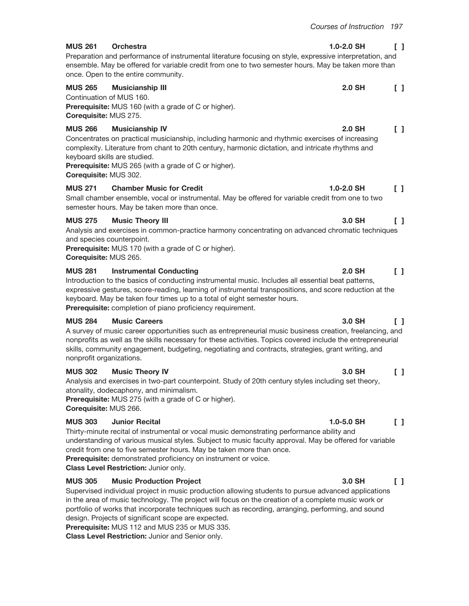#### **MUS 261 Orchestra**

Preparation and performance of instrumental literature focusing on style, expressive interpretation, and ensemble. May be offered for variable credit from one to two semester hours. May be taken more than once. Open to the entire community.

#### **MUS 265 2.0 SH**  $\begin{bmatrix} 1 \end{bmatrix}$ **Musicianship III** Continuation of MUS 160.

**Prerequisite:** MUS 160 (with a grade of C or higher). Corequisite: MUS 275.

#### **MUS 266 Musicianship IV**

Concentrates on practical musicianship, including harmonic and rhythmic exercises of increasing complexity. Literature from chant to 20th century, harmonic dictation, and intricate rhythms and keyboard skills are studied.

**Prerequisite:** MUS 265 (with a grade of C or higher). Corequisite: MUS 302.

#### **MUS 271 Chamber Music for Credit**

Small chamber ensemble, vocal or instrumental. May be offered for variable credit from one to two semester hours. May be taken more than once.

#### **MUS 275 Music Theory III**

Analysis and exercises in common-practice harmony concentrating on advanced chromatic techniques and species counterpoint.

Prerequisite: MUS 170 (with a grade of C or higher).

Corequisite: MUS 265.

#### **MUS 281 Instrumental Conducting**

Introduction to the basics of conducting instrumental music. Includes all essential beat patterns, expressive gestures, score-reading, learning of instrumental transpositions, and score reduction at the keyboard. May be taken four times up to a total of eight semester hours.

Prerequisite: completion of piano proficiency requirement.

#### **MUS 284 Music Careers**

A survey of music career opportunities such as entrepreneurial music business creation, freelancing, and nonprofits as well as the skills necessary for these activities. Topics covered include the entrepreneurial skills, community engagement, budgeting, negotiating and contracts, strategies, grant writing, and nonprofit organizations.

#### **MUS 302 Music Theory IV**

Analysis and exercises in two-part counterpoint. Study of 20th century styles including set theory, atonality, dodecaphony, and minimalism.

Prerequisite: MUS 275 (with a grade of C or higher). Corequisite: MUS 266.

#### **MUS 303 Junior Recital**

Thirty-minute recital of instrumental or vocal music demonstrating performance ability and understanding of various musical styles. Subject to music faculty approval. May be offered for variable credit from one to five semester hours. May be taken more than once.

Prerequisite: demonstrated proficiency on instrument or voice.

Class Level Restriction: Junior only.

#### **MUS 305 Music Production Project**

Supervised individual project in music production allowing students to pursue advanced applications in the area of music technology. The project will focus on the creation of a complete music work or portfolio of works that incorporate techniques such as recording, arranging, performing, and sound design. Projects of significant scope are expected.

**Prerequisite: MUS 112 and MUS 235 or MUS 335.** 

Class Level Restriction: Junior and Senior only.

#### $1.0 - 2.0$  SH  $\Box$

#### $\mathsf{F}$  $2.0$  SH

### $1.0 - 2.0$  SH  $\begin{bmatrix} 1 \end{bmatrix}$

#### 3.0 SH  $\Box$

 $\Box$ 

### 3.0 SH  $\Gamma$  1

 $2.0$  SH

## 3.0 SH  $\Box$

### $1.0 - 5.0$  SH  $\begin{smallmatrix}1\end{smallmatrix}$

#### 3.0 SH  $\mathsf{L}$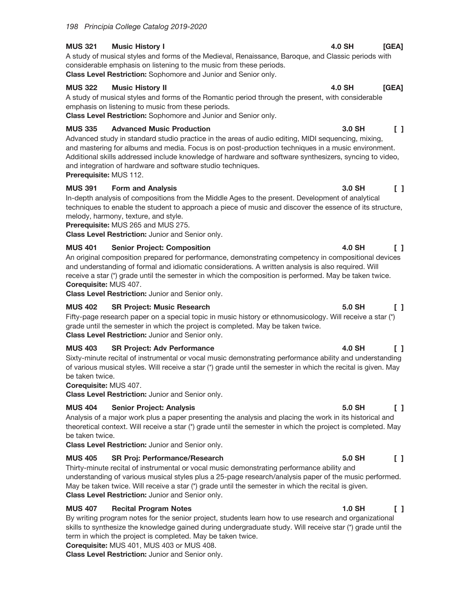#### **MUS 321 Music History I**

A study of musical styles and forms of the Medieval, Renaissance, Baroque, and Classic periods with considerable emphasis on listening to the music from these periods. Class Level Restriction: Sophomore and Junior and Senior only.

#### **MUS 322 Music History II**

A study of musical styles and forms of the Romantic period through the present, with considerable emphasis on listening to music from these periods.

Class Level Restriction: Sophomore and Junior and Senior only.

#### **MUS 335 Advanced Music Production**

Advanced study in standard studio practice in the areas of audio editing, MIDI sequencing, mixing, and mastering for albums and media. Focus is on post-production techniques in a music environment. Additional skills addressed include knowledge of hardware and software synthesizers, syncing to video, and integration of hardware and software studio techniques. Prerequisite: MUS 112.

### **MUS 391 Form and Analysis** In-depth analysis of compositions from the Middle Ages to the present. Development of analytical techniques to enable the student to approach a piece of music and discover the essence of its structure, melody, harmony, texture, and style.

**Prerequisite: MUS 265 and MUS 275.** 

Class Level Restriction: Junior and Senior only.

#### **MUS 401 Senior Project: Composition**

 $\Box$ An original composition prepared for performance, demonstrating competency in compositional devices and understanding of formal and idiomatic considerations. A written analysis is also required. Will receive a star (\*) grade until the semester in which the composition is performed. May be taken twice. Corequisite: MUS 407.

Class Level Restriction: Junior and Senior only.

#### **MUS 402 SR Project: Music Research**

Fifty-page research paper on a special topic in music history or ethnomusicology. Will receive a star (\*) grade until the semester in which the project is completed. May be taken twice. **Class Level Restriction: Junior and Senior only.** 

#### **MUS 403 SR Project: Adv Performance**

Sixty-minute recital of instrumental or vocal music demonstrating performance ability and understanding of various musical styles. Will receive a star (\*) grade until the semester in which the recital is given. May be taken twice.

Corequisite: MUS 407.

Class Level Restriction: Junior and Senior only.

#### **MUS 404 Senior Project: Analysis**

Analysis of a major work plus a paper presenting the analysis and placing the work in its historical and theoretical context. Will receive a star (\*) grade until the semester in which the project is completed. May be taken twice.

Class Level Restriction: Junior and Senior only.

#### **MUS 405 SR Proj: Performance/Research**

Thirty-minute recital of instrumental or vocal music demonstrating performance ability and understanding of various musical styles plus a 25-page research/analysis paper of the music performed. May be taken twice. Will receive a star (\*) grade until the semester in which the recital is given. Class Level Restriction: Junior and Senior only.

#### **MUS 407 Recital Program Notes**

By writing program notes for the senior project, students learn how to use research and organizational skills to synthesize the knowledge gained during undergraduate study. Will receive star (\*) grade until the term in which the project is completed. May be taken twice.

Corequisite: MUS 401, MUS 403 or MUS 408.

Class Level Restriction: Junior and Senior only.

#### **4.0 SH** [GEA]

#### 3.0 SH  $\sqrt{1}$

#### 3.0 SH  $\begin{bmatrix} 1 \end{bmatrix}$

#### 5.0 SH  $\Box$

**4.0 SH** 

#### 4.0 SH  $\Box$

#### 5.0 SH  $\Box$

#### 5.0 SH  $\Box$

#### **1.0 SH**  $\Box$

### **4.0 SH**  $[GEA]$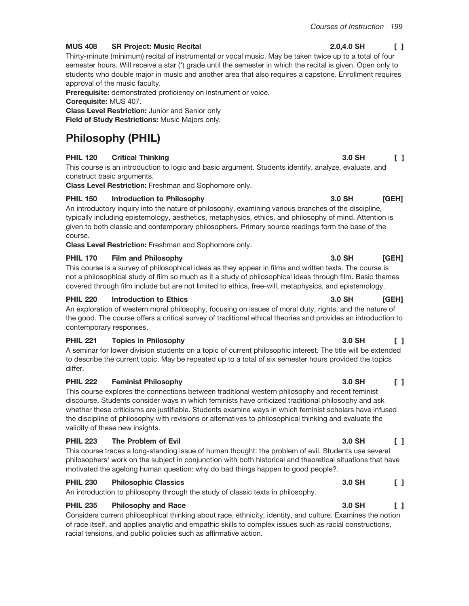#### **MUS 408 SR Project: Music Recital**

Thirty-minute (minimum) recital of instrumental or vocal music. May be taken twice up to a total of four semester hours. Will receive a star (\*) grade until the semester in which the recital is given. Open only to students who double major in music and another area that also requires a capstone. Enrollment requires approval of the music faculty.

Prerequisite: demonstrated proficiency on instrument or voice.

Corequisite: MUS 407.

**Class Level Restriction: Junior and Senior only** 

Field of Study Restrictions: Music Majors only.

# **Philosophy (PHIL)**

### **PHIL 120 Critical Thinking**

This course is an introduction to logic and basic argument. Students identify, analyze, evaluate, and construct basic arguments.

Class Level Restriction: Freshman and Sophomore only.

### **PHIL 150 Introduction to Philosophy**

An introductory inquiry into the nature of philosophy, examining various branches of the discipline, typically including epistemology, aesthetics, metaphysics, ethics, and philosophy of mind. Attention is given to both classic and contemporary philosophers. Primary source readings form the base of the course.

Class Level Restriction: Freshman and Sophomore only.

### **Film and Philosophy PHIL 170**

This course is a survey of philosophical ideas as they appear in films and written texts. The course is not a philosophical study of film so much as it a study of philosophical ideas through film. Basic themes covered through film include but are not limited to ethics, free-will, metaphysics, and epistemology.

#### **PHIL 220 Introduction to Ethics**

An exploration of western moral philosophy, focusing on issues of moral duty, rights, and the nature of the good. The course offers a critical survey of traditional ethical theories and provides an introduction to contemporary responses.

#### **PHIL 221 Topics in Philosophy**

A seminar for lower division students on a topic of current philosophic interest. The title will be extended to describe the current topic. May be repeated up to a total of six semester hours provided the topics differ

#### **PHIL 222 Feminist Philosophy**

This course explores the connections between traditional western philosophy and recent feminist discourse. Students consider ways in which feminists have criticized traditional philosophy and ask whether these criticisms are justifiable. Students examine ways in which feminist scholars have infused the discipline of philosophy with revisions or alternatives to philosophical thinking and evaluate the validity of these new insights.

#### **PHIL 223** The Problem of Evil

This course traces a long-standing issue of human thought: the problem of evil. Students use several philosophers' work on the subject in conjunction with both historical and theoretical situations that have motivated the agelong human question: why do bad things happen to good people?.

#### **PHIL 230 Philosophic Classics**

An introduction to philosophy through the study of classic texts in philosophy.

#### **PHIL 235 Philosophy and Race**

Considers current philosophical thinking about race, ethnicity, identity, and culture. Examines the notion of race itself, and applies analytic and empathic skills to complex issues such as racial constructions, racial tensions, and public policies such as affirmative action.

### 2.0,4.0 SH  $\begin{smallmatrix}1\end{smallmatrix}$

 $\mathsf{L}$ 

[GEH]

3.0 SH

### 3.0 SH [GEH]

3.0 SH

### 3.0 SH [GEH]

#### 3.0 SH  $\begin{smallmatrix}1\end{smallmatrix}$

#### 3.0 SH  $\begin{smallmatrix}1\end{smallmatrix}$

#### $3.0$  SH  $\Box$

### 3.0 SH  $\sqrt{1}$

#### 3.0 SH  $\begin{smallmatrix}1\end{smallmatrix}$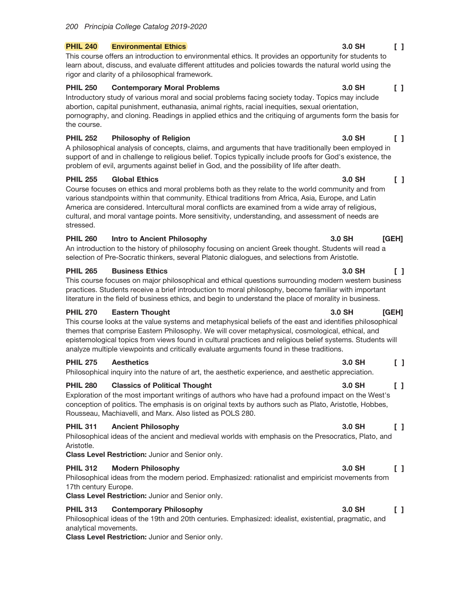#### **Environmental Ethics PHIL 240**

This course offers an introduction to environmental ethics. It provides an opportunity for students to learn about, discuss, and evaluate different attitudes and policies towards the natural world using the rigor and clarity of a philosophical framework.

#### **PHIL 250 Contemporary Moral Problems**

Introductory study of various moral and social problems facing society today. Topics may include abortion, capital punishment, euthanasia, animal rights, racial inequities, sexual orientation, pornography, and cloning. Readings in applied ethics and the critiquing of arguments form the basis for the course.

#### **PHIL 252 Philosophy of Religion**

A philosophical analysis of concepts, claims, and arguments that have traditionally been employed in support of and in challenge to religious belief. Topics typically include proofs for God's existence, the problem of evil, arguments against belief in God, and the possibility of life after death.

#### **PHIL 255 Global Ethics**

Course focuses on ethics and moral problems both as they relate to the world community and from various standpoints within that community. Ethical traditions from Africa, Asia, Europe, and Latin America are considered. Intercultural moral conflicts are examined from a wide array of religious, cultural, and moral vantage points. More sensitivity, understanding, and assessment of needs are stressed.

#### **PHIL 260 Intro to Ancient Philosophy**

An introduction to the history of philosophy focusing on ancient Greek thought. Students will read a selection of Pre-Socratic thinkers, several Platonic dialogues, and selections from Aristotle.

#### **PHIL 265 Business Ethics**

This course focuses on major philosophical and ethical questions surrounding modern western business practices. Students receive a brief introduction to moral philosophy, become familiar with important literature in the field of business ethics, and begin to understand the place of morality in business.

#### **PHIL 270 Eastern Thought**

This course looks at the value systems and metaphysical beliefs of the east and identifies philosophical themes that comprise Eastern Philosophy. We will cover metaphysical, cosmological, ethical, and epistemological topics from views found in cultural practices and religious belief systems. Students will analyze multiple viewpoints and critically evaluate arguments found in these traditions.

#### **PHIL 275 Aesthetics**

Philosophical inquiry into the nature of art, the aesthetic experience, and aesthetic appreciation.

#### **PHIL 280 Classics of Political Thought**

Exploration of the most important writings of authors who have had a profound impact on the West's conception of politics. The emphasis is on original texts by authors such as Plato, Aristotle, Hobbes, Rousseau, Machiavelli, and Marx. Also listed as POLS 280.

#### **PHIL 311 Ancient Philosophy**

Philosophical ideas of the ancient and medieval worlds with emphasis on the Presocratics, Plato, and Aristotle.

Class Level Restriction: Junior and Senior only.

#### **PHIL 312 Modern Philosophy**

Philosophical ideas from the modern period. Emphasized: rationalist and empiricist movements from 17th century Europe.

Class Level Restriction: Junior and Senior only.

#### **PHIL 313 Contemporary Philosophy**

Philosophical ideas of the 19th and 20th centuries. Emphasized: idealist, existential, pragmatic, and analytical movements.

**Class Level Restriction: Junior and Senior only.** 

#### $\begin{bmatrix} 1 \end{bmatrix}$ 3.0 SH

#### 3.0 SH  $\begin{bmatrix} 1 \end{bmatrix}$

#### 3.0 SH  $\Box$

### 3.0 SH  $[GEH]$

#### 3.0 SH  $\begin{smallmatrix}1\\1\end{smallmatrix}$

#### 3.0 SH [GEH]

### $\begin{bmatrix} 1 \end{bmatrix}$ 3.0 SH

#### 3.0 SH  $\sqrt{1}$

#### 3.0 SH  $\begin{bmatrix} 1 \end{bmatrix}$

### 3.0 SH  $\mathsf{L}$

#### 3.0 SH  $\begin{smallmatrix}1\end{smallmatrix}$

### 3.0 SH  $\Box$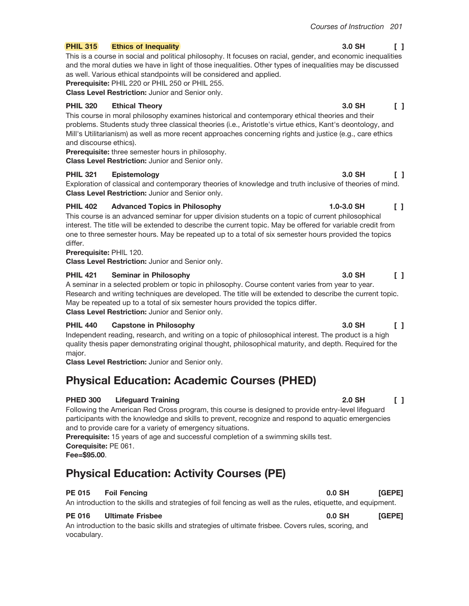#### **PHIL 315 Ethics of Inequality**

This is a course in social and political philosophy. It focuses on racial, gender, and economic inequalities and the moral duties we have in light of those inequalities. Other types of inequalities may be discussed as well. Various ethical standpoints will be considered and applied.

Prerequisite: PHIL 220 or PHIL 250 or PHIL 255.

Class Level Restriction: Junior and Senior only.

#### **PHIL 320 Ethical Theory**

This course in moral philosophy examines historical and contemporary ethical theories and their problems. Students study three classical theories (i.e., Aristotle's virtue ethics, Kant's deontology, and Mill's Utilitarianism) as well as more recent approaches concerning rights and justice (e.g., care ethics and discourse ethics).

Prerequisite: three semester hours in philosophy.

**Class Level Restriction: Junior and Senior only.** 

#### **PHIL 321** Epistemology

Exploration of classical and contemporary theories of knowledge and truth inclusive of theories of mind. Class Level Restriction: Junior and Senior only.

#### **PHIL 402 Advanced Topics in Philosophy**

This course is an advanced seminar for upper division students on a topic of current philosophical interest. The title will be extended to describe the current topic. May be offered for variable credit from one to three semester hours. May be repeated up to a total of six semester hours provided the topics differ.

## Prerequisite: PHIL 120.

Class Level Restriction: Junior and Senior only.

#### **PHIL 421 Seminar in Philosophy**

A seminar in a selected problem or topic in philosophy. Course content varies from year to year. Research and writing techniques are developed. The title will be extended to describe the current topic. May be repeated up to a total of six semester hours provided the topics differ. Class Level Restriction: Junior and Senior only.

#### **PHIL 440 Capstone in Philosophy**

Independent reading, research, and writing on a topic of philosophical interest. The product is a high quality thesis paper demonstrating original thought, philosophical maturity, and depth. Required for the major.

Class Level Restriction: Junior and Senior only.

# **Physical Education: Academic Courses (PHED)**

#### **PHED 300 Lifeguard Training**

Following the American Red Cross program, this course is designed to provide entry-level lifequard participants with the knowledge and skills to prevent, recognize and respond to aquatic emergencies and to provide care for a variety of emergency situations.

Prerequisite: 15 years of age and successful completion of a swimming skills test. Corequisite: PE 061.

Fee=\$95.00.

# **Physical Education: Activity Courses (PE)**

#### **PE 015 Foil Fencing**

An introduction to the skills and strategies of foil fencing as well as the rules, etiquette, and equipment.

#### **PE 016 Ultimate Frisbee**

An introduction to the basic skills and strategies of ultimate frisbee. Covers rules, scoring, and vocabulary.

## 3.0 SH  $\begin{smallmatrix}1\end{smallmatrix}$

#### 3.0 SH  $\Box$

### 3.0 SH  $\Gamma$

 $\begin{smallmatrix}1\end{smallmatrix}$ 

 $\begin{smallmatrix}1\end{smallmatrix}$ 

1.0-3.0 SH

3.0 SH

#### 3.0 SH  $\mathsf{L}$

#### 2.0 SH  $\begin{smallmatrix}1\end{smallmatrix}$

### $0.0$  SH [GEPE]

 $[GEPE]$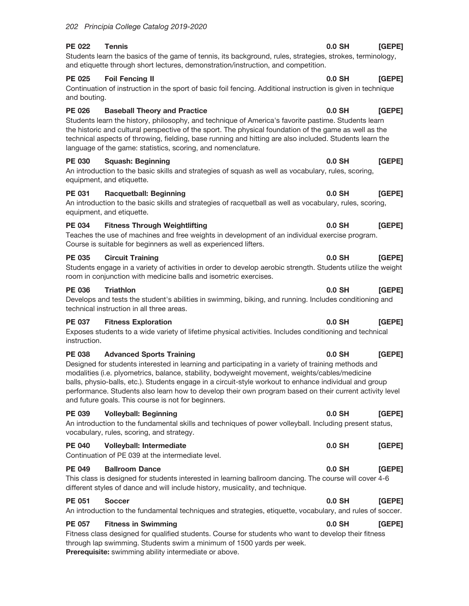Continuation of instruction in the sport of basic foil fencing. Additional instruction is given in technique and bouting.

### **PE 026 Baseball Theory and Practice**  $0.0$  SH Students learn the history, philosophy, and technique of America's favorite pastime. Students learn the historic and cultural perspective of the sport. The physical foundation of the game as well as the technical aspects of throwing, fielding, base running and hitting are also included. Students learn the language of the game: statistics, scoring, and nomenclature.

**PE 030 Squash: Beginning** An introduction to the basic skills and strategies of squash as well as vocabulary, rules, scoring, equipment, and etiquette.

#### **PE 031 Racquetball: Beginning**  $0.0$  SH An introduction to the basic skills and strategies of racquetball as well as vocabulary, rules, scoring, equipment, and etiquette.

#### **PE 034 Fitness Through Weightlifting**  $0.0$  SH Teaches the use of machines and free weights in development of an individual exercise program. Course is suitable for beginners as well as experienced lifters.

#### **PE 035 Circuit Training**

Students engage in a variety of activities in order to develop aerobic strength. Students utilize the weight room in conjunction with medicine balls and isometric exercises.

#### **PE 036 Triathlon**

Develops and tests the student's abilities in swimming, biking, and running. Includes conditioning and technical instruction in all three areas.

#### **PE 037 Fitness Exploration**

Exposes students to a wide variety of lifetime physical activities. Includes conditioning and technical instruction.

#### **PE 038 Advanced Sports Training**

Designed for students interested in learning and participating in a variety of training methods and modalities (i.e. plyometrics, balance, stability, bodyweight movement, weights/cables/medicine balls, physio-balls, etc.). Students engage in a circuit-style workout to enhance individual and group performance. Students also learn how to develop their own program based on their current activity level and future goals. This course is not for beginners.

**Volleyball: Beginning**  $0.0$  SH **PE 039** [GEPE] An introduction to the fundamental skills and techniques of power volleyball. Including present status, vocabulary, rules, scoring, and strategy.  $\mathbf{v}$  and  $\mathbf{v}$  are the set of the set of the set of the set of the set of the set of the set of the set of the set of the set of the set of the set of the set of the set of the set of the set of the set of the set

| <b>PE 040</b> | <b>Volleyball: Intermediate</b>                                                                        | $0.0$ SH | <b>[GEPE]</b> |
|---------------|--------------------------------------------------------------------------------------------------------|----------|---------------|
|               | Continuation of PE 039 at the intermediate level.                                                      |          |               |
| <b>PE 049</b> | <b>Ballroom Dance</b>                                                                                  | $0.0$ SH | <b>IGEPE1</b> |
|               | This class is designed for students interested in learning ballroom dancing. The course will cover 4-6 |          |               |

different styles of dance and will include history, musicality, and technique.

#### **PE 051 Soccer**

An introduction to the fundamental techniques and strategies, etiquette, vocabulary, and rules of soccer.

**PE 057 Fitness in Swimming** 

[GEPE] Fitness class designed for qualified students. Course for students who want to develop their fitness through lap swimming. Students swim a minimum of 1500 yards per week. Prerequisite: swimming ability intermediate or above.

# 202 Principia College Catalog 2019-2020

**PE 022** 

**PE 025** 

### $0.0$  SH [GEPE]

0.0 SH [GEPE]

## **IGEPE1**

 $0.0$  SH [GEPE]

# $[GEPE]$

 $[GEPE]$ 

#### $0.0$  SH **[GEPE]**

#### 0.0 SH  $[GEPE]$

#### $0.0$  SH [GEPE]

 $0.0$  SH

 $0.0$  SH

 $0.0$  SH [GEPE]

 $[GEPE]$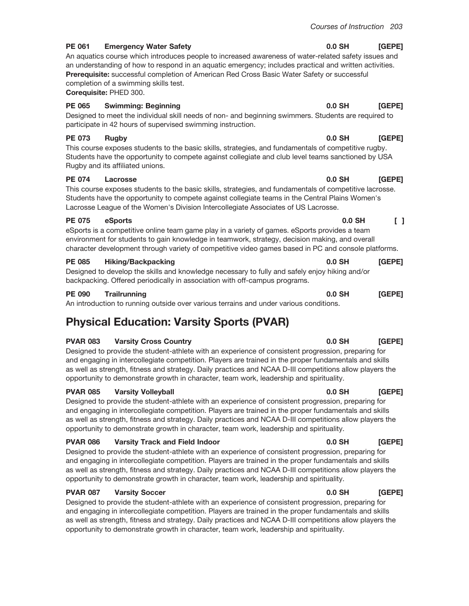#### **PE 061 Emergency Water Safety**

An aquatics course which introduces people to increased awareness of water-related safety issues and an understanding of how to respond in an aquatic emergency; includes practical and written activities. Prerequisite: successful completion of American Red Cross Basic Water Safety or successful completion of a swimming skills test.

Corequisite: PHED 300.

#### **PE 065 Swimming: Beginning**

Designed to meet the individual skill needs of non- and beginning swimmers. Students are required to participate in 42 hours of supervised swimming instruction.

#### **PE 073 Rugby**

This course exposes students to the basic skills, strategies, and fundamentals of competitive rugby. Students have the opportunity to compete against collegiate and club level teams sanctioned by USA Rugby and its affiliated unions.

#### **PE 074** Lacrosse

This course exposes students to the basic skills, strategies, and fundamentals of competitive lacrosse. Students have the opportunity to compete against collegiate teams in the Central Plains Women's Lacrosse League of the Women's Division Intercollegiate Associates of US Lacrosse.

#### **PE 075** eSports

eSports is a competitive online team game play in a variety of games. eSports provides a team environment for students to gain knowledge in teamwork, strategy, decision making, and overall character development through variety of competitive video games based in PC and console platforms.

#### **PE 085 Hiking/Backpacking**

Designed to develop the skills and knowledge necessary to fully and safely enjoy hiking and/or backpacking. Offered periodically in association with off-campus programs.

#### **PE 090 Trailrunning**

An introduction to running outside over various terrains and under various conditions.

# **Physical Education: Varsity Sports (PVAR)**

#### **PVAR 083 Varsity Cross Country**

Designed to provide the student-athlete with an experience of consistent progression, preparing for and engaging in intercollegiate competition. Players are trained in the proper fundamentals and skills as well as strength, fitness and strategy. Daily practices and NCAA D-III competitions allow players the opportunity to demonstrate growth in character, team work, leadership and spirituality.

#### **PVAR 085 Varsity Volleyball**

Designed to provide the student-athlete with an experience of consistent progression, preparing for and engaging in intercollegiate competition. Players are trained in the proper fundamentals and skills as well as strength, fitness and strategy. Daily practices and NCAA D-III competitions allow players the opportunity to demonstrate growth in character, team work, leadership and spirituality.

#### **PVAR 086 Varsity Track and Field Indoor**

Designed to provide the student-athlete with an experience of consistent progression, preparing for and engaging in intercollegiate competition. Players are trained in the proper fundamentals and skills as well as strength, fitness and strategy. Daily practices and NCAA D-III competitions allow players the opportunity to demonstrate growth in character, team work, leadership and spirituality.

#### **PVAR 087 Varsity Soccer**

Designed to provide the student-athlete with an experience of consistent progression, preparing for and engaging in intercollegiate competition. Players are trained in the proper fundamentals and skills as well as strength, fitness and strategy. Daily practices and NCAA D-III competitions allow players the opportunity to demonstrate growth in character, team work, leadership and spirituality.

#### $0.0$  SH [GEPE]

#### $0.0$  SH [GEPE]

### $0.0$  SH  $[GEPE]$

#### $0.0$  SH  $\begin{smallmatrix}1\\1\end{smallmatrix}$

[GEPE]

 $[GEPE]$ 

 $0.0$  SH

 $0.0$  SH

### $0.0$  SH  $[GEPE]$

#### $0.0$  SH [GEPE]

#### $0.0$  SH [GEPE]

 $0.0$  SH

## $[GEPE]$

### $0.0$  SH  $[GEPE]$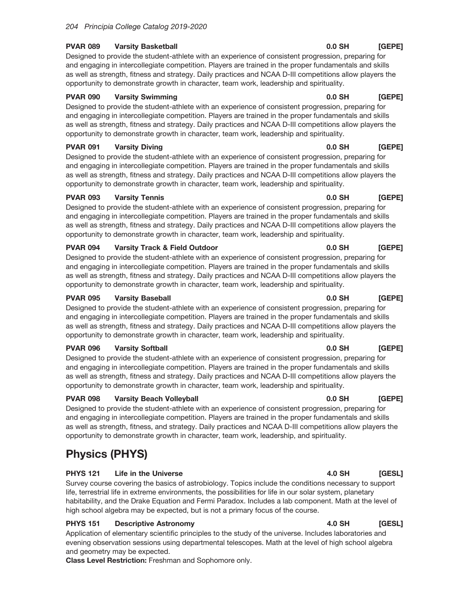#### **PVAR 089 Varsity Basketball**

Designed to provide the student-athlete with an experience of consistent progression, preparing for and engaging in intercollegiate competition. Players are trained in the proper fundamentals and skills as well as strength, fitness and strategy. Daily practices and NCAA D-III competitions allow players the opportunity to demonstrate growth in character, team work, leadership and spirituality.

#### **PVAR 090 Varsity Swimming**

Designed to provide the student-athlete with an experience of consistent progression, preparing for and engaging in intercollegiate competition. Players are trained in the proper fundamentals and skills as well as strength, fitness and strategy. Daily practices and NCAA D-III competitions allow players the opportunity to demonstrate growth in character, team work, leadership and spirituality.

#### **PVAR 091 Varsity Diving**

Designed to provide the student-athlete with an experience of consistent progression, preparing for and engaging in intercollegiate competition. Players are trained in the proper fundamentals and skills as well as strength, fitness and strategy. Daily practices and NCAA D-III competitions allow players the opportunity to demonstrate growth in character, team work, leadership and spirituality.

#### **PVAR 093 Varsity Tennis**

Designed to provide the student-athlete with an experience of consistent progression, preparing for and engaging in intercollegiate competition. Players are trained in the proper fundamentals and skills as well as strength, fitness and strategy. Daily practices and NCAA D-III competitions allow players the opportunity to demonstrate growth in character, team work, leadership and spirituality.

#### **PVAR 094 Varsity Track & Field Outdoor**

Designed to provide the student-athlete with an experience of consistent progression, preparing for and engaging in intercollegiate competition. Players are trained in the proper fundamentals and skills as well as strength, fitness and strategy. Daily practices and NCAA D-III competitions allow players the opportunity to demonstrate growth in character, team work, leadership and spirituality.

#### **PVAR 095 Varsity Baseball**

Designed to provide the student-athlete with an experience of consistent progression, preparing for and engaging in intercollegiate competition. Players are trained in the proper fundamentals and skills as well as strength, fitness and strategy. Daily practices and NCAA D-III competitions allow players the opportunity to demonstrate growth in character, team work, leadership and spirituality.

#### **PVAR 096 Varsity Softball**

Designed to provide the student-athlete with an experience of consistent progression, preparing for and engaging in intercollegiate competition. Players are trained in the proper fundamentals and skills as well as strength, fitness and strategy. Daily practices and NCAA D-III competitions allow players the opportunity to demonstrate growth in character, team work, leadership and spirituality.

#### **PVAR 098 Varsity Beach Volleyball**

Designed to provide the student-athlete with an experience of consistent progression, preparing for and engaging in intercollegiate competition. Players are trained in the proper fundamentals and skills as well as strength, fitness, and strategy. Daily practices and NCAA D-III competitions allow players the opportunity to demonstrate growth in character, team work, leadership, and spirituality.

# **Physics (PHYS)**

#### **PHYS 121 Life in the Universe**

Survey course covering the basics of astrobiology. Topics include the conditions necessary to support life, terrestrial life in extreme environments, the possibilities for life in our solar system, planetary habitability, and the Drake Equation and Fermi Paradox. Includes a lab component. Math at the level of high school algebra may be expected, but is not a primary focus of the course.

#### **PHYS 151 Descriptive Astronomy**

Application of elementary scientific principles to the study of the universe. Includes laboratories and evening observation sessions using departmental telescopes. Math at the level of high school algebra and geometry may be expected.

Class Level Restriction: Freshman and Sophomore only.

#### $0.0$  SH [GEPE]

### $0.0$  SH [GEPE]

[GEPE]

[GEPE]

[GEPE]

 $0.0$  SH

 $0.0$  SH

 $0.0$  SH

#### 0.0 SH  $[GEPE]$

#### $0.0$  SH  $[GEPE]$

#### $0.0$  SH [GEPE]

# 4.0 SH

#### **4.0 SH** [GESL]

# [GESL]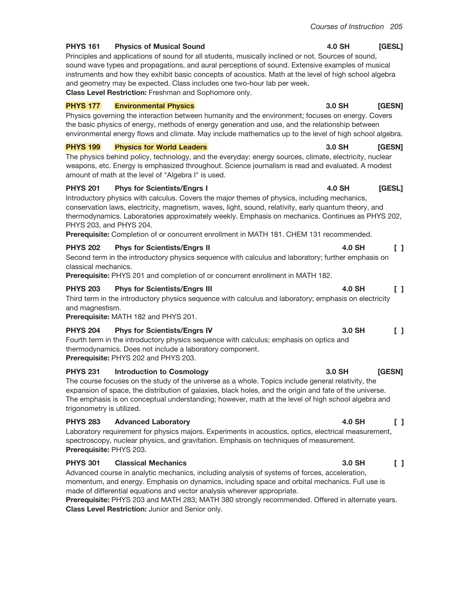[GESL]

[GESN]

[GESL]

 $\Box$ 

**4.0 SH** 

3.0 SH

4.0 SH

4.0 SH

#### **PHYS 161 Physics of Musical Sound**

Principles and applications of sound for all students, musically inclined or not. Sources of sound, sound wave types and propagations, and aural perceptions of sound. Extensive examples of musical instruments and how they exhibit basic concepts of acoustics. Math at the level of high school algebra and geometry may be expected. Class includes one two-hour lab per week. Class Level Restriction: Freshman and Sophomore only.

#### **PHYS 177 Environmental Physics**

Physics governing the interaction between humanity and the environment; focuses on energy. Covers the basic physics of energy, methods of energy generation and use, and the relationship between environmental energy flows and climate. May include mathematics up to the level of high school algebra.

#### **PHYS 199 Physics for World Leaders**

The physics behind policy, technology, and the everyday: energy sources, climate, electricity, nuclear weapons, etc. Energy is emphasized throughout. Science journalism is read and evaluated. A modest amount of math at the level of "Algebra I" is used.

#### **Phys for Scientists/Engrs I PHYS 201**

Introductory physics with calculus. Covers the major themes of physics, including mechanics, conservation laws, electricity, magnetism, waves, light, sound, relativity, early quantum theory, and thermodynamics. Laboratories approximately weekly. Emphasis on mechanics. Continues as PHYS 202, PHYS 203, and PHYS 204.

Prerequisite: Completion of or concurrent enrollment in MATH 181. CHEM 131 recommended.

#### **PHYS 202 Phys for Scientists/Engrs II**

Second term in the introductory physics sequence with calculus and laboratory; further emphasis on classical mechanics.

**Prerequisite:** PHYS 201 and completion of or concurrent enrollment in MATH 182.

#### **PHYS 203 Phys for Scientists/Engrs III**

Third term in the introductory physics sequence with calculus and laboratory; emphasis on electricity and magnestism.

Prerequisite: MATH 182 and PHYS 201.

#### **Phys for Scientists/Engrs IV PHYS 204**

Fourth term in the introductory physics sequence with calculus; emphasis on optics and thermodynamics. Does not include a laboratory component. Prerequisite: PHYS 202 and PHYS 203.

#### **PHYS 231 Introduction to Cosmology**

The course focuses on the study of the universe as a whole. Topics include general relativity, the expansion of space, the distribution of galaxies, black holes, and the origin and fate of the universe. The emphasis is on conceptual understanding; however, math at the level of high school algebra and trigonometry is utilized.

#### **PHYS 283 Advanced Laboratory**

Laboratory requirement for physics majors. Experiments in acoustics, optics, electrical measurement, spectroscopy, nuclear physics, and gravitation. Emphasis on techniques of measurement. Prerequisite: PHYS 203.

#### **PHYS 301 Classical Mechanics**

Advanced course in analytic mechanics, including analysis of systems of forces, acceleration, momentum, and energy. Emphasis on dynamics, including space and orbital mechanics. Full use is made of differential equations and vector analysis wherever appropriate.

Prerequisite: PHYS 203 and MATH 283; MATH 380 strongly recommended. Offered in alternate years. Class Level Restriction: Junior and Senior only.

#### 3.0 SH [GESN]

### 4.0 SH  $\Box$

#### 3.0 SH  $\Box$

#### 3.0 SH **IGESN1**

#### 4.0 SH  $\Box$

#### $\begin{bmatrix} 1 \end{bmatrix}$ 3.0 SH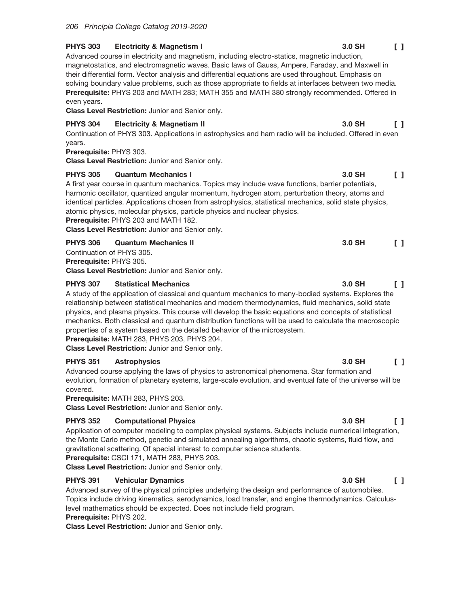#### **PHYS 303 Electricity & Magnetism I**

Advanced course in electricity and magnetism, including electro-statics, magnetic induction, magnetostatics, and electromagnetic waves. Basic laws of Gauss, Ampere, Faraday, and Maxwell in their differential form. Vector analysis and differential equations are used throughout. Emphasis on solving boundary value problems, such as those appropriate to fields at interfaces between two media. Prerequisite: PHYS 203 and MATH 283; MATH 355 and MATH 380 strongly recommended. Offered in even years.

Class Level Restriction: Junior and Senior only.

#### **PHYS 304 Electricity & Magnetism II**

Continuation of PHYS 303. Applications in astrophysics and ham radio will be included. Offered in even vears.

# Prerequisite: PHYS 303.

Class Level Restriction: Junior and Senior only.

#### **PHYS 305 Quantum Mechanics I**

A first year course in quantum mechanics. Topics may include wave functions, barrier potentials, harmonic oscillator, quantized angular momentum, hydrogen atom, perturbation theory, atoms and identical particles. Applications chosen from astrophysics, statistical mechanics, solid state physics, atomic physics, molecular physics, particle physics and nuclear physics. Prerequisite: PHYS 203 and MATH 182.

Class Level Restriction: Junior and Senior only.

### **PHYS 306 Quantum Mechanics II**

Continuation of PHYS 305.

Prerequisite: PHYS 305.

Class Level Restriction: Junior and Senior only.

#### **PHYS 307 Statistical Mechanics**

A study of the application of classical and quantum mechanics to many-bodied systems. Explores the relationship between statistical mechanics and modern thermodynamics, fluid mechanics, solid state physics, and plasma physics. This course will develop the basic equations and concepts of statistical mechanics. Both classical and quantum distribution functions will be used to calculate the macroscopic properties of a system based on the detailed behavior of the microsystem.

Prerequisite: MATH 283, PHYS 203, PHYS 204.

Class Level Restriction: Junior and Senior only.

#### **PHYS 351 Astrophysics**

Advanced course applying the laws of physics to astronomical phenomena. Star formation and evolution, formation of planetary systems, large-scale evolution, and eventual fate of the universe will be covered.

Prerequisite: MATH 283, PHYS 203.

Class Level Restriction: Junior and Senior only.

#### **PHYS 352 Computational Physics**

Application of computer modeling to complex physical systems. Subjects include numerical integration, the Monte Carlo method, genetic and simulated annealing algorithms, chaotic systems, fluid flow, and gravitational scattering. Of special interest to computer science students.

Prerequisite: CSCI 171, MATH 283, PHYS 203.

Class Level Restriction: Junior and Senior only.

#### **PHYS 391 Vehicular Dynamics**

Advanced survey of the physical principles underlying the design and performance of automobiles. Topics include driving kinematics, aerodynamics, load transfer, and engine thermodynamics. Calculuslevel mathematics should be expected. Does not include field program.

# Prerequisite: PHYS 202.

Class Level Restriction: Junior and Senior only.

#### 3.0 SH  $\begin{smallmatrix}1\end{smallmatrix}$

 $\Box$ 

3.0 SH

#### 3.0 SH  $\begin{bmatrix} 1 \end{bmatrix}$

 $\begin{smallmatrix}1\end{smallmatrix}$ 

 $\Box$ 

3.0 SH

3.0 SH

#### 3.0 SH  $\Box$

### 3.0 SH  $\begin{smallmatrix}1\end{smallmatrix}$

#### 3.0 SH  $\begin{smallmatrix}1\end{smallmatrix}$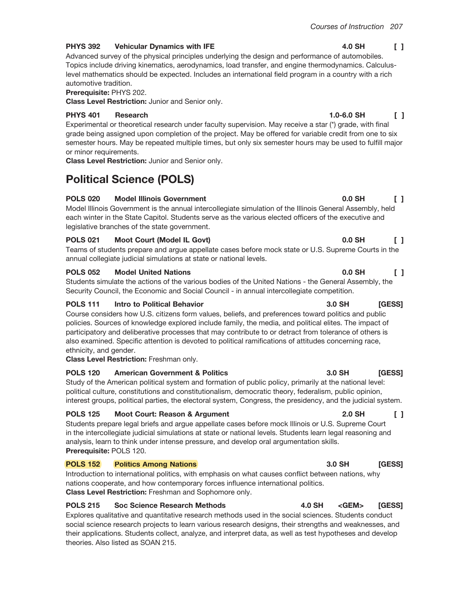#### **PHYS 392 Vehicular Dynamics with IFE**

Advanced survey of the physical principles underlying the design and performance of automobiles. Topics include driving kinematics, aerodynamics, load transfer, and engine thermodynamics. Calculuslevel mathematics should be expected. Includes an international field program in a country with a rich automotive tradition.

Prerequisite: PHYS 202.

Class Level Restriction: Junior and Senior only.

#### **PHYS 401 Research**

Experimental or theoretical research under faculty supervision. May receive a star (\*) grade, with final grade being assigned upon completion of the project. May be offered for variable credit from one to six semester hours. May be repeated multiple times, but only six semester hours may be used to fulfill major or minor requirements.

Class Level Restriction: Junior and Senior only.

# **Political Science (POLS)**

### **POLS 020 Model Illinois Government**

Model Illinois Government is the annual intercollegiate simulation of the Illinois General Assembly, held each winter in the State Capitol. Students serve as the various elected officers of the executive and legislative branches of the state government.

### **POLS 021 Moot Court (Model IL Govt)**

Teams of students prepare and arque appellate cases before mock state or U.S. Supreme Courts in the annual collegiate judicial simulations at state or national levels.

#### **POLS 052 Model United Nations**

Students simulate the actions of the various bodies of the United Nations - the General Assembly, the Security Council, the Economic and Social Council - in annual intercollegiate competition.

### **POLS 111 Intro to Political Behavior**

Course considers how U.S. citizens form values, beliefs, and preferences toward politics and public policies. Sources of knowledge explored include family, the media, and political elites. The impact of participatory and deliberative processes that may contribute to or detract from tolerance of others is also examined. Specific attention is devoted to political ramifications of attitudes concerning race, ethnicity, and gender.

## Class Level Restriction: Freshman only.

#### **POLS 120 American Government & Politics**

Study of the American political system and formation of public policy, primarily at the national level: political culture, constitutions and constitutionalism, democratic theory, federalism, public opinion, interest groups, political parties, the electoral system, Congress, the presidency, and the judicial system.

#### **POLS 125 Moot Court: Reason & Argument**

Students prepare legal briefs and argue appellate cases before mock Illinois or U.S. Supreme Court in the intercollegiate judicial simulations at state or national levels. Students learn legal reasoning and analysis, learn to think under intense pressure, and develop oral argumentation skills. Prerequisite: POLS 120.

#### **POLS 152 Politics Among Nations**

Introduction to international politics, with emphasis on what causes conflict between nations, why nations cooperate, and how contemporary forces influence international politics. Class Level Restriction: Freshman and Sophomore only.

#### **POLS 215 Soc Science Research Methods**

Explores qualitative and quantitative research methods used in the social sciences. Students conduct social science research projects to learn various research designs, their strengths and weaknesses, and their applications. Students collect, analyze, and interpret data, as well as test hypotheses and develop theories. Also listed as SOAN 215.

#### 4.0 SH  $\begin{smallmatrix}1\end{smallmatrix}$

#### $1.0 - 6.0$  SH  $\mathsf{F}$

## 0.0 SH  $\Box$

## $0.0$  SH  $\Box$

#### $0.0$  SH  $\Box$

### 3.0 SH **IGESSI**

[GESS]

[GESS]

3.0 SH

**4.0 SH** 

#### **2.0 SH** L.

### 3.0 SH **[GESS]**

 $<$ GEM $>$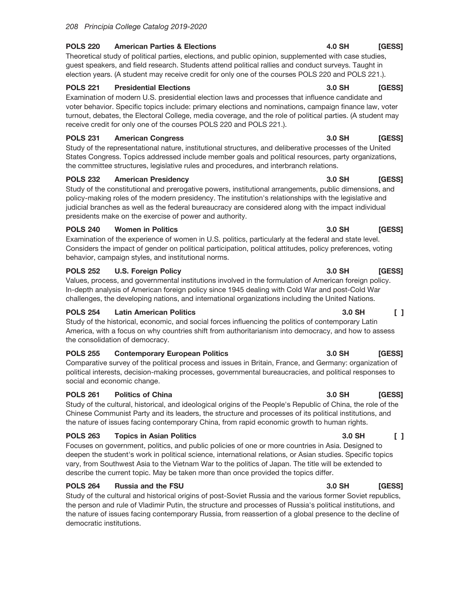#### **POLS 220 American Parties & Elections**

Theoretical study of political parties, elections, and public opinion, supplemented with case studies, guest speakers, and field research. Students attend political rallies and conduct surveys. Taught in election years. (A student may receive credit for only one of the courses POLS 220 and POLS 221.).

#### **POLS 221 Presidential Elections**

Examination of modern U.S. presidential election laws and processes that influence candidate and voter behavior. Specific topics include: primary elections and nominations, campaign finance law, voter turnout, debates, the Electoral College, media coverage, and the role of political parties. (A student may receive credit for only one of the courses POLS 220 and POLS 221.).

#### **POLS 231 American Congress**

Study of the representational nature, institutional structures, and deliberative processes of the United States Congress. Topics addressed include member goals and political resources, party organizations, the committee structures, legislative rules and procedures, and interbranch relations.

#### **POLS 232 American Presidency**

Study of the constitutional and prerogative powers, institutional arrangements, public dimensions, and policy-making roles of the modern presidency. The institution's relationships with the legislative and judicial branches as well as the federal bureaucracy are considered along with the impact individual presidents make on the exercise of power and authority.

#### **POLS 240 Women in Politics**

Examination of the experience of women in U.S. politics, particularly at the federal and state level. Considers the impact of gender on political participation, political attitudes, policy preferences, voting behavior, campaign styles, and institutional norms.

#### **POLS 252 U.S. Foreign Policy**

Values, process, and governmental institutions involved in the formulation of American foreign policy. In-depth analysis of American foreign policy since 1945 dealing with Cold War and post-Cold War challenges, the developing nations, and international organizations including the United Nations.

#### **POLS 254 Latin American Politics**

Study of the historical, economic, and social forces influencing the politics of contemporary Latin America, with a focus on why countries shift from authoritarianism into democracy, and how to assess the consolidation of democracy.

#### **POLS 255 Contemporary European Politics**

Comparative survey of the political process and issues in Britain, France, and Germany: organization of political interests, decision-making processes, governmental bureaucracies, and political responses to social and economic change.

#### **POLS 261 Politics of China**

Study of the cultural, historical, and ideological origins of the People's Republic of China, the role of the Chinese Communist Party and its leaders, the structure and processes of its political institutions, and the nature of issues facing contemporary China, from rapid economic growth to human rights.

#### **POLS 263 Topics in Asian Politics**

Focuses on government, politics, and public policies of one or more countries in Asia. Designed to deepen the student's work in political science, international relations, or Asian studies. Specific topics vary, from Southwest Asia to the Vietnam War to the politics of Japan. The title will be extended to describe the current topic. May be taken more than once provided the topics differ.

#### **POLS 264 Russia and the FSU**

Study of the cultural and historical origins of post-Soviet Russia and the various former Soviet republics, the person and rule of Vladimir Putin, the structure and processes of Russia's political institutions, and the nature of issues facing contemporary Russia, from reassertion of a global presence to the decline of democratic institutions.

#### **4.0 SH** [GESS]

#### 3.0 SH [GESS]

## 3.0 SH [GESS]

#### 3.0 SH [GESS]

#### 3.0 SH [GESS]

#### 3.0 SH **[GESS]**

#### 3.0 SH  $\begin{bmatrix} 1 \end{bmatrix}$

### 3.0 SH **[GESS]**

#### 3.0 SH [GESS]

#### $\Box$ 3.0 SH

#### 3.0 SH [GESS]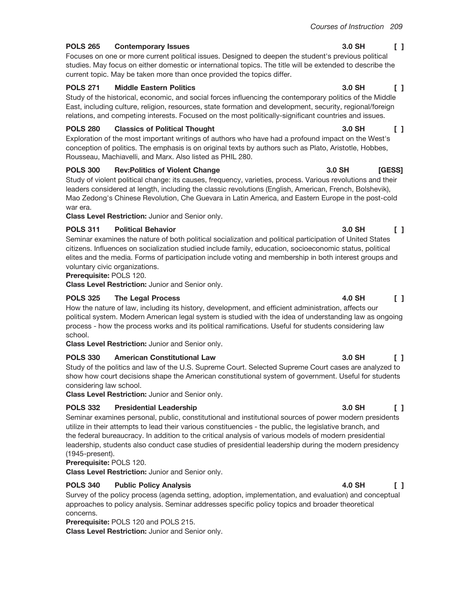#### **POLS 265 Contemporary Issues**

Focuses on one or more current political issues. Designed to deepen the student's previous political studies. May focus on either domestic or international topics. The title will be extended to describe the current topic. May be taken more than once provided the topics differ.

### **POLS 271 Middle Eastern Politics**

Study of the historical, economic, and social forces influencing the contemporary politics of the Middle East, including culture, religion, resources, state formation and development, security, regional/foreign relations, and competing interests. Focused on the most politically-significant countries and issues.

### **POLS 280 Classics of Political Thought**

Exploration of the most important writings of authors who have had a profound impact on the West's conception of politics. The emphasis is on original texts by authors such as Plato, Aristotle, Hobbes, Rousseau, Machiavelli, and Marx. Also listed as PHIL 280.

#### **POLS 300 Rev:Politics of Violent Change**

Study of violent political change: its causes, frequency, varieties, process. Various revolutions and their leaders considered at length, including the classic revolutions (English, American, French, Bolshevik), Mao Zedong's Chinese Revolution, Che Guevara in Latin America, and Eastern Europe in the post-cold war era.

Class Level Restriction: Junior and Senior only.

## **POLS 311 Political Behavior**

Seminar examines the nature of both political socialization and political participation of United States citizens. Influences on socialization studied include family, education, socioeconomic status, political elites and the media. Forms of participation include voting and membership in both interest groups and voluntary civic organizations.

# **Prerequisite: POLS 120.**

Class Level Restriction: Junior and Senior only.

## **POLS 325 The Legal Process**

 $\begin{bmatrix} 1 \end{bmatrix}$ How the nature of law, including its history, development, and efficient administration, affects our political system. Modern American legal system is studied with the idea of understanding law as ongoing process - how the process works and its political ramifications. Useful for students considering law school.

Class Level Restriction: Junior and Senior only.

## **POLS 330 American Constitutional Law**

Study of the politics and law of the U.S. Supreme Court. Selected Supreme Court cases are analyzed to show how court decisions shape the American constitutional system of government. Useful for students considering law school.

Class Level Restriction: Junior and Senior only.

## **POLS 332 Presidential Leadership**

Seminar examines personal, public, constitutional and institutional sources of power modern presidents utilize in their attempts to lead their various constituencies - the public, the legislative branch, and the federal bureaucracy. In addition to the critical analysis of various models of modern presidential leadership, students also conduct case studies of presidential leadership during the modern presidency (1945-present).

Prerequisite: POLS 120.

Class Level Restriction: Junior and Senior only.

## **POLS 340 Public Policy Analysis**

Survey of the policy process (agenda setting, adoption, implementation, and evaluation) and conceptual approaches to policy analysis. Seminar addresses specific policy topics and broader theoretical concerns.

Prerequisite: POLS 120 and POLS 215.

Class Level Restriction: Junior and Senior only.

#### $\begin{bmatrix} 1 \end{bmatrix}$ 3.0 SH

## 3.0 SH  $\Box$

**IGESS1** 

## 3.0 SH  $\mathsf{L}$

**4.0 SH** 

 $3.0$  SH

## 3.0 SH  $\begin{smallmatrix}1\end{smallmatrix}$

#### 3.0 SH  $\Box$

#### 4.0 SH  $\begin{bmatrix} 1 \end{bmatrix}$

## 3.0 SH  $\begin{smallmatrix}1\end{smallmatrix}$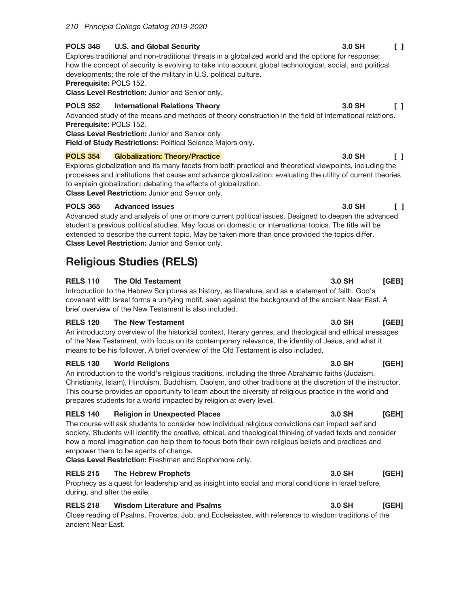#### **POLS 348 U.S. and Global Security**

Explores traditional and non-traditional threats in a globalized world and the options for response; how the concept of security is evolving to take into account global technological, social, and political developments; the role of the military in U.S. political culture.

Prerequisite: POLS 152.

Class Level Restriction: Junior and Senior only.

#### **POLS 352 International Relations Theory**

Advanced study of the means and methods of theory construction in the field of international relations. Prerequisite: POLS 152.

**Class Level Restriction: Junior and Senior only** 

Field of Study Restrictions: Political Science Majors only.

#### **POLS 354 Globalization: Theory/Practice**

Explores globalization and its many facets from both practical and theoretical viewpoints, including the processes and institutions that cause and advance globalization; evaluating the utility of current theories to explain globalization; debating the effects of globalization.

Class Level Restriction: Junior and Senior only.

#### **POLS 365 Advanced Issues**

Advanced study and analysis of one or more current political issues. Designed to deepen the advanced student's previous political studies. May focus on domestic or international topics. The title will be extended to describe the current topic. May be taken more than once provided the topics differ. Class Level Restriction: Junior and Senior only.

# **Religious Studies (RELS)**

#### **RELS 110 The Old Testament**

Introduction to the Hebrew Scriptures as history, as literature, and as a statement of faith. God's covenant with Israel forms a unifying motif, seen against the background of the ancient Near East. A brief overview of the New Testament is also included.

### **RELS 120 The New Testament**

An introductory overview of the historical context, literary genres, and theological and ethical messages of the New Testament, with focus on its contemporary relevance, the identity of Jesus, and what it means to be his follower. A brief overview of the Old Testament is also included.

#### **RELS 130 World Religions**

An introduction to the world's religious traditions, including the three Abrahamic faiths (Judaism, Christianity, Islam), Hinduism, Buddhism, Daoism, and other traditions at the discretion of the instructor. This course provides an opportunity to learn about the diversity of religious practice in the world and prepares students for a world impacted by religion at every level.

### **RELS 140 Religion in Unexpected Places**

The course will ask students to consider how individual religious convictions can impact self and society. Students will identify the creative, ethical, and theological thinking of varied texts and consider how a moral imagination can help them to focus both their own religious beliefs and practices and empower them to be agents of change.

Class Level Restriction: Freshman and Sophomore only.

### **RELS 215** The Hebrew Prophets

Prophecy as a quest for leadership and as insight into social and moral conditions in Israel before, during, and after the exile.

### **Wisdom Literature and Psalms RELS 218**

Close reading of Psalms, Proverbs, Job, and Ecclesiastes, with reference to wisdom traditions of the ancient Near East.

#### 3.0 SH  $\begin{smallmatrix}1\end{smallmatrix}$

#### 3.0 SH  $\begin{smallmatrix}1\end{smallmatrix}$

 $[GEB]$ 

## 3.0 SH  $[GEB]$

3.0 SH

#### 3.0 SH **IGEHI**

#### 3.0 SH **IGEH1**

### 3.0 SH [GEH]

#### 3.0 SH [GEH]

## 3.0 SH  $\Box$

### 3.0 SH  $\Box$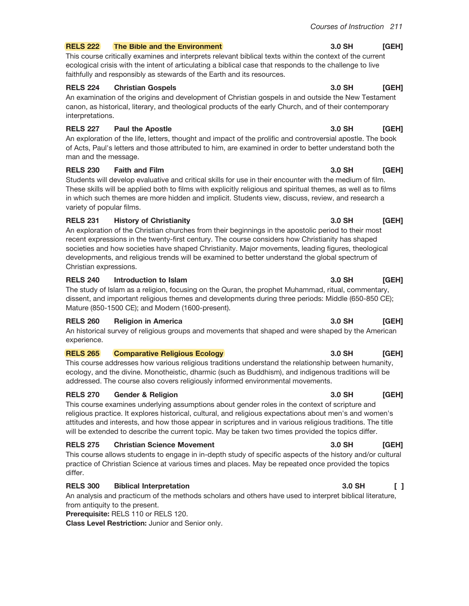#### The Bible and the Environment **RELS 222**

This course critically examines and interprets relevant biblical texts within the context of the current ecological crisis with the intent of articulating a biblical case that responds to the challenge to live faithfully and responsibly as stewards of the Earth and its resources.

#### **RELS 224 Christian Gospels**

An examination of the origins and development of Christian gospels in and outside the New Testament canon, as historical, literary, and theological products of the early Church, and of their contemporary interpretations.

#### **RELS 227 Paul the Apostle**

An exploration of the life, letters, thought and impact of the prolific and controversial apostle. The book of Acts, Paul's letters and those attributed to him, are examined in order to better understand both the man and the message.

#### **RELS 230 Faith and Film**

Students will develop evaluative and critical skills for use in their encounter with the medium of film. These skills will be applied both to films with explicitly religious and spiritual themes, as well as to films in which such themes are more hidden and implicit. Students view, discuss, review, and research a variety of popular films.

### **RELS 231 History of Christianity**

An exploration of the Christian churches from their beginnings in the apostolic period to their most recent expressions in the twenty-first century. The course considers how Christianity has shaped societies and how societies have shaped Christianity. Major movements, leading figures, theological developments, and religious trends will be examined to better understand the global spectrum of Christian expressions.

### **RELS 240** Introduction to Islam

The study of Islam as a religion, focusing on the Quran, the prophet Muhammad, ritual, commentary, dissent, and important religious themes and developments during three periods: Middle (650-850 CE); Mature (850-1500 CE); and Modern (1600-present).

### **RELS 260 Religion in America**

An historical survey of religious groups and movements that shaped and were shaped by the American experience.

#### **RELS 265 Comparative Religious Ecology**

This course addresses how various religious traditions understand the relationship between humanity, ecology, and the divine. Monotheistic, dharmic (such as Buddhism), and indigenous traditions will be addressed. The course also covers religiously informed environmental movements.

### **RELS 270 Gender & Religion**

This course examines underlying assumptions about gender roles in the context of scripture and religious practice. It explores historical, cultural, and religious expectations about men's and women's attitudes and interests, and how those appear in scriptures and in various religious traditions. The title will be extended to describe the current topic. May be taken two times provided the topics differ.

### **RELS 275 Christian Science Movement**

This course allows students to engage in in-depth study of specific aspects of the history and/or cultural practice of Christian Science at various times and places. May be repeated once provided the topics differ.

### **RELS 300 Biblical Interpretation**

An analysis and practicum of the methods scholars and others have used to interpret biblical literature, from antiquity to the present.

Prerequisite: RELS 110 or RELS 120.

Class Level Restriction: Junior and Senior only.

#### 3.0 SH  $[GEH]$

#### 3.0 SH [GEH]

## 3.0 SH [GEH]

### $3.0$  SH [GEH]

### 3.0 SH [GEH]

## 3.0 SH [GEH]

### 3.0 SH [GEH]

#### 3.0 SH [GEH]

## 3.0 SH [GEH]

## 3.0 SH [GEH]

## 3.0 SH

## $\Box$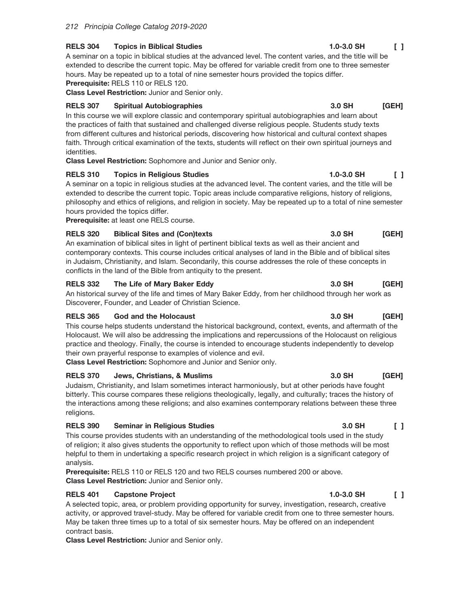**RELS 304 Topics in Biblical Studies** 

A seminar on a topic in biblical studies at the advanced level. The content varies, and the title will be extended to describe the current topic. May be offered for variable credit from one to three semester hours. May be repeated up to a total of nine semester hours provided the topics differ. Prerequisite: RELS 110 or RELS 120.

Class Level Restriction: Junior and Senior only.

#### **RELS 307 Spiritual Autobiographies**

In this course we will explore classic and contemporary spiritual autobiographies and learn about the practices of faith that sustained and challenged diverse religious people. Students study texts from different cultures and historical periods, discovering how historical and cultural context shapes faith. Through critical examination of the texts, students will reflect on their own spiritual journeys and identities.

Class Level Restriction: Sophomore and Junior and Senior only.

#### **RELS 310 Topics in Religious Studies**

A seminar on a topic in religious studies at the advanced level. The content varies, and the title will be extended to describe the current topic. Topic areas include comparative religions, history of religions, philosophy and ethics of religions, and religion in society. May be repeated up to a total of nine semester hours provided the topics differ.

Prerequisite: at least one RELS course.

#### **RELS 320 Biblical Sites and (Con)texts**

An examination of biblical sites in light of pertinent biblical texts as well as their ancient and contemporary contexts. This course includes critical analyses of land in the Bible and of biblical sites in Judaism, Christianity, and Islam. Secondarily, this course addresses the role of these concepts in conflicts in the land of the Bible from antiquity to the present.

#### **RELS 332** The Life of Mary Baker Eddy

An historical survey of the life and times of Mary Baker Eddy, from her childhood through her work as Discoverer, Founder, and Leader of Christian Science.

#### **RELS 365** God and the Holocaust

This course helps students understand the historical background, context, events, and aftermath of the Holocaust. We will also be addressing the implications and repercussions of the Holocaust on religious practice and theology. Finally, the course is intended to encourage students independently to develop their own prayerful response to examples of violence and evil.

Class Level Restriction: Sophomore and Junior and Senior only.

#### **RELS 370** Jews, Christians, & Muslims

Judaism, Christianity, and Islam sometimes interact harmoniously, but at other periods have fought bitterly. This course compares these religions theologically, legally, and culturally; traces the history of the interactions among these religions; and also examines contemporary relations between these three religions.

#### **RELS 390 Seminar in Religious Studies**

This course provides students with an understanding of the methodological tools used in the study of religion; it also gives students the opportunity to reflect upon which of those methods will be most helpful to them in undertaking a specific research project in which religion is a significant category of analysis.

Prerequisite: RELS 110 or RELS 120 and two RELS courses numbered 200 or above. Class Level Restriction: Junior and Senior only.

#### **RELS 401 Capstone Project**

A selected topic, area, or problem providing opportunity for survey, investigation, research, creative activity, or approved travel-study. May be offered for variable credit from one to three semester hours. May be taken three times up to a total of six semester hours. May be offered on an independent contract basis.

Class Level Restriction: Junior and Senior only.

#### $1.0 - 3.0$  SH  $\begin{smallmatrix}1\end{smallmatrix}$

#### 3.0 SH [GEH]

## $1.0 - 3.0$  SH  $\mathsf{L}$

#### 3.0 SH [GEH]

#### 3.0 SH [GEH]

#### 3.0 SH [GEH]

#### 3.0 SH [GEH]

#### 3.0 SH  $\Box$

#### $1.0 - 3.0$  SH  $\Box$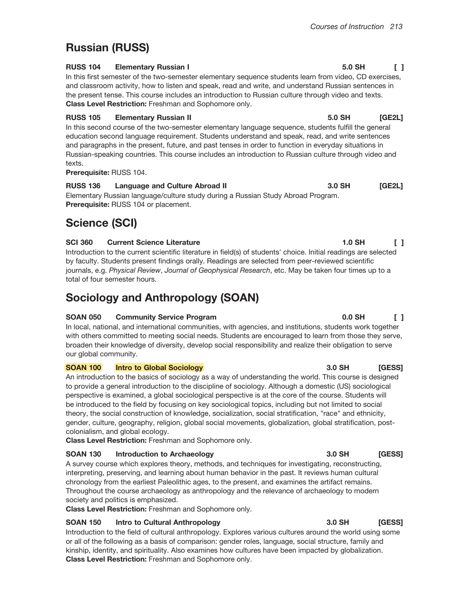## Courses of Instruction 213

# **Russian (RUSS)**

#### **RUSS 104 Elementary Russian I**

In this first semester of the two-semester elementary sequence students learn from video, CD exercises, and classroom activity, how to listen and speak, read and write, and understand Russian sentences in the present tense. This course includes an introduction to Russian culture through video and texts. Class Level Restriction: Freshman and Sophomore only.

## **RUSS 105 Elementary Russian II**

In this second course of the two-semester elementary language sequence, students fulfill the general education second language requirement. Students understand and speak, read, and write sentences and paragraphs in the present, future, and past tenses in order to function in everyday situations in Russian-speaking countries. This course includes an introduction to Russian culture through video and texts.

Prerequisite: RUSS 104.

**RUSS 136 Language and Culture Abroad II** 3.0 SH  $[GE2L]$ Elementary Russian language/culture study during a Russian Study Abroad Program. Prerequisite: RUSS 104 or placement.

# **Science (SCI)**

#### **SCI 360 Current Science Literature**

Introduction to the current scientific literature in field(s) of students' choice. Initial readings are selected by faculty. Students present findings orally. Readings are selected from peer-reviewed scientific journals, e.g. Physical Review, Journal of Geophysical Research, etc. May be taken four times up to a total of four semester hours.

# **Sociology and Anthropology (SOAN)**

### **SOAN 050 Community Service Program**

In local, national, and international communities, with agencies, and institutions, students work together with others committed to meeting social needs. Students are encouraged to learn from those they serve, broaden their knowledge of diversity, develop social responsibility and realize their obligation to serve our global community.

#### **SOAN 100 Intro to Global Sociology**

An introduction to the basics of sociology as a way of understanding the world. This course is designed to provide a general introduction to the discipline of sociology. Although a domestic (US) sociological perspective is examined, a global sociological perspective is at the core of the course. Students will be introduced to the field by focusing on key sociological topics, including but not limited to social theory, the social construction of knowledge, socialization, social stratification, "race" and ethnicity, gender, culture, geography, religion, global social movements, globalization, global stratification, postcolonialism, and global ecology.

Class Level Restriction: Freshman and Sophomore only.

### **SOAN 130 Introduction to Archaeology**

A survey course which explores theory, methods, and techniques for investigating, reconstructing, interpreting, preserving, and learning about human behavior in the past. It reviews human cultural chronology from the earliest Paleolithic ages, to the present, and examines the artifact remains. Throughout the course archaeology as anthropology and the relevance of archaeology to modern society and politics is emphasized.

Class Level Restriction: Freshman and Sophomore only.

#### **SOAN 150** Intro to Cultural Anthropology

Introduction to the field of cultural anthropology. Explores various cultures around the world using some or all of the following as a basis of comparison: gender roles, language, social structure, family and kinship, identity, and spirituality. Also examines how cultures have been impacted by globalization. Class Level Restriction: Freshman and Sophomore only.

#### 5.0 SH  $\begin{smallmatrix}1\end{smallmatrix}$

**IGE2L1** 

 $0.0$  SH

#### 3.0 SH **IGESSI**

## 3.0 SH [GESS]

#### 3.0 SH [GESS]

# $\mathsf{L}$

5.0 SH

 $1.0$  SH  $\Box$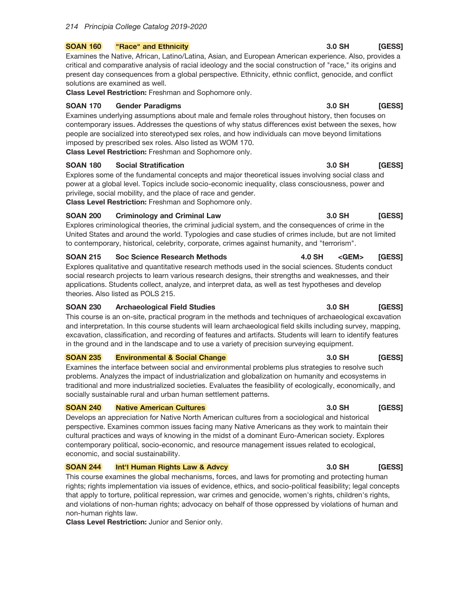#### "Race" and Ethnicity **SOAN 160**

Examines the Native, African, Latino/Latina, Asian, and European American experience. Also, provides a critical and comparative analysis of racial ideology and the social construction of "race," its origins and present day consequences from a global perspective. Ethnicity, ethnic conflict, genocide, and conflict solutions are examined as well.

Class Level Restriction: Freshman and Sophomore only.

#### **SOAN 170 Gender Paradigms**

Examines underlying assumptions about male and female roles throughout history, then focuses on contemporary issues. Addresses the questions of why status differences exist between the sexes, how people are socialized into stereotyped sex roles, and how individuals can move beyond limitations imposed by prescribed sex roles. Also listed as WOM 170.

Class Level Restriction: Freshman and Sophomore only.

#### **SOAN 180 Social Stratification**

Explores some of the fundamental concepts and major theoretical issues involving social class and power at a global level. Topics include socio-economic inequality, class consciousness, power and privilege, social mobility, and the place of race and gender.

Class Level Restriction: Freshman and Sophomore only.

#### **SOAN 200 Criminology and Criminal Law**

Explores criminological theories, the criminal judicial system, and the consequences of crime in the United States and around the world. Typologies and case studies of crimes include, but are not limited to contemporary, historical, celebrity, corporate, crimes against humanity, and "terrorism".

#### **SOAN 215 Soc Science Research Methods 4.0 SH**  $<$ GEM $>$ [GESS]

Explores qualitative and quantitative research methods used in the social sciences. Students conduct social research projects to learn various research designs, their strengths and weaknesses, and their applications. Students collect, analyze, and interpret data, as well as test hypotheses and develop theories. Also listed as POLS 215.

#### **SOAN 230 Archaeological Field Studies**

This course is an on-site, practical program in the methods and techniques of archaeological excavation and interpretation. In this course students will learn archaeological field skills including survey, mapping, excavation, classification, and recording of features and artifacts. Students will learn to identify features in the ground and in the landscape and to use a variety of precision surveying equipment.

#### **SOAN 235 Environmental & Social Change**

Examines the interface between social and environmental problems plus strategies to resolve such problems. Analyzes the impact of industrialization and globalization on humanity and ecosystems in traditional and more industrialized societies. Evaluates the feasibility of ecologically, economically, and socially sustainable rural and urban human settlement patterns.

#### **SOAN 240 Native American Cultures**

Develops an appreciation for Native North American cultures from a sociological and historical perspective. Examines common issues facing many Native Americans as they work to maintain their cultural practices and ways of knowing in the midst of a dominant Euro-American society. Explores contemporary political, socio-economic, and resource management issues related to ecological, economic, and social sustainability.

#### **SOAN 244** Int'l Human Rights Law & Advcy

This course examines the global mechanisms, forces, and laws for promoting and protecting human rights; rights implementation via issues of evidence, ethics, and socio-political feasibility; legal concepts that apply to torture, political repression, war crimes and genocide, women's rights, children's rights, and violations of non-human rights; advocacy on behalf of those oppressed by violations of human and non-human rights law.

Class Level Restriction: Junior and Senior only.

#### 3.0 SH [GESS]

### 3.0 SH [GESS]

### 3.0 SH **[GESS]**

## 3.0 SH [GESS]

## 3.0 SH [GESS]

# 3.0 SH

## [GESS]

## 3.0 SH [GESS]

## 3.0 SH **[GESS]**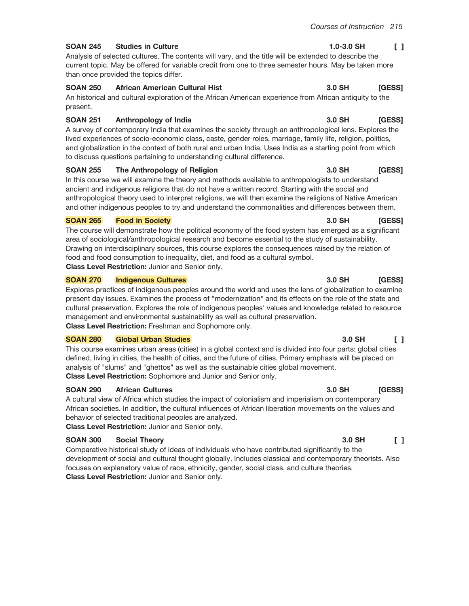3.0 SH

#### $1.0 - 3.0$  SH  $\begin{smallmatrix}1\end{smallmatrix}$

[GESS]

#### **SOAN 245 Studies in Culture**

Analysis of selected cultures. The contents will vary, and the title will be extended to describe the current topic. May be offered for variable credit from one to three semester hours. May be taken more than once provided the topics differ.

#### **SOAN 250 African American Cultural Hist**

An historical and cultural exploration of the African American experience from African antiquity to the present.

#### **SOAN 251** Anthropology of India

A survey of contemporary India that examines the society through an anthropological lens. Explores the lived experiences of socio-economic class, caste, gender roles, marriage, family life, religion, politics, and globalization in the context of both rural and urban India. Uses India as a starting point from which to discuss questions pertaining to understanding cultural difference.

#### **SOAN 255** The Anthropology of Religion

In this course we will examine the theory and methods available to anthropologists to understand ancient and indigenous religions that do not have a written record. Starting with the social and anthropological theory used to interpret religions, we will then examine the religions of Native American and other indigenous peoples to try and understand the commonalities and differences between them.

#### **SOAN 265 Food in Society**

The course will demonstrate how the political economy of the food system has emerged as a significant area of sociological/anthropological research and become essential to the study of sustainability. Drawing on interdisciplinary sources, this course explores the consequences raised by the relation of food and food consumption to inequality, diet, and food as a cultural symbol. Class Level Restriction: Junior and Senior only.

#### **SOAN 270 Indigenous Cultures**

Explores practices of indigenous peoples around the world and uses the lens of globalization to examine present day issues. Examines the process of "modernization" and its effects on the role of the state and cultural preservation. Explores the role of indigenous peoples' values and knowledge related to resource management and environmental sustainability as well as cultural preservation. Class Level Restriction: Freshman and Sophomore only.

#### **SOAN 280 Global Urban Studies**

This course examines urban areas (cities) in a global context and is divided into four parts: global cities defined, living in cities, the health of cities, and the future of cities. Primary emphasis will be placed on analysis of "slums" and "ghettos" as well as the sustainable cities global movement. Class Level Restriction: Sophomore and Junior and Senior only.

#### **SOAN 290 African Cultures**

A cultural view of Africa which studies the impact of colonialism and imperialism on contemporary African societies. In addition, the cultural influences of African liberation movements on the values and behavior of selected traditional peoples are analyzed.

Class Level Restriction: Junior and Senior only.

### **SOAN 300 Social Theory**

Comparative historical study of ideas of individuals who have contributed significantly to the development of social and cultural thought globally. Includes classical and contemporary theorists. Also focuses on explanatory value of race, ethnicity, gender, social class, and culture theories. Class Level Restriction: Junior and Senior only.

#### 3.0 SH [GESS]

# $3.0$  SH

#### 3.0 SH  $\Box$

## 3.0 SH [GESS]

#### 3.0 SH  $\mathsf{F}$

### **[GESS]**  $3.0$  SH

**[GESS]** 

## 3.0 SH [GESS]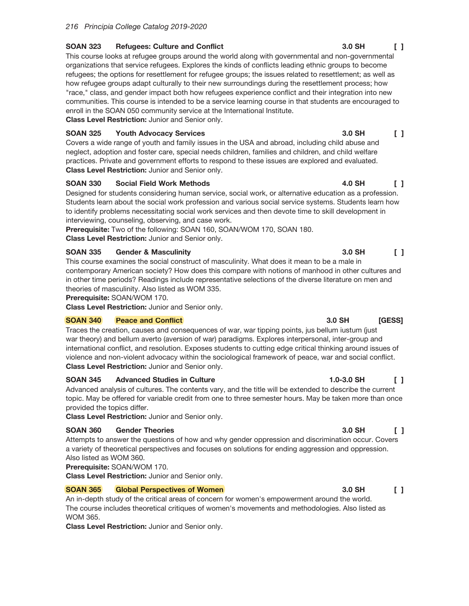#### **SOAN 323 Refugees: Culture and Conflict**

This course looks at refugee groups around the world along with governmental and non-governmental organizations that service refugees. Explores the kinds of conflicts leading ethnic groups to become refugees; the options for resettlement for refugee groups; the issues related to resettlement; as well as how refugee groups adapt culturally to their new surroundings during the resettlement process; how "race," class, and gender impact both how refugees experience conflict and their integration into new communities. This course is intended to be a service learning course in that students are encouraged to enroll in the SOAN 050 community service at the International Institute.

Class Level Restriction: Junior and Senior only.

#### **SOAN 325 Youth Advocacy Services**

Covers a wide range of youth and family issues in the USA and abroad, including child abuse and neglect, adoption and foster care, special needs children, families and children, and child welfare practices. Private and government efforts to respond to these issues are explored and evaluated. Class Level Restriction: Junior and Senior only.

#### **SOAN 330 Social Field Work Methods**

Designed for students considering human service, social work, or alternative education as a profession. Students learn about the social work profession and various social service systems. Students learn how to identify problems necessitating social work services and then devote time to skill development in interviewing, counseling, observing, and case work.

Prerequisite: Two of the following: SOAN 160, SOAN/WOM 170, SOAN 180. Class Level Restriction: Junior and Senior only.

#### **SOAN 335 Gender & Masculinity**

This course examines the social construct of masculinity. What does it mean to be a male in contemporary American society? How does this compare with notions of manhood in other cultures and in other time periods? Readings include representative selections of the diverse literature on men and theories of masculinity. Also listed as WOM 335.

Prerequisite: SOAN/WOM 170.

Class Level Restriction: Junior and Senior only.

#### **SOAN 340 Peace and Conflict**

Traces the creation, causes and consequences of war, war tipping points, jus bellum iustum (just war theory) and bellum averto (aversion of war) paradigms. Explores interpersonal, inter-group and international conflict, and resolution. Exposes students to cutting edge critical thinking around issues of violence and non-violent advocacy within the sociological framework of peace, war and social conflict. Class Level Restriction: Junior and Senior only.

#### **SOAN 345 Advanced Studies in Culture**

Advanced analysis of cultures. The contents vary, and the title will be extended to describe the current topic. May be offered for variable credit from one to three semester hours. May be taken more than once provided the topics differ.

Class Level Restriction: Junior and Senior only.

#### **Gender Theories SOAN 360**

Attempts to answer the questions of how and why gender oppression and discrimination occur. Covers a variety of theoretical perspectives and focuses on solutions for ending aggression and oppression. Also listed as WOM 360.

Prerequisite: SOAN/WOM 170.

Class Level Restriction: Junior and Senior only.

#### **SOAN 365 Global Perspectives of Women**

An in-depth study of the critical areas of concern for women's empowerment around the world. The course includes theoretical critiques of women's movements and methodologies. Also listed as **WOM 365.** 

Class Level Restriction: Junior and Senior only.

#### 3.0 SH  $\Box$

#### 4.0 SH  $\mathsf{L}$

 $\begin{smallmatrix}1\end{smallmatrix}$ 

 $\Box$ 

3.0 SH

## 3.0 SH [GESS]

3.0 SH

### $1.0 - 3.0$  SH  $\Box$

# 3.0 SH

## 3.0 SH  $\Box$

# $\Box$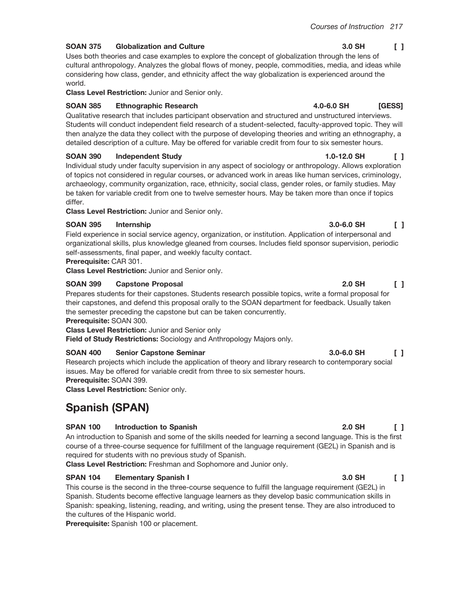4.0-6.0 SH

#### **SOAN 375 Globalization and Culture**

Uses both theories and case examples to explore the concept of globalization through the lens of cultural anthropology. Analyzes the global flows of money, people, commodities, media, and ideas while considering how class, gender, and ethnicity affect the way globalization is experienced around the world.

Class Level Restriction: Junior and Senior only.

#### **SOAN 385 Ethnographic Research**

Qualitative research that includes participant observation and structured and unstructured interviews. Students will conduct independent field research of a student-selected, faculty-approved topic. They will then analyze the data they collect with the purpose of developing theories and writing an ethnography, a detailed description of a culture. May be offered for variable credit from four to six semester hours.

### **SOAN 390 Independent Study**

Individual study under faculty supervision in any aspect of sociology or anthropology. Allows exploration of topics not considered in regular courses, or advanced work in areas like human services, criminology, archaeology, community organization, race, ethnicity, social class, gender roles, or family studies. May be taken for variable credit from one to twelve semester hours. May be taken more than once if topics differ.

**Class Level Restriction: Junior and Senior only.** 

#### **SOAN 395** Internship

Field experience in social service agency, organization, or institution. Application of interpersonal and organizational skills, plus knowledge gleaned from courses. Includes field sponsor supervision, periodic self-assessments, final paper, and weekly faculty contact.

## Prerequisite: CAR 301.

Class Level Restriction: Junior and Senior only.

#### **SOAN 399 Capstone Proposal**

Prepares students for their capstones. Students research possible topics, write a formal proposal for their capstones, and defend this proposal orally to the SOAN department for feedback. Usually taken the semester preceding the capstone but can be taken concurrently.

Prerequisite: SOAN 300.

**Class Level Restriction: Junior and Senior only** 

Field of Study Restrictions: Sociology and Anthropology Majors only.

### **Senior Capstone Seminar SOAN 400**

Research projects which include the application of theory and library research to contemporary social issues. May be offered for variable credit from three to six semester hours. Prerequisite: SOAN 399.

Class Level Restriction: Senior only.

# **Spanish (SPAN)**

### **SPAN 100 Introduction to Spanish**

An introduction to Spanish and some of the skills needed for learning a second language. This is the first course of a three-course sequence for fulfillment of the language requirement (GE2L) in Spanish and is required for students with no previous study of Spanish.

Class Level Restriction: Freshman and Sophomore and Junior only.

### **SPAN 104 Elementary Spanish I**

This course is the second in the three-course sequence to fulfill the language requirement (GE2L) in Spanish. Students become effective language learners as they develop basic communication skills in Spanish: speaking, listening, reading, and writing, using the present tense. They are also introduced to the cultures of the Hispanic world.

Prerequisite: Spanish 100 or placement.

## 3.0 SH  $\begin{smallmatrix}1\end{smallmatrix}$

[GESS]

 $\mathsf{L}$ 

# $1.0 - 12.0$  SH

 $3.0 - 6.0$  SH

# 2.0 SH

## $2.0$  SH  $\Box$

### 3.0 SH  $\Box$

## 3.0-6.0 SH  $\Box$

## $\begin{smallmatrix}1\end{smallmatrix}$

# $\Box$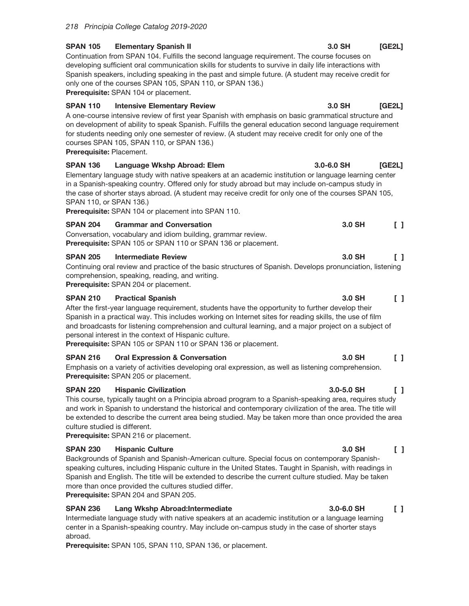| <b>SPAN 105</b>                             | <b>Elementary Spanish II</b><br>Continuation from SPAN 104. Fulfills the second language requirement. The course focuses on<br>developing sufficient oral communication skills for students to survive in daily life interactions with<br>Spanish speakers, including speaking in the past and simple future. (A student may receive credit for<br>only one of the courses SPAN 105, SPAN 110, or SPAN 136.)<br>Prerequisite: SPAN 104 or placement.                       | 3.0 SH         | [GE2L]                                  |
|---------------------------------------------|----------------------------------------------------------------------------------------------------------------------------------------------------------------------------------------------------------------------------------------------------------------------------------------------------------------------------------------------------------------------------------------------------------------------------------------------------------------------------|----------------|-----------------------------------------|
| <b>SPAN 110</b><br>Prerequisite: Placement. | <b>Intensive Elementary Review</b><br>A one-course intensive review of first year Spanish with emphasis on basic grammatical structure and<br>on development of ability to speak Spanish. Fulfills the general education second language requirement<br>for students needing only one semester of review. (A student may receive credit for only one of the<br>courses SPAN 105, SPAN 110, or SPAN 136.)                                                                   | 3.0 SH         | [GE2L]                                  |
| <b>SPAN 136</b><br>SPAN 110, or SPAN 136.)  | Language Wkshp Abroad: Elem<br>Elementary language study with native speakers at an academic institution or language learning center<br>in a Spanish-speaking country. Offered only for study abroad but may include on-campus study in<br>the case of shorter stays abroad. (A student may receive credit for only one of the courses SPAN 105,<br>Prerequisite: SPAN 104 or placement into SPAN 110.                                                                     | $3.0 - 6.0$ SH | [GE2L]                                  |
| <b>SPAN 204</b>                             | <b>Grammar and Conversation</b><br>Conversation, vocabulary and idiom building, grammar review.<br>Prerequisite: SPAN 105 or SPAN 110 or SPAN 136 or placement.                                                                                                                                                                                                                                                                                                            | 3.0 SH         | $\begin{bmatrix} 1 \end{bmatrix}$       |
| <b>SPAN 205</b>                             | <b>Intermediate Review</b><br>Continuing oral review and practice of the basic structures of Spanish. Develops pronunciation, listening<br>comprehension, speaking, reading, and writing.<br>Prerequisite: SPAN 204 or placement.                                                                                                                                                                                                                                          | 3.0 SH         | $\Box$                                  |
| <b>SPAN 210</b>                             | <b>Practical Spanish</b><br>After the first-year language requirement, students have the opportunity to further develop their<br>Spanish in a practical way. This includes working on Internet sites for reading skills, the use of film<br>and broadcasts for listening comprehension and cultural learning, and a major project on a subject of<br>personal interest in the context of Hispanic culture.<br>Prerequisite: SPAN 105 or SPAN 110 or SPAN 136 or placement. | 3.0 SH         | $\begin{smallmatrix}1\end{smallmatrix}$ |
| <b>SPAN 216</b>                             | <b>Oral Expression &amp; Conversation</b><br>Emphasis on a variety of activities developing oral expression, as well as listening comprehension.<br>Prerequisite: SPAN 205 or placement.                                                                                                                                                                                                                                                                                   | 3.0 SH         | $\begin{bmatrix} 1 \end{bmatrix}$       |
| <b>SPAN 220</b>                             | <b>Hispanic Civilization</b><br>This course, typically taught on a Principia abroad program to a Spanish-speaking area, requires study                                                                                                                                                                                                                                                                                                                                     | $3.0 - 5.0$ SH | $\begin{bmatrix} 1 \end{bmatrix}$       |

and work in Spanish to understand the historical and contemporary civilization of the area. The title will be extended to describe the current area being studied. May be taken more than once provided the area culture studied is different.

Prerequisite: SPAN 216 or placement.

#### **SPAN 230 Hispanic Culture**

Backgrounds of Spanish and Spanish-American culture. Special focus on contemporary Spanishspeaking cultures, including Hispanic culture in the United States. Taught in Spanish, with readings in Spanish and English. The title will be extended to describe the current culture studied. May be taken more than once provided the cultures studied differ.

Prerequisite: SPAN 204 and SPAN 205.

#### **SPAN 236** Lang Wkshp Abroad: Intermediate

Intermediate language study with native speakers at an academic institution or a language learning center in a Spanish-speaking country. May include on-campus study in the case of shorter stays abroad.

Prerequisite: SPAN 105, SPAN 110, SPAN 136, or placement.

 $\Box$ 

#### 3.0-6.0 SH  $\begin{smallmatrix}1\end{smallmatrix}$

3.0 SH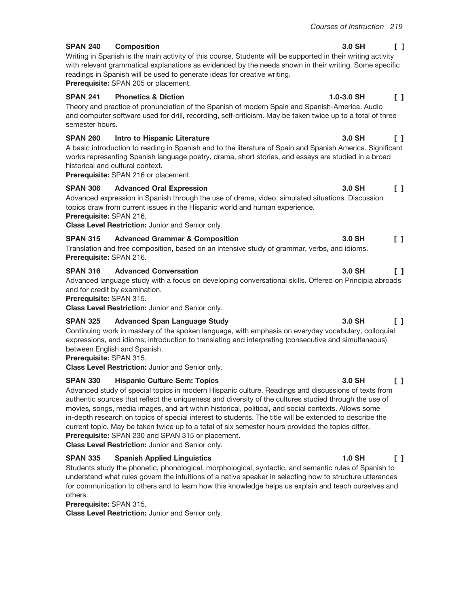$1.0 - 3.0$  SH

3.0 SH

3.0 SH

## 3.0 SH

Writing in Spanish is the main activity of this course. Students will be supported in their writing activity with relevant grammatical explanations as evidenced by the needs shown in their writing. Some specific readings in Spanish will be used to generate ideas for creative writing.

Prerequisite: SPAN 205 or placement.

**Composition** 

#### **SPAN 241 Phonetics & Diction**

**SPAN 240** 

Theory and practice of pronunciation of the Spanish of modern Spain and Spanish-America. Audio and computer software used for drill, recording, self-criticism. May be taken twice up to a total of three semester hours.

#### **SPAN 260** Intro to Hispanic Literature

A basic introduction to reading in Spanish and to the literature of Spain and Spanish America. Significant works representing Spanish language poetry, drama, short stories, and essays are studied in a broad historical and cultural context.

Prerequisite: SPAN 216 or placement.

#### **SPAN 306 Advanced Oral Expression**

Advanced expression in Spanish through the use of drama, video, simulated situations. Discussion topics draw from current issues in the Hispanic world and human experience.

Prerequisite: SPAN 216.

Class Level Restriction: Junior and Senior only.

3.0 SH  $\begin{smallmatrix}1\end{smallmatrix}$ **SPAN 315 Advanced Grammar & Composition** Translation and free composition, based on an intensive study of grammar, verbs, and idioms. Prerequisite: SPAN 216.

#### **SPAN 316 Advanced Conversation** 3.0 SH

Advanced language study with a focus on developing conversational skills. Offered on Principia abroads and for credit by examination.

Prerequisite: SPAN 315.

Class Level Restriction: Junior and Senior only.

#### **SPAN 325 Advanced Span Language Study**

Continuing work in mastery of the spoken language, with emphasis on everyday vocabulary, colloquial expressions, and idioms; introduction to translating and interpreting (consecutive and simultaneous) between English and Spanish.

Prerequisite: SPAN 315.

Class Level Restriction: Junior and Senior only.

#### **SPAN 330 Hispanic Culture Sem: Topics**

Advanced study of special topics in modern Hispanic culture. Readings and discussions of texts from authentic sources that reflect the uniqueness and diversity of the cultures studied through the use of movies, songs, media images, and art within historical, political, and social contexts. Allows some in-depth research on topics of special interest to students. The title will be extended to describe the current topic. May be taken twice up to a total of six semester hours provided the topics differ. Prerequisite: SPAN 230 and SPAN 315 or placement.

Class Level Restriction: Junior and Senior only.

#### **SPAN 335 Spanish Applied Linguistics**

Students study the phonetic, phonological, morphological, syntactic, and semantic rules of Spanish to understand what rules govern the intuitions of a native speaker in selecting how to structure utterances for communication to others and to learn how this knowledge helps us explain and teach ourselves and others.

Prerequisite: SPAN 315.

Class Level Restriction: Junior and Senior only.

## $\begin{smallmatrix}1\end{smallmatrix}$

 $\begin{bmatrix} 1 \end{bmatrix}$ 

 $\begin{bmatrix} 1 \end{bmatrix}$ 

 $\begin{bmatrix} 1 \end{bmatrix}$ 

## $\Box$

#### 3.0 SH  $\mathsf{L}$

#### 3.0 SH  $\Box$

#### **1.0 SH**  $\Box$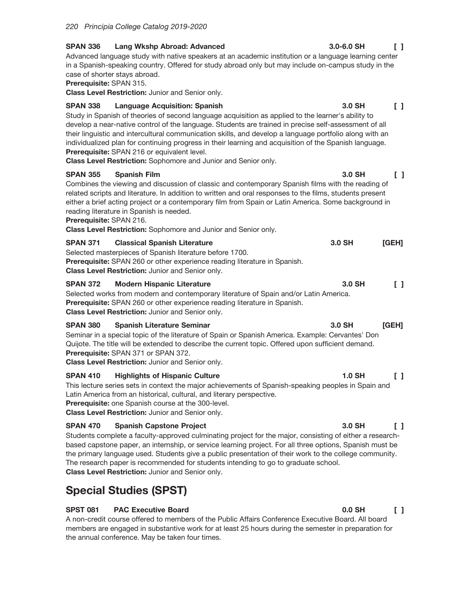| <b>SPAN 336</b>                                          | <b>Lang Wkshp Abroad: Advanced</b>                                                                                                                                                                                                                                                                                                                                                                                                                                                                                                                                                 | $3.0 - 6.0$ SH | ΙI                                      |
|----------------------------------------------------------|------------------------------------------------------------------------------------------------------------------------------------------------------------------------------------------------------------------------------------------------------------------------------------------------------------------------------------------------------------------------------------------------------------------------------------------------------------------------------------------------------------------------------------------------------------------------------------|----------------|-----------------------------------------|
| case of shorter stays abroad.<br>Prerequisite: SPAN 315. | Advanced language study with native speakers at an academic institution or a language learning center<br>in a Spanish-speaking country. Offered for study abroad only but may include on-campus study in the<br>Class Level Restriction: Junior and Senior only.                                                                                                                                                                                                                                                                                                                   |                |                                         |
| <b>SPAN 338</b>                                          | Language Acquisition: Spanish<br>Study in Spanish of theories of second language acquisition as applied to the learner's ability to<br>develop a near-native control of the language. Students are trained in precise self-assessment of all<br>their linguistic and intercultural communication skills, and develop a language portfolio along with an<br>individualized plan for continuing progress in their learning and acquisition of the Spanish language.<br>Prerequisite: SPAN 216 or equivalent level.<br>Class Level Restriction: Sophomore and Junior and Senior only. | 3.0 SH         | $\Box$                                  |
| <b>SPAN 355</b><br>Prerequisite: SPAN 216.               | <b>Spanish Film</b><br>Combines the viewing and discussion of classic and contemporary Spanish films with the reading of<br>related scripts and literature. In addition to written and oral responses to the films, students present<br>either a brief acting project or a contemporary film from Spain or Latin America. Some background in<br>reading literature in Spanish is needed.<br>Class Level Restriction: Sophomore and Junior and Senior only.                                                                                                                         | 3.0 SH         | $\begin{bmatrix} 1 \end{bmatrix}$       |
| <b>SPAN 371</b>                                          | <b>Classical Spanish Literature</b><br>Selected masterpieces of Spanish literature before 1700.<br>Prerequisite: SPAN 260 or other experience reading literature in Spanish.<br>Class Level Restriction: Junior and Senior only.                                                                                                                                                                                                                                                                                                                                                   | 3.0 SH         | [GEH]                                   |
| <b>SPAN 372</b>                                          | <b>Modern Hispanic Literature</b><br>Selected works from modern and contemporary literature of Spain and/or Latin America.<br>Prerequisite: SPAN 260 or other experience reading literature in Spanish.<br>Class Level Restriction: Junior and Senior only.                                                                                                                                                                                                                                                                                                                        | 3.0 SH         | $\begin{smallmatrix}1\end{smallmatrix}$ |
| <b>SPAN 380</b>                                          | <b>Spanish Literature Seminar</b><br>Seminar in a special topic of the literature of Spain or Spanish America. Example: Cervantes' Don<br>Quijote. The title will be extended to describe the current topic. Offered upon sufficient demand.<br><b>Prerequisite: SPAN 371 or SPAN 372.</b><br><b>Class Level Restriction: Junior and Senior only.</b>                                                                                                                                                                                                                              | 3.0 SH         | [GEH]                                   |
| <b>SPAN 410</b>                                          | <b>Highlights of Hispanic Culture</b><br>This lecture series sets in context the major achievements of Spanish-speaking peoples in Spain and<br>Latin America from an historical, cultural, and literary perspective.<br>Prerequisite: one Spanish course at the 300-level.<br>Class Level Restriction: Junior and Senior only.                                                                                                                                                                                                                                                    | $1.0$ SH       | $\begin{smallmatrix}1\end{smallmatrix}$ |
| <b>SPAN 470</b>                                          | <b>Spanish Capstone Project</b><br>Students complete a faculty-approved culminating project for the major, consisting of either a research-                                                                                                                                                                                                                                                                                                                                                                                                                                        | 3.0 SH         | ΙI                                      |

based capstone paper, an internship, or service learning project. For all three options, Spanish must be the primary language used. Students give a public presentation of their work to the college community. The research paper is recommended for students intending to go to graduate school. Class Level Restriction: Junior and Senior only.

# **Special Studies (SPST)**

#### **SPST 081 PAC Executive Board**

A non-credit course offered to members of the Public Affairs Conference Executive Board. All board members are engaged in substantive work for at least 25 hours during the semester in preparation for the annual conference. May be taken four times.

 $0.0$  SH  $\begin{bmatrix} 1 \end{bmatrix}$